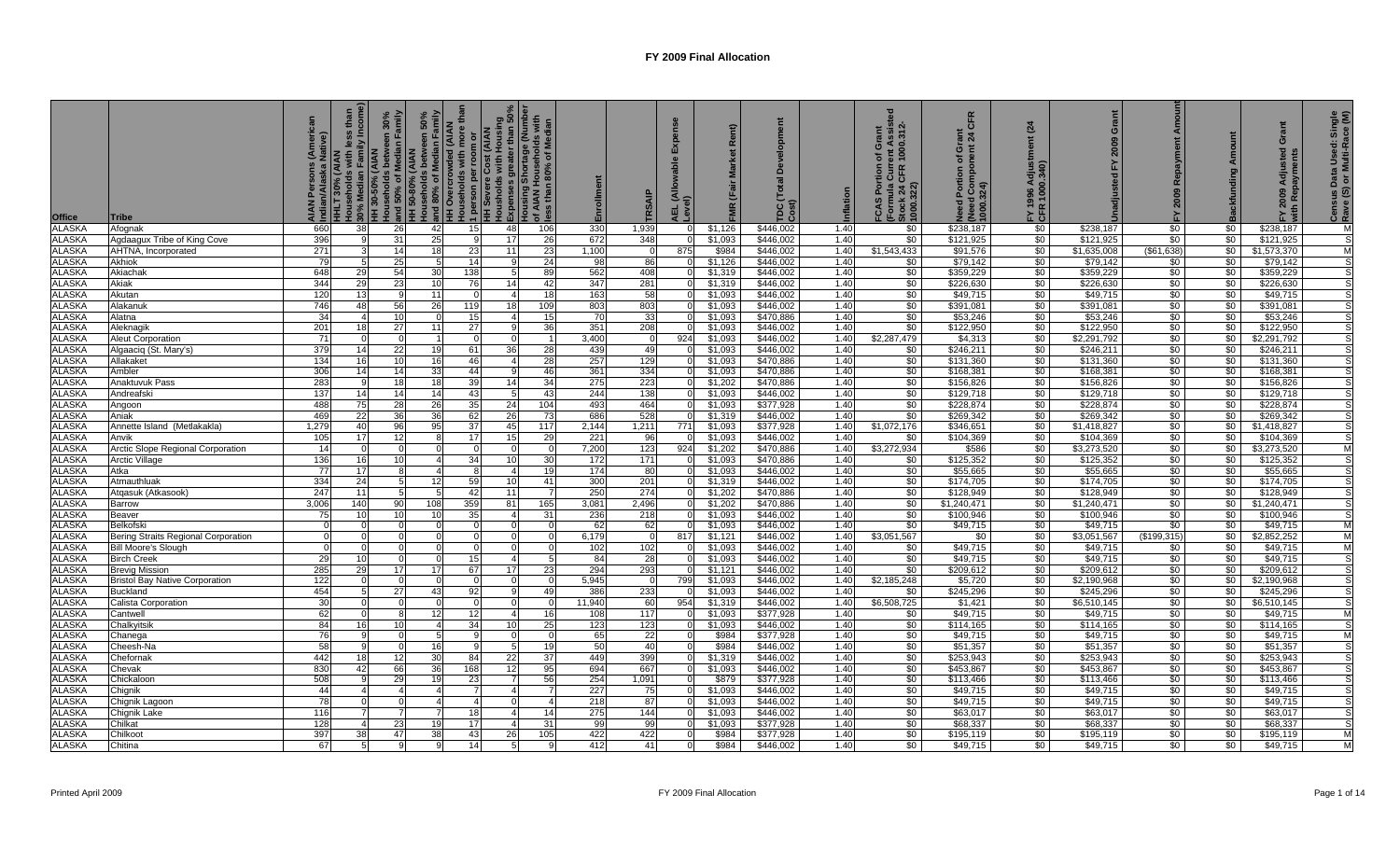| <b>Office</b> | Tribe                                 | tive) | <b>HILT 30%</b> |          | Households with less than<br># 20% Median Family Income<br># H 30-50% (AIAN<br># H 30-50% of Median Family<br># H 50-80% (AIAN<br># H 50-80% (AIAN<br># H 50-80% of Median Family<br># Households between 50%<br><b>HH Overcrowded (AIAN</b><br><b>ore</b> | 1 person per room or<br>HH Severe Cost (AIAN<br>Housholds with Housing<br>Expenses greater than 50%<br>Expenses greater than 50%<br>I Housing Shortage (Number<br>of AIAN Households with<br>Sless than 80% of Median<br>Expenses | ق 5      | Enrollment | RSAI           | <b>J</b><br>딦 | <b>WE</b>         | TDC(<br>Cost) | nflation | ent Assist<br>1000.312-<br>Grant<br>৳<br>Cur<br>CFR<br>FCAS Port<br>(Formula (<br>Stock 24 (<br>1000.322) | CFR<br>Ō<br>৳<br>pau<br>Portion<br>(Need Con<br>1000.324)<br>$\overline{3}$ | (24)<br>FY 1996<br>CFR 100 | Grant       | Amoun<br>Repayment<br>2009<br>놊 |                  | <b>Tant</b><br>ō<br>ਦ<br>Adiu | Census Data Used: Single<br>Rave (S) or Multi-Race (M) |
|---------------|---------------------------------------|-------|-----------------|----------|------------------------------------------------------------------------------------------------------------------------------------------------------------------------------------------------------------------------------------------------------------|-----------------------------------------------------------------------------------------------------------------------------------------------------------------------------------------------------------------------------------|----------|------------|----------------|---------------|-------------------|---------------|----------|-----------------------------------------------------------------------------------------------------------|-----------------------------------------------------------------------------|----------------------------|-------------|---------------------------------|------------------|-------------------------------|--------------------------------------------------------|
| <b>ALASKA</b> | Afognak                               | 660   | 38              | 26       | 15 <sup>1</sup><br>-42                                                                                                                                                                                                                                     | 48                                                                                                                                                                                                                                | 106      | 330        | 1,939          |               | \$1,126           | \$446,002     | 1.40     | \$0                                                                                                       | \$238,187                                                                   | \$0                        | \$238,187   | \$0                             | \$0              | \$238,187                     |                                                        |
| <b>ALASKA</b> | Agdaagux Tribe of King Cove           | 396   |                 | 31       | 25                                                                                                                                                                                                                                                         | 17                                                                                                                                                                                                                                | 26       | 672        | 348            |               | \$1,093           | \$446,002     | 1.40     | \$0                                                                                                       | \$121,925                                                                   | \$0                        | \$121,925   | \$0                             | \$0              | \$121,925                     |                                                        |
| <b>ALASKA</b> | AHTNA, Incorporated                   | 271   |                 | 14       | 18<br>23                                                                                                                                                                                                                                                   | 11                                                                                                                                                                                                                                | 23       | 1,100      | $\overline{0}$ | 875           | \$984             | \$446,002     | 1.40     | \$1,543,433                                                                                               | \$91,576                                                                    | \$0                        | \$1,635,008 | (\$61,638)                      | \$0              | \$1,573,370                   |                                                        |
| <b>ALASKA</b> | Akhiok                                | 79    |                 | 25       | 14                                                                                                                                                                                                                                                         |                                                                                                                                                                                                                                   | 24       | 98         | 86             |               | \$1,126           | \$446,002     | 1.40     | \$0                                                                                                       | \$79,142                                                                    | \$0                        | \$79,142    | \$0                             | \$0              | \$79,142                      |                                                        |
| <b>ALASKA</b> | Akiachak                              | 648   | 29              | 54       | 138<br>30                                                                                                                                                                                                                                                  | -5                                                                                                                                                                                                                                | 89       | 562        | 408            |               | \$1,319           | \$446,002     | 1.40     | \$0                                                                                                       | \$359,229                                                                   | \$0                        | \$359,229   | \$0                             | \$0              | \$359,229                     |                                                        |
| <b>ALASKA</b> | Akiak                                 | 344   | 29              | 23       | 10<br>76                                                                                                                                                                                                                                                   | 14                                                                                                                                                                                                                                | 42       | 347        | 281            |               | \$1,319           | \$446,002     | 1.40     | \$0                                                                                                       | \$226,630                                                                   | \$0                        | \$226,630   | \$0                             | \$0              | \$226,630                     |                                                        |
| <b>ALASKA</b> | Akutan                                | 120   | 13 <sup>1</sup> |          | 11<br>$\Omega$                                                                                                                                                                                                                                             | $\overline{4}$                                                                                                                                                                                                                    | 18       | 163        | 58             |               | \$1.093           | \$446,002     | 1.40     | \$0                                                                                                       | \$49.715                                                                    | \$0                        | \$49,715    | $\sqrt{50}$                     | \$0              | \$49,715                      |                                                        |
| <b>ALASKA</b> | Alakanuk                              | 746   | 48              | 56       | 26<br>119                                                                                                                                                                                                                                                  | 18                                                                                                                                                                                                                                | 109      | 803        | 803            |               | \$1.093           | \$446,002     | 1.40     | \$0                                                                                                       | \$391,081                                                                   | \$0                        | \$391,081   | $\sqrt{6}$                      | \$0              | \$391,081                     |                                                        |
| <b>ALASKA</b> | Alatna                                | -34   | $\Delta$        | 10       | 15                                                                                                                                                                                                                                                         | $\overline{4}$                                                                                                                                                                                                                    | 15       | 70         | 33             |               | \$1,093           | \$470,886     | 1.40     | \$0                                                                                                       | \$53,246                                                                    | \$0                        | \$53,246    | \$0                             | \$0              | \$53,246                      |                                                        |
| <b>ALASKA</b> | Aleknagik                             | 201   | 18              | 27       | 27<br>11                                                                                                                                                                                                                                                   | -9                                                                                                                                                                                                                                | 36       | 351        | 208            |               | \$1,093           | \$446,002     | 1.40     | \$0                                                                                                       | \$122,950                                                                   | \$0                        | \$122,950   | \$0                             | \$0              | \$122,950                     |                                                        |
| <b>ALASKA</b> | <b>Aleut Corporation</b>              | 71    | $\Omega$        | $\Omega$ | $\Omega$                                                                                                                                                                                                                                                   | $\mathbf 0$                                                                                                                                                                                                                       |          | 3,400      | $\Omega$       | 924           | \$1,093           | \$446,002     | 1.40     | \$2,287,479                                                                                               | \$4,313                                                                     | \$0                        | \$2,291,792 | \$0                             | \$0              | \$2,291,792                   |                                                        |
| <b>ALASKA</b> | Algaaciq (St. Mary's)                 | 379   | 14              | 22       | 61<br>19                                                                                                                                                                                                                                                   | 36                                                                                                                                                                                                                                | 28       | 439        | 49             |               | \$1,093           | \$446,002     | 1.40     | \$0                                                                                                       | \$246,211                                                                   | \$0                        | \$246,211   | \$0                             | \$0              | \$246,211                     |                                                        |
| <b>ALASKA</b> | Allakaket                             | 134   | 16              | 10       | 16<br>46                                                                                                                                                                                                                                                   | $\overline{4}$                                                                                                                                                                                                                    | 28       | 257        | 129            |               | \$1,093           | \$470,886     | 1.40     | \$0                                                                                                       | \$131,360                                                                   | \$0                        | \$131,360   | \$0                             | \$0              | \$131,360                     |                                                        |
| <b>ALASKA</b> | Ambler                                | 306   | 14              | 14       | 33<br>44                                                                                                                                                                                                                                                   | -9                                                                                                                                                                                                                                | 46       | 361        | 334            |               | \$1,093           | \$470,886     | 1.40     | \$0                                                                                                       | \$168,381                                                                   | \$0                        | \$168,381   | \$0                             | \$0              | \$168,381                     |                                                        |
| <b>ALASKA</b> | Anaktuvuk Pass                        | 283   | a               | 18       | 18<br>39                                                                                                                                                                                                                                                   | 14                                                                                                                                                                                                                                | 34       | 275        | 223            |               | \$1,202           | \$470,886     | 1.40     | \$0                                                                                                       | \$156,826                                                                   | \$0                        | \$156,826   | \$0                             | \$0              | \$156,826                     |                                                        |
| <b>ALASKA</b> | Andreafski                            | 137   | 14              | 14       | 14<br>43                                                                                                                                                                                                                                                   | -5                                                                                                                                                                                                                                | 43       | 244        | 138            |               | \$1,093           | \$446,002     | 1.40     | \$0                                                                                                       | \$129,718                                                                   | \$0                        | \$129,718   | \$0                             | \$0              | \$129,718                     |                                                        |
| <b>ALASKA</b> | Angoon                                | 488   | 75              | 28       | 26<br>35                                                                                                                                                                                                                                                   | 24                                                                                                                                                                                                                                | 104      | 493        | 464            |               | \$1.093           | \$377.928     | 1.40     | \$0                                                                                                       | \$228,874                                                                   | \$0                        | \$228.874   | \$0                             | \$0              | \$228,874                     |                                                        |
| <b>ALASKA</b> | Aniak                                 | 469   | 22              | 36       | 62<br>36                                                                                                                                                                                                                                                   | <b>26</b>                                                                                                                                                                                                                         | 73       | 686        | 528            |               | \$1,319           | \$446,002     | 1.40     | \$0                                                                                                       | \$269,342                                                                   | \$0                        | \$269,342   | \$0                             | \$0              | \$269,342                     |                                                        |
| <b>ALASKA</b> | Annette Island (Metlakakla)           | 1.279 | 40              | 96       | 37<br>95                                                                                                                                                                                                                                                   | 45                                                                                                                                                                                                                                | 117      | 2,144      | 1,211          | 771           | \$1,093           | \$377,928     | 1.40     | \$1,072,176                                                                                               | \$346,651                                                                   | \$0                        | \$1,418,827 | \$0                             | \$0              | \$1,418,827                   |                                                        |
| <b>ALASKA</b> | Anvik                                 | 105   | 17 <sup>1</sup> | 12       | 17                                                                                                                                                                                                                                                         | 15 <sup>1</sup>                                                                                                                                                                                                                   | 29       | 221        | 96             |               | \$1,093           | \$446,002     | 1.40     | \$0                                                                                                       | \$104,369                                                                   | \$0                        | \$104,369   | \$0                             | \$0              | \$104,369                     |                                                        |
| <b>ALASKA</b> | Arctic Slope Regional Corporation     | 14    |                 |          |                                                                                                                                                                                                                                                            | $\mathbf 0$                                                                                                                                                                                                                       |          | 7,200      | 123            | 924           | \$1,202           | \$470,886     | 1.40     | \$3,272,934                                                                                               | \$586                                                                       | \$0                        | \$3,273,520 | \$0                             | \$0              | \$3,273,520                   |                                                        |
| <b>ALASKA</b> | Arctic Village                        | 136   | 16              | 10       | 34                                                                                                                                                                                                                                                         | 10 <sup>1</sup>                                                                                                                                                                                                                   | 30       | 172        | 171            |               | \$1,093           | \$470,886     | 1.40     | \$0                                                                                                       | \$125,352                                                                   | \$0                        | \$125,352   | \$0                             | \$0              | \$125,352                     |                                                        |
| <b>ALASKA</b> | Atka                                  | 77    | 17              |          |                                                                                                                                                                                                                                                            |                                                                                                                                                                                                                                   | 19       | 174        | 80             |               | \$1,093           | \$446,002     | 1.40     | \$0                                                                                                       | \$55,665                                                                    | \$0                        | \$55,665    | $\frac{1}{20}$                  | \$0              | \$55,665                      |                                                        |
| <b>ALASKA</b> | Atmauthluak                           | 334   | 24              |          | 59<br>12                                                                                                                                                                                                                                                   | 10 <sup>1</sup>                                                                                                                                                                                                                   | 41       | 300        | 201            |               | \$1,319           | \$446,002     | 1.40     | \$0                                                                                                       | \$174,705                                                                   | \$0                        | \$174,705   | $\sqrt{6}$                      | \$0              | \$174,705                     |                                                        |
| <b>ALASKA</b> | Atgasuk (Atkasook)                    | 247   |                 |          | 42                                                                                                                                                                                                                                                         | 11                                                                                                                                                                                                                                |          | 250        | 274            |               | \$1,202           | \$470,886     | 1.40     | \$0                                                                                                       | \$128,949                                                                   | \$0                        | \$128,949   | \$0                             | \$0              | \$128,949                     |                                                        |
| <b>ALASKA</b> | Barrow                                | 3.006 | 140             | 90       | 359<br>108                                                                                                                                                                                                                                                 | 81                                                                                                                                                                                                                                | 165      | 3,081      | 2,496          |               | \$1,202           | \$470,886     | 1.40     | \$0                                                                                                       | \$1,240,471                                                                 | \$0                        | \$1,240,471 | \$0                             | \$0              | \$1,240,471                   |                                                        |
| <b>ALASKA</b> | Beaver                                | 75    | 10I             | 10       | 35<br>10                                                                                                                                                                                                                                                   |                                                                                                                                                                                                                                   | 31       | 236        | 218            |               | \$1,093           | \$446,002     | 1.40     | \$0                                                                                                       | \$100,946                                                                   | \$0                        | \$100,946   | \$0                             | \$0              | \$100,946                     |                                                        |
| <b>ALASKA</b> | Belkofski                             |       | $\Omega$        |          |                                                                                                                                                                                                                                                            | $\Omega$                                                                                                                                                                                                                          | - 0      | 62         | 62             |               | \$1,093<br>$\cap$ | \$446,002     | 1.40     | \$0                                                                                                       | \$49,715                                                                    | \$0                        | \$49,715    | \$0                             | \$0              | \$49,715                      | M                                                      |
| <b>ALASKA</b> | Bering Straits Regional Corporation   |       |                 |          |                                                                                                                                                                                                                                                            |                                                                                                                                                                                                                                   | $\Omega$ | 6,179      | $\Omega$       | 817           | \$1,121           | \$446,002     | 1.40     | \$3,051,567                                                                                               | \$0                                                                         | \$0                        | \$3,051,567 | (\$199,315)                     | \$0              | \$2,852,252                   |                                                        |
| <b>ALASKA</b> | <b>Bill Moore's Slough</b>            |       | $\Omega$        |          |                                                                                                                                                                                                                                                            | $\Omega$<br>$\Omega$                                                                                                                                                                                                              | $\Omega$ | 102        | 102            |               | \$1,093           | \$446,002     | 1.40     | \$0                                                                                                       | \$49,715                                                                    | \$0                        | \$49,715    | \$0                             | \$0              | \$49,715                      | м                                                      |
| <b>ALASKA</b> | <b>Birch Creek</b>                    | 29    | 10 <sup>1</sup> |          | 15                                                                                                                                                                                                                                                         |                                                                                                                                                                                                                                   |          | 84         | 28             |               | \$1,093           | \$446,002     | 1.40     | \$0                                                                                                       | \$49,715                                                                    | \$0                        | \$49,715    | \$0                             | \$0              | \$49,715                      |                                                        |
| <b>ALASKA</b> | <b>Brevig Mission</b>                 | 285   | 29              | 17       | 17<br>67                                                                                                                                                                                                                                                   | 17                                                                                                                                                                                                                                | 23       | 294        | 293            |               | \$1,121           | \$446,002     | 1.40     | \$0                                                                                                       | \$209,612                                                                   | \$0                        | \$209,612   | \$0                             | \$0              | \$209,612                     |                                                        |
| <b>ALASKA</b> | <b>Bristol Bay Native Corporation</b> | 122   |                 |          |                                                                                                                                                                                                                                                            |                                                                                                                                                                                                                                   |          | 5,945      | $\Omega$       | 799           | \$1,093           | \$446,002     | 1.40     | \$2,185,248                                                                                               | \$5,720                                                                     | \$0                        | \$2,190,968 | \$0                             | \$0              | \$2,190,968                   |                                                        |
| <b>ALASKA</b> | <b>Buckland</b>                       | 454   |                 | 27       | 92<br>4:                                                                                                                                                                                                                                                   |                                                                                                                                                                                                                                   | 49       | 386        | 233            |               | \$1,093           | \$446,002     | 1.40     | \$0                                                                                                       | \$245,296                                                                   | \$0                        | \$245,296   | \$0                             | \$0              | \$245,296                     |                                                        |
| <b>ALASKA</b> | Calista Corporation                   | 30    |                 |          |                                                                                                                                                                                                                                                            |                                                                                                                                                                                                                                   |          | 11,940     | 60             | 954           | \$1,319           | \$446,002     | 1.40     | \$6,508,725                                                                                               | \$1,421                                                                     | \$0                        | \$6,510,145 | \$0                             | \$0 <sub>1</sub> | \$6,510,145                   |                                                        |
| <b>ALASKA</b> | antwel:                               | 62    |                 |          | 12<br>12                                                                                                                                                                                                                                                   |                                                                                                                                                                                                                                   | 16       | 108        | 117            |               | \$1,093           | \$377,928     | 1.40     | \$0                                                                                                       | \$49,715                                                                    | \$0                        | \$49,715    | \$0                             | \$0              | \$49,715                      |                                                        |
| <b>ALASKA</b> | Chalkyitsik                           | -84   | 16              | 10       | 34                                                                                                                                                                                                                                                         | 10I                                                                                                                                                                                                                               | 25       | 123        | 123            |               | \$1,093           | \$446,002     | 1.40     | \$0                                                                                                       | \$114,165                                                                   | \$0                        | \$114,165   | \$0                             | \$0              | \$114,165                     |                                                        |
| <b>ALASKA</b> | Chanega                               | 76    |                 |          |                                                                                                                                                                                                                                                            |                                                                                                                                                                                                                                   |          | 65         | 22             |               | \$984             | \$377,928     | 1.40     | \$0                                                                                                       | \$49,715                                                                    | \$0                        | \$49,715    | $\frac{1}{20}$                  | \$0              | \$49,715                      |                                                        |
| <b>ALASKA</b> | Cheesh-Na                             | 58    |                 |          | 16                                                                                                                                                                                                                                                         |                                                                                                                                                                                                                                   | 19       | 50         | 40             |               | \$984             | \$446,002     | 1.40     | \$0                                                                                                       | \$51,357                                                                    | \$0                        | \$51,357    | \$0                             | $\sqrt{50}$      | \$51,357                      |                                                        |
| <b>ALASKA</b> | Chefornak                             | 442   | 18 <sup>1</sup> | 12       | 30<br>84                                                                                                                                                                                                                                                   | 22                                                                                                                                                                                                                                | 37       | 449        | 399            |               | \$1,319           | \$446,002     | 1.40     | \$0                                                                                                       | \$253,943                                                                   | \$0                        | \$253,943   | \$0                             | \$0              | \$253,943                     |                                                        |
| <b>ALASKA</b> | Chevak                                | 830   | 42              | 66       | 36<br>168                                                                                                                                                                                                                                                  | 12 <sup>1</sup>                                                                                                                                                                                                                   | 95       | 694        | 667            |               | \$1,093           | \$446,002     | 1.40     | \$0                                                                                                       | \$453,867                                                                   | \$0                        | \$453,867   | \$0                             | \$0              | \$453,867                     |                                                        |
| <b>ALASKA</b> | Chickaloon                            | 508   | $\mathbf{Q}$    | 29       | 23<br>19                                                                                                                                                                                                                                                   |                                                                                                                                                                                                                                   | 56       | 254        | 1,091          |               | \$879             | \$377,928     | 1.40     | \$0                                                                                                       | \$113,466                                                                   | \$0                        | \$113,466   | \$0                             | \$0              | \$113,466                     |                                                        |
| <b>ALASKA</b> | Chignik                               | 44    | $\overline{4}$  |          | 7                                                                                                                                                                                                                                                          | $\overline{4}$                                                                                                                                                                                                                    |          | 227        | 75             |               | \$1,093<br>- 0    | \$446,002     | 1.40     | \$0                                                                                                       | \$49,715                                                                    | \$0                        | \$49,715    | \$0                             | $\sqrt{50}$      | \$49,715                      | S                                                      |
| <b>ALASKA</b> | Chignik Lagoon                        | -78   |                 |          |                                                                                                                                                                                                                                                            | $\Delta$                                                                                                                                                                                                                          |          | 218        | 87             |               | \$1,093           | \$446,002     | 1.40     | \$0                                                                                                       | \$49,715                                                                    | \$0                        | \$49,715    | \$0                             | \$0              | \$49,715                      |                                                        |
| <b>ALASKA</b> | Chignik Lake                          | 116   |                 |          | 18 <sup>1</sup>                                                                                                                                                                                                                                            |                                                                                                                                                                                                                                   | 14       | 275        | 144            |               | \$1.093           | \$446,002     | 1.40     | \$0                                                                                                       | \$63,017                                                                    | \$0                        | \$63,017    | \$0                             | \$0              | \$63,017                      |                                                        |
| <b>ALASKA</b> | Chilkat                               | 128   |                 | 23       | 17<br>19                                                                                                                                                                                                                                                   |                                                                                                                                                                                                                                   | 31       | 99         | 99             |               | \$1,093           | \$377,928     | 1.40     | \$0                                                                                                       | \$68,337                                                                    | \$0                        | \$68,337    | \$0                             | \$0              | \$68,337                      |                                                        |
| <b>ALASKA</b> | Chilkoot                              | 397   | 38              | 47       | 38<br>43                                                                                                                                                                                                                                                   | 26                                                                                                                                                                                                                                | 105      | 422        | 422            |               | \$984             | \$377,928     | 1.40     | \$0                                                                                                       | \$195,119                                                                   | \$0                        | \$195,119   | \$0                             | \$0              | \$195,119                     | M                                                      |
| <b>ALASKA</b> | Chitina                               | 67    |                 |          | 14                                                                                                                                                                                                                                                         |                                                                                                                                                                                                                                   |          | 412        | 41             |               | \$984             | \$446,002     | 1.40     | \$0                                                                                                       | \$49,715                                                                    | \$0                        | \$49,715    | \$0                             | \$0              | \$49,715                      |                                                        |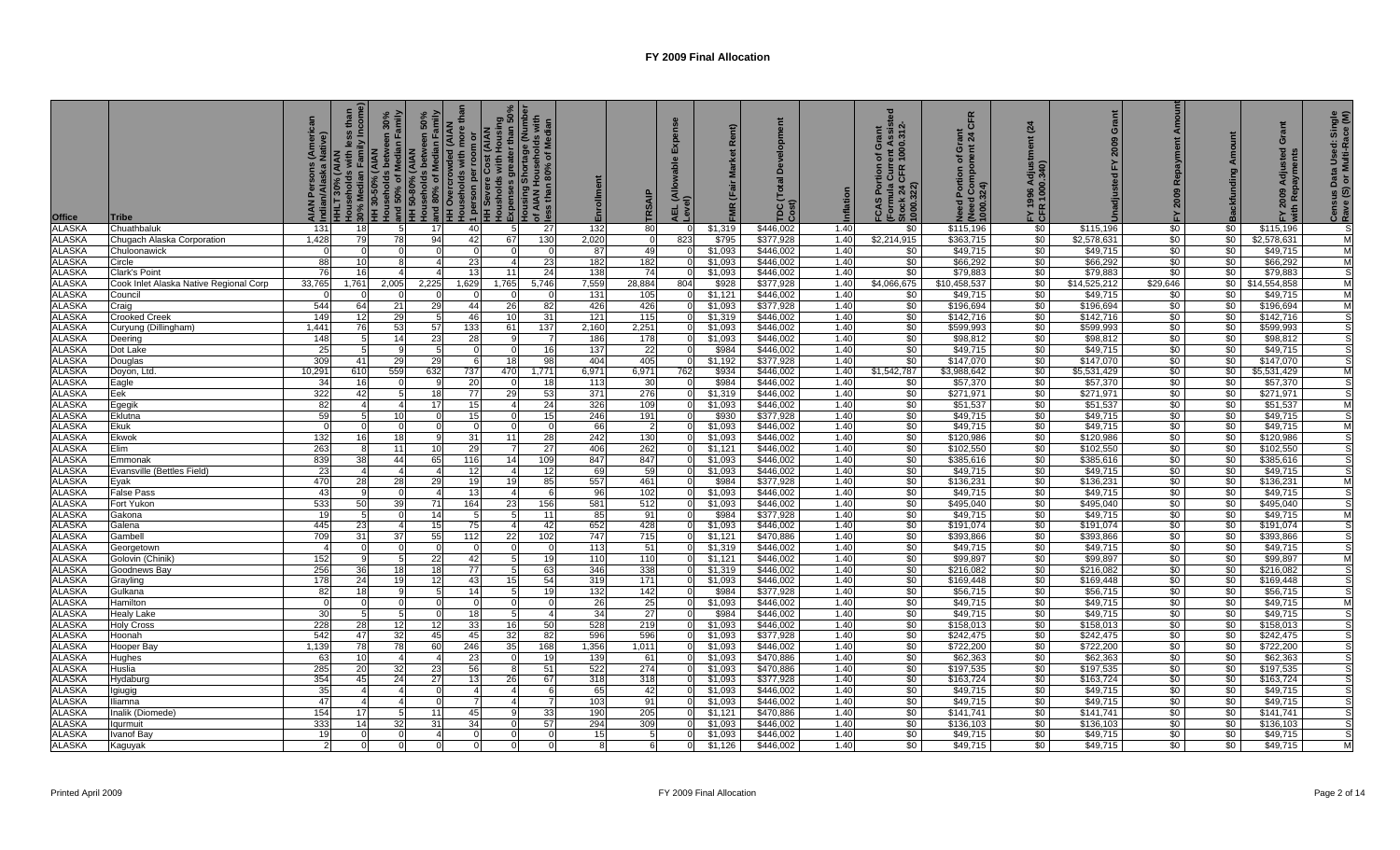| <b>Office</b>                  | <b>Tribe</b>                                      | (Americ<br>Native) | mily Incom<br>30% Median Famil<br>HH 30-50% (AIAN<br><b>HHLT 30% (AIAN<br/>Households with I</b> | Households between 30%<br>  and 50% of Median Family<br>  HH 50-80% (AIAN | 50%<br>amily<br>nouso<br> and 80% of Median Famil<br> עון חעפוכו של AIAN <br>een<br>$\mathbf{a}$<br>$rac{1}{2}$ | eholds with more th<br><b>AIAN</b><br>1 person per roor<br>HH Severe Cost (<br>Housholds with H<br>Sino | dousholds with Housing<br>Expenses greater than 50%<br>dousing Shortage (Number<br>of AIAN Households with<br>ess than 80% of Median<br>Expenses<br>$rac{5}{2}$ |                       | Enrollment   | RSAI          | 긊               | ξR                 | (Total<br>TDC(<br>Cost) | nflation     | ent Assist<br>1000.312-<br>Grant<br>৳<br>FCAS Portion of<br>(Formula Curre<br>Stock 24 CFR 1<br>1000.322) | CFR<br><u>.</u> 역<br>ō<br>৳<br><b>Pou</b><br>ed Portion<br>الاحت عنايا)<br>1000.324)<br>ပ | (24)<br>FY 1996<br>CFR 100 | Grant<br>2009            | Amoun<br>Repayment<br>2009<br>놊 |                    | Grant<br>ਦ<br>Adju<br>2009   | Census Data Used: Single<br>Rave (S) or Multi-Race (M) |
|--------------------------------|---------------------------------------------------|--------------------|--------------------------------------------------------------------------------------------------|---------------------------------------------------------------------------|-----------------------------------------------------------------------------------------------------------------|---------------------------------------------------------------------------------------------------------|-----------------------------------------------------------------------------------------------------------------------------------------------------------------|-----------------------|--------------|---------------|-----------------|--------------------|-------------------------|--------------|-----------------------------------------------------------------------------------------------------------|-------------------------------------------------------------------------------------------|----------------------------|--------------------------|---------------------------------|--------------------|------------------------------|--------------------------------------------------------|
| <b>ALASKA</b>                  | Chuathbaluk                                       | 131                | 18                                                                                               | 5                                                                         | 17                                                                                                              | 40                                                                                                      | -5                                                                                                                                                              | 27                    | 132          | 80            |                 | \$1,319            | \$446,002               | 1.40         | \$0                                                                                                       | \$115,196                                                                                 | \$0                        | \$115,196                | \$0                             | \$0                | \$115,196                    |                                                        |
| <b>ALASKA</b>                  | Chugach Alaska Corporation                        | 1,428              | 79                                                                                               | 78                                                                        | 94                                                                                                              | 42                                                                                                      | 67                                                                                                                                                              | 130                   | 2,020        | $\Omega$      | 823             | \$795              | \$377,928               | 1.40         | \$2,214,915                                                                                               | \$363,715                                                                                 | $\frac{1}{20}$             | \$2,578,631              | \$0                             | \$0                | \$2,578,631                  |                                                        |
| <b>ALASKA</b>                  | Chuloonawick                                      |                    |                                                                                                  |                                                                           |                                                                                                                 | $\Omega$                                                                                                |                                                                                                                                                                 |                       | 87           | 49            |                 | \$1,093            | \$446,002               | 1.40         | \$0                                                                                                       | \$49,715                                                                                  | \$0                        | \$49,715                 | $\frac{1}{20}$                  | $\sqrt{50}$        | \$49,715                     |                                                        |
| <b>ALASKA</b>                  | Circle                                            | 88                 | 10                                                                                               | 8                                                                         |                                                                                                                 | 23                                                                                                      |                                                                                                                                                                 | 23                    | 182          | 182           |                 | \$1,093            | \$446,002               | 1.40         | \$0                                                                                                       | \$66,292                                                                                  | \$0                        | \$66,292                 | \$0                             | $\sqrt{50}$        | \$66,292                     |                                                        |
| <b>ALASKA</b><br><b>ALASKA</b> | Clark's Point                                     | -76                | 16                                                                                               |                                                                           |                                                                                                                 | 13                                                                                                      | 11                                                                                                                                                              | 24                    | 138          | 74            | $\Omega$        | \$1,093<br>\$928   | \$446,002<br>\$377,928  | 1.40<br>1.40 | $\sqrt{50}$                                                                                               | \$79,883<br>\$10,458,537                                                                  | \$0<br>\$0                 | \$79,883<br>\$14,525,212 | \$0<br>\$29,646                 | $\sqrt{50}$        | \$79,883                     |                                                        |
| <b>ALASKA</b>                  | Cook Inlet Alaska Native Regional Corp<br>Council | 33,765             | 1,761                                                                                            | 2,005                                                                     | 2,225<br>$\Omega$                                                                                               | 1,629<br>$\Omega$                                                                                       | 1,765                                                                                                                                                           | 5,746                 | 7,559<br>131 | 28,884<br>105 | 804<br>$\Omega$ | \$1,121            | \$446.002               | 1.40         | \$4,066,675<br>\$0                                                                                        | \$49,715                                                                                  | \$0                        | \$49,715                 | \$0                             | \$0                | \$0 \$14,554,858<br>\$49,715 | M                                                      |
| <b>ALASKA</b>                  | Craig                                             | 544                | 64                                                                                               | 21                                                                        | 29                                                                                                              | 44                                                                                                      | 26                                                                                                                                                              | 82                    | 426          | 426           |                 | \$1.093            | \$377,928               | 1.40         | \$0                                                                                                       | \$196,694                                                                                 | \$0                        | \$196,694                | \$0                             | \$0                | \$196,694                    |                                                        |
| <b>ALASKA</b>                  | <b>Crooked Creek</b>                              | 149                | 12                                                                                               | 29                                                                        | -5                                                                                                              | 46                                                                                                      | 10                                                                                                                                                              | 31                    | 121          | 115           |                 | \$1,319            | \$446.002               | 1.40         | \$0                                                                                                       | \$142,716                                                                                 | \$0                        | \$142,716                | \$0                             | \$0                | \$142,716                    |                                                        |
| <b>ALASKA</b>                  | Curyung (Dillingham)                              | 1.441              | 76                                                                                               | 53                                                                        | 57                                                                                                              | 133                                                                                                     | 61                                                                                                                                                              | 137                   | 2,160        | 2,251         |                 | \$1,093            | \$446.002               | 1.40         | \$0                                                                                                       | \$599,993                                                                                 | \$0                        | \$599,993                | \$0                             | \$0                | \$599,993                    |                                                        |
| <b>ALASKA</b>                  | Deering                                           | 148                |                                                                                                  | 14                                                                        | 23                                                                                                              | 28                                                                                                      |                                                                                                                                                                 |                       | 186          | 178           | $\Omega$        | \$1,093            | \$446,002               | 1.40         | \$0                                                                                                       | \$98,812                                                                                  | \$0                        | \$98,812                 | \$0                             | $\sqrt{50}$        | \$98,812                     |                                                        |
| <b>ALASKA</b>                  | Dot Lake                                          | -25                |                                                                                                  |                                                                           |                                                                                                                 |                                                                                                         |                                                                                                                                                                 | 16                    | 137          | 22            |                 | \$984              | \$446,002               | 1.40         | \$0                                                                                                       | \$49,715                                                                                  | \$0                        | \$49,715                 | \$0                             | \$0                | \$49,715                     |                                                        |
| <b>ALASKA</b>                  | Douglas                                           | 309                | 41                                                                                               | 29                                                                        | 29                                                                                                              | 6                                                                                                       | 18                                                                                                                                                              | 98                    | 404          | 405           | $\Omega$        | \$1,192            | \$377,928               | 1.40         | \$0                                                                                                       | \$147,070                                                                                 | $\sqrt{50}$                | \$147,070                | \$0                             | \$0                | \$147,070                    |                                                        |
| <b>ALASKA</b>                  | Doyon, Ltd.                                       | 0.29'              | 610                                                                                              | 559                                                                       | 632                                                                                                             | 737                                                                                                     | 470                                                                                                                                                             | 1,771                 | 6,971        | 6,971         | 762             | \$934              | \$446,002               | 1.40         | \$1,542,787                                                                                               | \$3,988,642                                                                               | \$0                        | \$5,531,429              | \$0                             | \$0                | \$5,531,429                  |                                                        |
| <b>ALASKA</b>                  | Eagle                                             | 34                 | 16                                                                                               |                                                                           | 9                                                                                                               | 20                                                                                                      |                                                                                                                                                                 | 18                    | 113          | 30            |                 | \$984              | \$446,002               | 1.40         | \$0                                                                                                       | \$57,370                                                                                  | \$0                        | \$57,370                 | \$0                             | \$0                | \$57,370                     |                                                        |
| <b>ALASKA</b>                  | Eek                                               | 322                | 42                                                                                               |                                                                           | 18                                                                                                              | 77                                                                                                      | 29                                                                                                                                                              | 53                    | 371          | 276           |                 | \$1,319            | \$446,002               | 1.40         | \$0                                                                                                       | \$271,971                                                                                 | \$0                        | \$271,971                | \$0                             | \$0                | \$271,971                    |                                                        |
| ALASKA                         | Egegik                                            | -82                |                                                                                                  |                                                                           | 17                                                                                                              | 15                                                                                                      |                                                                                                                                                                 | 24                    | 326          | 109           |                 | \$1,093            | \$446,002               | 1.40         | \$0                                                                                                       | \$51,537                                                                                  | \$0                        | \$51,537                 | \$0                             | \$0                | \$51,537                     |                                                        |
| <b>ALASKA</b>                  | Eklutna                                           | 59                 |                                                                                                  | 10                                                                        |                                                                                                                 | 15                                                                                                      |                                                                                                                                                                 | 15                    | 246          | 191           |                 | \$930              | \$377,928               | 1.40         | \$0                                                                                                       | \$49,715                                                                                  | \$0                        | \$49,715                 | \$0                             | \$0                | \$49,715                     |                                                        |
| <b>ALASKA</b>                  | Ekuk                                              |                    |                                                                                                  |                                                                           |                                                                                                                 | C                                                                                                       |                                                                                                                                                                 |                       | 66           |               |                 | \$1,093            | \$446,002               | 1.40         | \$0                                                                                                       | \$49,715                                                                                  | \$0                        | \$49,715                 | $\frac{1}{20}$                  | \$0                | \$49,715                     |                                                        |
| <b>ALASKA</b>                  | Ekwok<br>Elim                                     | 132                | 16                                                                                               | 18<br>11                                                                  | -9                                                                                                              | 31                                                                                                      | 11                                                                                                                                                              | 28<br>$\overline{27}$ | 242          | 130<br>262    |                 | \$1,093            | \$446,002               | 1.40         | $\sqrt{50}$                                                                                               | \$120,986                                                                                 | \$0<br>\$0                 | \$120,986                | \$0<br>\$0                      | $\sqrt{50}$        | \$120,986                    |                                                        |
| <b>ALASKA</b><br><b>ALASKA</b> | Emmonak                                           | 263<br>839         | 38                                                                                               | 44                                                                        | 10 <sup>1</sup><br>65                                                                                           | 29<br>116                                                                                               | 14                                                                                                                                                              | 109                   | 406<br>847   | 847           | $\Omega$        | \$1,121<br>\$1,093 | \$446,002<br>\$446,002  | 1.40<br>1.40 | \$0<br>\$0                                                                                                | \$102,550<br>\$385,616                                                                    | \$0                        | \$102,550<br>\$385,616   | \$0                             | \$0<br>$\sqrt{50}$ | \$102,550<br>\$385,616       |                                                        |
| <b>ALASKA</b>                  | Evansville (Bettles Field)                        | 23                 |                                                                                                  |                                                                           |                                                                                                                 | 12                                                                                                      |                                                                                                                                                                 | 12                    | 69           | 59            |                 | \$1,093            | \$446,002               | 1.40         | $\sqrt{50}$                                                                                               | \$49,715                                                                                  | \$0                        | \$49,715                 | \$0                             | \$0                | \$49,715                     |                                                        |
| <b>ALASKA</b>                  | Eyak                                              | 470                | 28                                                                                               | 28                                                                        | 29                                                                                                              | 19                                                                                                      | 19                                                                                                                                                              | 85                    | 557          | 461           | $\Omega$        | \$984              | \$377,928               | 1.40         | \$0                                                                                                       | \$136,231                                                                                 | \$0                        | \$136,231                | $\sqrt{6}$                      | \$0                | \$136,231                    | M                                                      |
| <b>ALASKA</b>                  | <b>False Pass</b>                                 | $-43$              |                                                                                                  |                                                                           |                                                                                                                 | 13                                                                                                      | $\Delta$                                                                                                                                                        |                       | 96           | 102           | $\Omega$        | \$1,093            | \$446,002               | 1.40         | \$0                                                                                                       | \$49,715                                                                                  | \$0                        | \$49,715                 | \$0                             | \$0                | \$49,715                     |                                                        |
| <b>ALASKA</b>                  | Fort Yukon                                        | 533                | 50 <sup>1</sup>                                                                                  | 39                                                                        | 71                                                                                                              | 164                                                                                                     | 23                                                                                                                                                              | 156                   | 581          | 512           | $\Omega$        | \$1,093            | \$446.002               | 1.40         | \$0                                                                                                       | \$495,040                                                                                 | $\frac{1}{20}$             | \$495,040                | \$0                             | \$0                | \$495,040                    |                                                        |
| <b>ALASKA</b>                  | Gakona                                            |                    |                                                                                                  |                                                                           | 14                                                                                                              |                                                                                                         |                                                                                                                                                                 | 11                    | 85           | 91            |                 | \$984              | \$377,928               | 1.40         | $\frac{1}{20}$                                                                                            | \$49,715                                                                                  | \$0                        | \$49,715                 | \$0                             | $\sqrt{50}$        | \$49,715                     |                                                        |
| <b>ALASKA</b>                  | Galena                                            | 445                | 23                                                                                               | $\Delta$                                                                  | 15                                                                                                              | 75                                                                                                      |                                                                                                                                                                 | 42                    | 652          | 428           | $\Omega$        | \$1,093            | $\overline{$446,002}$   | 1.40         | \$0                                                                                                       | \$191,074                                                                                 | \$0                        | \$191,074                | \$0                             | \$0                | \$191,074                    |                                                        |
| <b>ALASKA</b>                  | Gambel                                            | 709                | 31                                                                                               | 37                                                                        | 55                                                                                                              | 112                                                                                                     | 22                                                                                                                                                              | 102                   | 747          | 715           |                 | \$1,121            | \$470,886               | 1.40         | \$0                                                                                                       | \$393,866                                                                                 | \$0                        | \$393,866                | \$0                             | \$0                | \$393,866                    |                                                        |
| <b>ALASKA</b>                  | Georgetown                                        |                    | $\Omega$                                                                                         | $\Omega$                                                                  | $\Omega$                                                                                                        | $\Omega$                                                                                                |                                                                                                                                                                 |                       | 113          | 51            | $\Omega$        | \$1,319            | \$446,002               | 1.40         | $\sqrt{50}$                                                                                               | \$49,715                                                                                  | \$0                        | \$49,715                 | \$0                             | $\sqrt{50}$        | \$49,715                     |                                                        |
| <b>ALASKA</b>                  | Golovin (Chinik)                                  | 152                |                                                                                                  | 5                                                                         | 22                                                                                                              | 42                                                                                                      |                                                                                                                                                                 | 19                    | 110          | 110           |                 | \$1,121            | \$446,002               | 1.40         | \$0                                                                                                       | \$99,897                                                                                  | \$0                        | \$99,897                 | \$0                             | \$0                | \$99,897                     |                                                        |
| <b>ALASKA</b>                  | Goodnews Bay                                      | 256                | 36                                                                                               | 18                                                                        | 18                                                                                                              | 77                                                                                                      |                                                                                                                                                                 | 63                    | 346          | 338           |                 | \$1,319            | \$446,002               | 1.40         | \$0                                                                                                       | \$216,082                                                                                 | $\frac{1}{20}$             | \$216,082                | \$0                             | \$0                | \$216,082                    |                                                        |
| <b>ALASKA</b>                  | Grayling                                          | 178                | 24                                                                                               | 19                                                                        | 12                                                                                                              | 43                                                                                                      | 15                                                                                                                                                              | 54                    | 319          | 171           |                 | \$1,093            | \$446,002               | 1.40         | \$0                                                                                                       | \$169,448                                                                                 | \$0                        | \$169,448                | \$0                             | \$0                | \$169,448                    |                                                        |
| <b>ALASKA</b>                  | Gulkana                                           | 82                 | 18                                                                                               |                                                                           | 5                                                                                                               | 14                                                                                                      |                                                                                                                                                                 | 1 <sup>c</sup>        | 132          | 142           |                 | \$984              | \$377,928               | 1.40         | \$0                                                                                                       | \$56,715                                                                                  | \$0                        | \$56,715                 | \$0                             | \$0                | \$56,715                     |                                                        |
| <b>ALASKA</b><br><b>ALASKA</b> | Hamilton<br>Healy Lake                            | -30                |                                                                                                  |                                                                           |                                                                                                                 | 18                                                                                                      |                                                                                                                                                                 |                       | 26<br>34     | 25<br>27      |                 | \$1,093<br>\$984   | \$446,002<br>\$446,002  | 1.40<br>1.40 | \$0<br>\$0                                                                                                | \$49,715<br>\$49,715                                                                      | \$0<br>\$0                 | \$49,715<br>\$49,715     | \$0<br>\$0                      | \$0<br>\$0         | \$49,715<br>\$49,715         |                                                        |
| <b>ALASKA</b>                  | <b>Holy Cross</b>                                 | 228                | 28                                                                                               | 12                                                                        | 12 <sup>1</sup>                                                                                                 | 33                                                                                                      | 16                                                                                                                                                              | 50                    | 528          | 219           |                 | \$1,093            | \$446,002               | 1.40         | \$0                                                                                                       | \$158,013                                                                                 | \$0                        | \$158,013                | \$0                             | \$0                | \$158,013                    |                                                        |
| <b>ALASKA</b>                  | Hoonah                                            | 542                | 47                                                                                               | 32                                                                        | 45                                                                                                              | 45                                                                                                      | 32                                                                                                                                                              | 82                    | 596          | 596           |                 | \$1,093            | \$377,928               | 1.40         | \$0                                                                                                       | \$242,475                                                                                 | \$0                        | \$242,475                | \$0                             | \$0                | \$242,475                    |                                                        |
| <b>ALASKA</b>                  | Hooper Bay                                        | 1,139              | 78                                                                                               | 78                                                                        | 60                                                                                                              | 246                                                                                                     | 35                                                                                                                                                              | 168                   | 1,356        | 1,011         |                 | \$1,093            | \$446,002               | 1.40         | $\sqrt{50}$                                                                                               | \$722,200                                                                                 | \$0                        | \$722,200                | \$0                             | $\sqrt{50}$        | \$722,200                    |                                                        |
| <b>ALASKA</b>                  | Hughes                                            | -63                | 10                                                                                               |                                                                           |                                                                                                                 | 23                                                                                                      |                                                                                                                                                                 | 1 <sup>c</sup>        | 139          | 61            |                 | \$1,093            | \$470,886               | 1.40         | \$0                                                                                                       | \$62,363                                                                                  | \$0                        | \$62,363                 | \$0                             | $\sqrt{50}$        | \$62,363                     |                                                        |
| <b>ALASKA</b>                  | Huslia                                            | 285                | 20                                                                                               | 32                                                                        | 23                                                                                                              | 56                                                                                                      | -8                                                                                                                                                              | 51                    | 522          | 274           | $\Omega$        | \$1,093            | \$470,886               | 1.40         | \$0                                                                                                       | \$197,535                                                                                 | \$0                        | \$197,535                | \$0                             | \$0                | \$197,535                    |                                                        |
| <b>ALASKA</b>                  | Hydaburg                                          | 354                | 45                                                                                               | 24                                                                        | 27                                                                                                              | 13                                                                                                      | 26                                                                                                                                                              | 67                    | 318          | 318           |                 | \$1,093            | \$377,928               | 1.40         | $\sqrt{50}$                                                                                               | \$163,724                                                                                 | \$0                        | \$163,724                | \$0                             | \$0                | \$163,724                    |                                                        |
| <b>ALASKA</b>                  | Igiugig                                           | -35                |                                                                                                  | $\overline{4}$                                                            | $\Omega$                                                                                                        | $\overline{4}$                                                                                          | $\overline{4}$                                                                                                                                                  | f                     | 65           | 42            | $\Omega$        | \$1,093            | \$446,002               | 1.40         | $\sqrt{50}$                                                                                               | \$49,715                                                                                  | $\frac{1}{20}$             | \$49,715                 | \$0                             | $\sqrt{50}$        | \$49,715                     |                                                        |
| <b>ALASKA</b>                  | lliamna                                           | -47                |                                                                                                  |                                                                           |                                                                                                                 |                                                                                                         |                                                                                                                                                                 |                       | 103          | 91            |                 | \$1,093            | \$446,002               | 1.40         | \$0                                                                                                       | \$49,715                                                                                  | \$0                        | \$49,715                 | \$0                             | \$0                | \$49,715                     |                                                        |
| <b>ALASKA</b>                  | Inalik (Diomede)                                  | 154                | 17                                                                                               | 5                                                                         | 11                                                                                                              | 45                                                                                                      |                                                                                                                                                                 | 33                    | 190          | 205           |                 | \$1,121            | \$470.886               | 1.40         | \$0                                                                                                       | \$141,741                                                                                 | $\sqrt{50}$                | \$141,741                | \$0                             | \$0                | \$141.741                    |                                                        |
| <b>ALASKA</b>                  | lgurmuit                                          | 333                | 14                                                                                               | 32                                                                        | 31                                                                                                              | 34                                                                                                      | $\Omega$                                                                                                                                                        | 57                    | 294          | 309           |                 | \$1,093            | \$446,002               | 1.40         | \$0                                                                                                       | \$136,103                                                                                 | \$0                        | \$136,103                | \$0                             | \$0                | \$136,103                    |                                                        |
| <b>ALASKA</b>                  | Ivanof Bay                                        | 19                 |                                                                                                  |                                                                           |                                                                                                                 |                                                                                                         |                                                                                                                                                                 |                       | 15           | .5            |                 | \$1,093            | \$446.002               | 1.40         | \$0                                                                                                       | \$49,715                                                                                  | \$0                        | \$49,715                 | $\frac{1}{20}$                  | \$0                | \$49,715                     |                                                        |
| <b>ALASKA</b>                  | Kaguyak                                           |                    |                                                                                                  |                                                                           |                                                                                                                 |                                                                                                         |                                                                                                                                                                 |                       |              |               |                 | \$1,126            | \$446,002               | 1.40         | $\sqrt{6}$                                                                                                | \$49,715                                                                                  | $\frac{1}{2}$              | \$49,715                 | $\sqrt{6}$                      | \$0                | \$49,715                     |                                                        |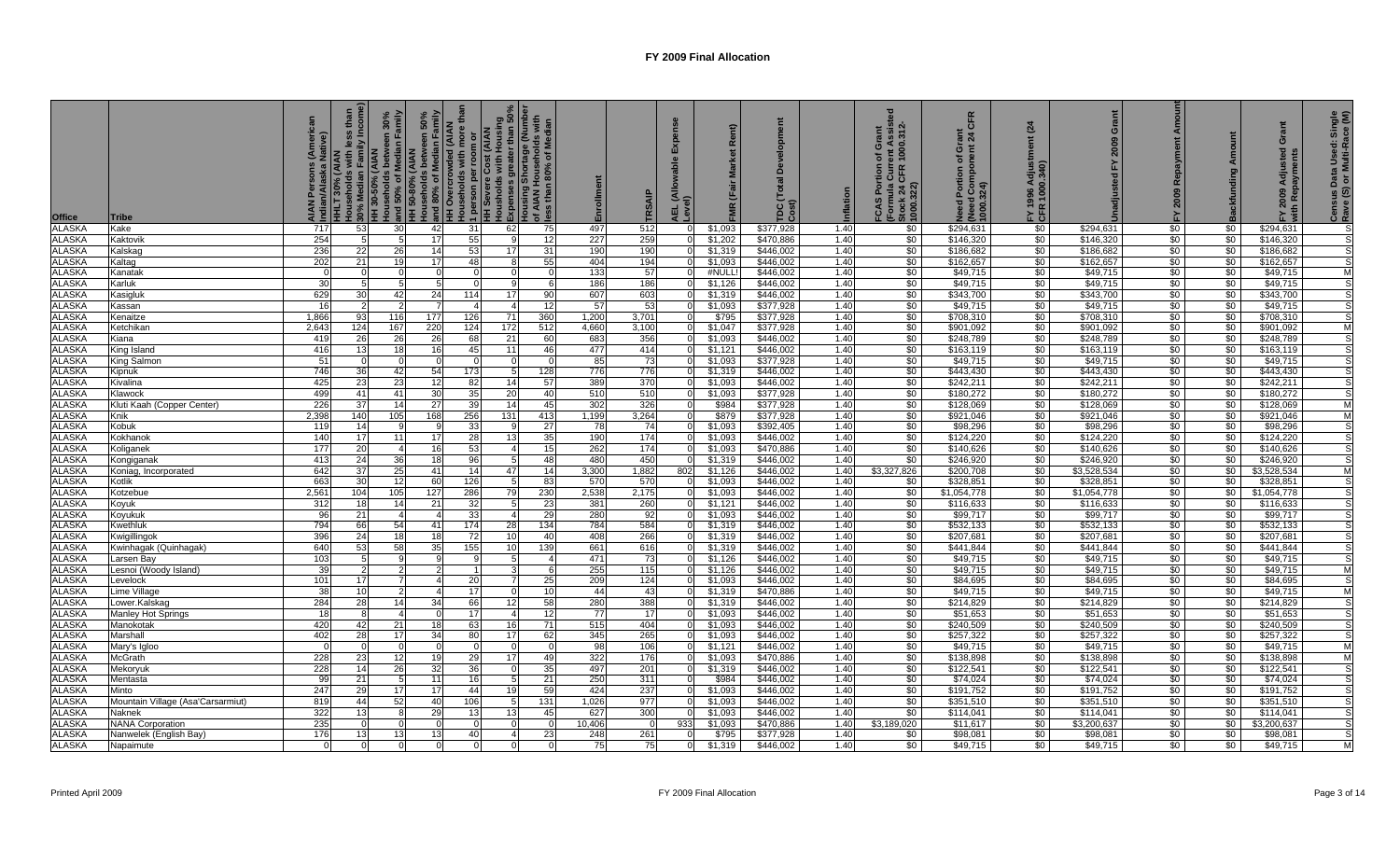| <b>Office</b>                  | <b>Tribe</b>                               | merica<br>tive) | ily Incom<br><b>HH 30-50% (AIAN</b><br><b>IHLT 30% (AIAN</b><br>Iouseholds with | and 50% of Median Family<br>HH 50-80% (AAN<br>HH 50-80% (AAN<br>Aruseholds betwie | 50%<br>amily<br>i אויס פון Median Famil<br>and 80% of Median Famil<br>בוא האימינו CNAN | more t<br>1 person per room or<br>HH Severe Cost (AIAN<br>Housholds with Housin<br>ă | Housholds with Housing<br>Expenses greater than 50%<br>Housing Shortage (Number<br>of AIAN Households with<br>ess than 80% of Median<br>Expenses |                       | Enrollment   | RSAI       | 긊                    | y                  | TDC(<br>Cost)          | nflation     | ent Assist<br>1000.312-<br>Grant<br>৳<br>Cur<br>CFR<br>FCAS Port<br>(Formula (<br>Stock 24 C<br>1000.322) | CFR<br>$\frac{1}{6}$ $\frac{1}{2}$<br>ō<br>ቴ<br>Portion<br>(Need Con<br>1000.324)<br>$\ddot{\mathbf{c}}$<br>$\overline{a}$ | (24)<br>Ξ<br>FY 1996<br>CFR 1000 | Grant<br>2009<br>놊     | <b>Re</b><br>2009 |                 | Grant<br><b>Ted</b><br>Ādi<br>2009 | Census Data Used: Single<br>Rave (S) or Multi-Race (M) |
|--------------------------------|--------------------------------------------|-----------------|---------------------------------------------------------------------------------|-----------------------------------------------------------------------------------|----------------------------------------------------------------------------------------|--------------------------------------------------------------------------------------|--------------------------------------------------------------------------------------------------------------------------------------------------|-----------------------|--------------|------------|----------------------|--------------------|------------------------|--------------|-----------------------------------------------------------------------------------------------------------|----------------------------------------------------------------------------------------------------------------------------|----------------------------------|------------------------|-------------------|-----------------|------------------------------------|--------------------------------------------------------|
| <b>ALASKA</b>                  | Kake                                       | 717             | 53                                                                              | 30                                                                                | 42                                                                                     | 31                                                                                   | 62                                                                                                                                               | 75                    | 497          | 512        |                      | \$1,093            | \$377,928              | 1.40         | \$0                                                                                                       | \$294,631                                                                                                                  | \$0                              | \$294,631              | \$0               | \$0             | \$294,631                          |                                                        |
| <b>ALASKA</b>                  | Kaktovik                                   | 254             |                                                                                 |                                                                                   | 17                                                                                     | 55                                                                                   |                                                                                                                                                  | 12                    | 227          | 259        |                      | \$1,202            | \$470,886              | 1.40         | \$0                                                                                                       | \$146,320                                                                                                                  | $\frac{1}{6}$                    | \$146,320              | \$0               | \$0             | \$146,320                          |                                                        |
| <b>ALASKA</b>                  | Kalskag                                    | 236             | 22                                                                              | 26                                                                                | 14                                                                                     | 53                                                                                   | 17                                                                                                                                               | 31                    | 190          | 190        | $\Omega$             | \$1,319            | \$446,002              | 1.40         | \$0                                                                                                       | \$186,682                                                                                                                  | $\frac{1}{2}$                    | \$186,682              | \$0               | $\frac{1}{20}$  | \$186,682                          |                                                        |
| <b>ALASKA</b>                  | Kaltag                                     | 202             | 21                                                                              | 19                                                                                | 17                                                                                     | 48                                                                                   | -8                                                                                                                                               | 55                    | 404          | 194        |                      | \$1,093            | \$446,002              | 1.40         | \$0                                                                                                       | \$162,657                                                                                                                  | \$0                              | \$162,657              | \$0               | \$0             | \$162,657                          |                                                        |
| <b>ALASKA</b>                  | Kanatak                                    |                 |                                                                                 |                                                                                   | 5 <sup>1</sup>                                                                         | $\Omega$                                                                             | - 0                                                                                                                                              | $\Omega$              | 133          | 57         | $\Omega$             | #NULI              | \$446.002              | 1.40         | \$0                                                                                                       | \$49,715                                                                                                                   | \$0                              | \$49,715               | \$0               | \$0             | \$49,715                           | M                                                      |
| <b>ALASKA</b><br><b>ALASKA</b> | Karluk<br>Kasigluk                         | 30<br>629       | 30 <sup>I</sup>                                                                 | 42                                                                                | 24                                                                                     | $\Omega$<br>114                                                                      | -9<br>17                                                                                                                                         | -6<br>90              | 186<br>607   | 186<br>603 | $\Omega$<br>$\Omega$ | \$1.126<br>\$1,319 | \$446.002<br>\$446,002 | 1.40<br>1.40 | \$0<br>\$0                                                                                                | \$49,715<br>\$343,700                                                                                                      | \$0<br>\$0                       | \$49,715<br>\$343,700  | \$0<br>\$0        | \$0<br>\$0      | \$49,715<br>\$343,700              |                                                        |
| <b>ALASKA</b>                  | Kassan                                     |                 |                                                                                 |                                                                                   |                                                                                        |                                                                                      |                                                                                                                                                  | 12                    | 57           | 53         |                      | \$1.093            | \$377,928              | 1.40         | \$0                                                                                                       | \$49,715                                                                                                                   | \$0                              | \$49,715               | $\overline{50}$   | \$0             | \$49,715                           |                                                        |
| <b>ALASKA</b>                  | Kenaitze                                   | 1,866           | 93                                                                              | 116                                                                               | 177                                                                                    | 126                                                                                  | 71                                                                                                                                               | 360                   | 1,200        | 3,701      |                      | \$795              | \$377,928              | 1.40         | $\sqrt{50}$                                                                                               | \$708,310                                                                                                                  | $\frac{1}{2}$                    | \$708,310              | \$0               | \$0             | \$708,310                          |                                                        |
| <b>ALASKA</b>                  | Ketchikan                                  | 2,643           | 124                                                                             | 167                                                                               | 220                                                                                    | 124                                                                                  | 172                                                                                                                                              | 512                   | 4,660        | 3,100      |                      | \$1,047            | \$377,928              | 1.40         | \$0                                                                                                       | \$901,092                                                                                                                  | $\frac{6}{3}$                    | \$901,092              | \$0               | \$0             | \$901,092                          |                                                        |
| <b>ALASKA</b>                  | Kiana                                      | 419             | 26                                                                              | 26                                                                                | 26                                                                                     | 68                                                                                   | 21                                                                                                                                               | 60                    | 683          | 356        | $\overline{0}$       | \$1,093            | \$446,002              | 1.40         | \$0                                                                                                       | \$248,789                                                                                                                  | $\frac{6}{3}$                    | \$248,789              | \$0               | \$0             | \$248,789                          |                                                        |
| <b>ALASKA</b>                  | King Island                                | 416             | 13                                                                              | 18                                                                                | 16                                                                                     | 45                                                                                   | 11                                                                                                                                               | 46                    | 477          | 414        |                      | \$1,121            | \$446,002              | 1.40         | \$0                                                                                                       | \$163,119                                                                                                                  | $\frac{1}{6}$                    | \$163,119              | \$0               | \$0             | \$163,119                          |                                                        |
| <b>ALASKA</b>                  | King Salmon                                | 51              |                                                                                 |                                                                                   |                                                                                        |                                                                                      |                                                                                                                                                  |                       | 85           | 73         |                      | \$1,093            | \$377,928              | 1.40         | \$0                                                                                                       | \$49,715                                                                                                                   | $\frac{6}{3}$                    | \$49,715               | \$0               | \$0             | \$49,715                           |                                                        |
| <b>ALASKA</b>                  | Kipnuk                                     | 746             | 36                                                                              | 42                                                                                | 54                                                                                     | 173                                                                                  |                                                                                                                                                  | 128                   | 776          | 776        |                      | \$1,319            | \$446,002              | 1.40         | \$0                                                                                                       | \$443,430                                                                                                                  | \$0                              | \$443,430              | \$0               | \$0             | \$443,430                          |                                                        |
| <b>ALASKA</b>                  | Kivalina                                   | 425             | 23                                                                              | 23                                                                                | 12                                                                                     | 82                                                                                   | 14                                                                                                                                               | 57                    | 389          | 370        |                      | \$1,093            | \$446,002              | 1.40         | \$0                                                                                                       | \$242,211                                                                                                                  | \$0                              | \$242,211              | \$0               | \$0             | \$242,211                          |                                                        |
| <b>ALASKA</b>                  | Klawock                                    | 499             | 41                                                                              | 41                                                                                | 30                                                                                     | 35                                                                                   | 20                                                                                                                                               | 40                    | 510          | 510        |                      | \$1,093            | \$377,928              | 1.40         | \$0                                                                                                       | \$180,272                                                                                                                  | $\frac{6}{5}$                    | \$180,272              | \$0               | \$0             | \$180,272                          |                                                        |
| <b>ALASKA</b>                  | Kluti Kaah (Copper Center)                 | 226             | 37                                                                              | 14                                                                                | 27                                                                                     | 39                                                                                   | 14                                                                                                                                               | 45                    | 302          | 326        |                      | \$984              | \$377,928              | 1.40         | $\sqrt{50}$                                                                                               | \$128,069                                                                                                                  | \$0                              | \$128,069              | \$0               | \$0             | \$128,069                          | M                                                      |
| <b>ALASKA</b>                  | Knik                                       | 2,398           | 140                                                                             | 105                                                                               | 168                                                                                    | 256                                                                                  | 131                                                                                                                                              | 413                   | 1,199        | 3,264      |                      | \$879              | \$377,928              | 1.40         | \$0                                                                                                       | \$921,046                                                                                                                  | $\frac{1}{2}$                    | \$921,046              | \$0               | \$0             | \$921,046                          | м                                                      |
| <b>ALASKA</b><br><b>ALASKA</b> | Kobuk<br>Kokhanok                          | 119<br>140      | 14<br>17                                                                        | 11                                                                                | 17                                                                                     | 33<br>28                                                                             | 13                                                                                                                                               | $\overline{27}$<br>35 | 78<br>190    | 74<br>174  |                      | \$1,093<br>\$1,093 | \$392,405<br>\$446,002 | 1.40<br>1.40 | \$0<br>\$0                                                                                                | \$98,296<br>\$124,220                                                                                                      | $\frac{1}{6}$<br>$\frac{1}{2}$   | \$98,296<br>\$124,220  | \$0<br>\$0        | \$0<br>\$0      | \$98,296<br>\$124,220              |                                                        |
| <b>ALASKA</b>                  | Koliganek                                  | 177             | 20                                                                              |                                                                                   | 16                                                                                     | 53                                                                                   |                                                                                                                                                  | 15                    | 262          | 174        |                      | \$1.093            | \$470.886              | 1.40         | \$0                                                                                                       | \$140.626                                                                                                                  | $\frac{6}{3}$                    | \$140,626              | \$0               | \$0             | \$140.626                          |                                                        |
| <b>ALASKA</b>                  | Kongiganal                                 | 413             | 24                                                                              | 36                                                                                | 18 <sup>l</sup>                                                                        | 96                                                                                   | -5                                                                                                                                               | 48                    | 480          | 450        | $\Omega$             | \$1.319            | \$446.002              | 1.40         | \$0                                                                                                       | \$246,920                                                                                                                  | $\frac{1}{2}$                    | \$246,920              | \$0               | \$0             | \$246.920                          |                                                        |
| <b>ALASKA</b>                  | Koniag, Incorporated                       | 642             | 37                                                                              | 25                                                                                | 41                                                                                     | 14                                                                                   | 47                                                                                                                                               | 14                    | 3.300        | 1,882      | 802                  | \$1.126            | \$446.002              | 1.40         | \$3,327,826                                                                                               | \$200.708                                                                                                                  | \$0                              | \$3,528,534            | \$0               | \$0             | \$3,528,534                        | м                                                      |
| <b>ALASKA</b>                  | Kotlik                                     | 663             | 30                                                                              | 12                                                                                | 60                                                                                     | 126                                                                                  |                                                                                                                                                  | 83                    | 570          | 570        |                      | \$1,093            | \$446,002              | 1.40         | \$0                                                                                                       | \$328,851                                                                                                                  | $\frac{6}{5}$                    | \$328,851              | \$0               | \$0             | \$328,851                          |                                                        |
| <b>ALASKA</b>                  | Kotzebue                                   | 2,561           | 104                                                                             | 105                                                                               | 127                                                                                    | 286                                                                                  | 79                                                                                                                                               | 230                   | 2,538        | 2,175      |                      | \$1,093            | \$446,002              | 1.40         | \$0                                                                                                       | \$1,054,778                                                                                                                | \$0                              | \$1,054,778            | \$0               | \$0             | \$1,054,778                        |                                                        |
| <b>ALASKA</b>                  | Koyuk                                      | 312             | 18 <sup>1</sup>                                                                 | 14                                                                                | 21                                                                                     | 32                                                                                   | -5                                                                                                                                               | 23                    | 381          | 260        | $\Omega$             | \$1,121            | \$446,002              | 1.40         | \$0                                                                                                       | \$116,633                                                                                                                  | \$0                              | $\overline{$}116,633$  | \$0               | \$0             | \$116,633                          |                                                        |
| <b>ALASKA</b>                  | Koyukuk                                    | 96              | 21                                                                              |                                                                                   |                                                                                        | 33                                                                                   |                                                                                                                                                  | 29                    | 280          | 92         |                      | \$1,093            | \$446,002              | 1.40         | \$0                                                                                                       | \$99,717                                                                                                                   | $\frac{1}{6}$                    | \$99,717               | \$0               | \$0             | \$99,717                           |                                                        |
| <b>ALASKA</b>                  | Kwethluk                                   | 794             | 66                                                                              | 54                                                                                | 41                                                                                     | 174                                                                                  | 28                                                                                                                                               | 134                   | 784          | 584        | $\overline{0}$       | \$1,319            | \$446,002              | 1.40         | \$0                                                                                                       | \$532,133                                                                                                                  | $\frac{6}{3}$                    | \$532,133              | \$0               | \$0             | \$532,133                          |                                                        |
| <b>ALASKA</b>                  | (wigillingok                               | 396             | 24                                                                              | 18                                                                                | 18                                                                                     | 72                                                                                   | 10 <sup>1</sup>                                                                                                                                  | 40                    | 408          | 266        |                      | \$1,319            | \$446,002              | 1.40         | \$0                                                                                                       | \$207,681                                                                                                                  | $\frac{6}{5}$                    | \$207,681              | \$0               | \$0             | \$207,681                          |                                                        |
| <b>ALASKA</b><br><b>ALASKA</b> | Kwinhagak (Quinhagak)                      | 640<br>103      | 53                                                                              | 58                                                                                | 35                                                                                     | 155                                                                                  | 10                                                                                                                                               | 139                   | 661<br>471   | 616<br>73  | $\Omega$             | \$1,319<br>\$1,126 | \$446,002<br>\$446,002 | 1.40<br>1.40 | \$0<br>\$0                                                                                                | \$441,844<br>\$49,715                                                                                                      | $\frac{1}{6}$<br>\$0             | \$441,844<br>\$49,715  | \$0<br>\$0        | \$0<br>\$0      | \$441,844<br>\$49,715              |                                                        |
| <b>ALASKA</b>                  | arsen Bay<br>esnoi (Woody Island).         | 39              |                                                                                 |                                                                                   | 2                                                                                      |                                                                                      |                                                                                                                                                  |                       | 255          | 115        |                      | \$1,126            | \$446,002              | 1.40         | \$0                                                                                                       | \$49,715                                                                                                                   | \$0                              | \$49,715               | \$0               | \$0             | \$49,715                           |                                                        |
| <b>ALASKA</b>                  | .evelock                                   | 101             | 17                                                                              |                                                                                   |                                                                                        | 20                                                                                   |                                                                                                                                                  | 25                    | 209          | 124        |                      | \$1,093            | \$446,002              | 1.40         | \$0                                                                                                       | \$84,695                                                                                                                   | \$0                              | \$84,695               | \$0               | \$0             | \$84,695                           |                                                        |
| <b>ALASKA</b>                  | Lime Village                               | 38              | 10 <sup>1</sup>                                                                 |                                                                                   |                                                                                        | 17                                                                                   |                                                                                                                                                  | 1 <sup>1</sup>        | 44           | 43         |                      | \$1,319            | \$470,886              | 1.40         | \$0                                                                                                       | \$49,715                                                                                                                   | \$0                              | \$49,715               | \$0               | \$0             | \$49,715                           |                                                        |
| <b>ALASKA</b>                  | ower.Kalskac                               | 284             | 28                                                                              | 14                                                                                | 34                                                                                     | 66                                                                                   | 12                                                                                                                                               | 58                    | 280          | 388        |                      | \$1,319            | \$446,002              | 1.40         | $\sqrt{50}$                                                                                               | \$214,829                                                                                                                  | $\frac{1}{6}$                    | \$214,829              | \$0               | \$0             | \$214,829                          |                                                        |
| <b>ALASKA</b>                  | <b>Manley Hot Springs</b>                  |                 |                                                                                 |                                                                                   |                                                                                        | 17                                                                                   |                                                                                                                                                  | 12                    | 77           | 17         |                      | \$1,093            | \$446,002              | 1.40         | \$0                                                                                                       | \$51,653                                                                                                                   | $\frac{6}{3}$                    | \$51,653               | \$0               | \$0             | \$51,653                           |                                                        |
| <b>ALASKA</b>                  | Manokotak                                  | 420             | 42                                                                              | 21                                                                                | 18                                                                                     | 63                                                                                   | 16                                                                                                                                               | 71                    | 515          | 404        |                      | \$1,093            | \$446,002              | 1.40         | \$0                                                                                                       | \$240,509                                                                                                                  | $\frac{6}{3}$                    | \$240,509              | \$0               | \$0             | \$240,509                          |                                                        |
| <b>ALASKA</b>                  | Marshall                                   | 402             | 28                                                                              | 17                                                                                | 34                                                                                     | 80                                                                                   | 17                                                                                                                                               | 62                    | 345          | 265        |                      | \$1.093            | \$446.002              | 1.40         | \$0                                                                                                       | \$257.322                                                                                                                  | $\frac{1}{6}$                    | \$257.322              | \$0               | \$0             | \$257,322                          |                                                        |
| <b>ALASKA</b>                  | Mary's Igloo                               |                 |                                                                                 |                                                                                   |                                                                                        | $\Omega$                                                                             |                                                                                                                                                  | $\Omega$              | 98           | 106        |                      | \$1,121            | \$446.002              | 1.40         | \$0                                                                                                       | \$49,715                                                                                                                   | \$0                              | \$49,715               | \$0               | \$0             | \$49,715                           | м                                                      |
| <b>ALASKA</b>                  | McGrath                                    | 228             | 23                                                                              | 12                                                                                | 19                                                                                     | 29                                                                                   | 17                                                                                                                                               | 49                    | 322          | 176        |                      | \$1,093            | \$470.886              | 1.40         | \$0                                                                                                       | \$138,898                                                                                                                  | \$0                              | \$138,898              | \$0               | \$0             | \$138,898                          |                                                        |
| <b>ALASKA</b>                  | Mekoryuk                                   | 228             | 14                                                                              | 26                                                                                | 32                                                                                     | 36                                                                                   |                                                                                                                                                  | 35                    | 497          | 201        |                      | \$1,319            | \$446,002              | 1.40         | \$0                                                                                                       | \$122,541                                                                                                                  | $\sqrt{6}$                       | \$122,541              | \$0               | $\overline{50}$ | \$122,541                          |                                                        |
| <b>ALASKA</b>                  | Mentasta                                   | 99              | 21                                                                              | 17                                                                                | 11                                                                                     | 16<br>44                                                                             |                                                                                                                                                  | 21                    | 250          | 311        |                      | \$984              | \$446,002              | 1.40         | \$0                                                                                                       | \$74,024                                                                                                                   | $\frac{1}{6}$                    | $\overline{$}74,024$   | \$0               | \$0             | \$74,024                           |                                                        |
| <b>ALASKA</b><br><b>ALASKA</b> | Minto<br>Mountain Village (Asa'Carsarmiut) | 247<br>819      | 29<br>44                                                                        | 52                                                                                | 17<br>40                                                                               | 106                                                                                  | 19<br>-5                                                                                                                                         | 59<br>131             | 424<br>1,026 | 237<br>977 | $\overline{0}$       | \$1,093<br>\$1,093 | \$446,002<br>\$446,002 | 1.40<br>1.40 | \$0<br>\$0                                                                                                | \$191,752<br>\$351,510                                                                                                     | $\frac{6}{5}$<br>\$0             | \$191,752<br>\$351,510 | \$0<br>\$0        | \$0<br>\$0      | \$191,752<br>\$351,510             |                                                        |
| <b>ALASKA</b>                  | Naknek                                     | 322             | 13 <sup>1</sup>                                                                 |                                                                                   | 29                                                                                     | 13                                                                                   | 13                                                                                                                                               | 45                    | 627          | 300        | $\overline{0}$       | \$1,093            | \$446,002              | 1.40         | \$0                                                                                                       | \$114,041                                                                                                                  | \$0                              | \$114,041              | \$0               | \$0             | \$114,041                          |                                                        |
| <b>ALASKA</b>                  | <b>VANA Corporation</b>                    | 235             |                                                                                 |                                                                                   |                                                                                        |                                                                                      |                                                                                                                                                  |                       | 10.406       | $\Omega$   | 933                  | \$1.093            | \$470,886              | 1.40         | \$3,189,020                                                                                               | \$11,617                                                                                                                   | \$0                              | \$3,200,637            | \$0               | \$0             | \$3,200,637                        |                                                        |
| <b>ALASKA</b>                  | Nanwelek (English Bay)                     | 176             | 13 <sub>l</sub>                                                                 | 13                                                                                | 13 <sup>1</sup>                                                                        | 40                                                                                   |                                                                                                                                                  | 23                    | 248          | 261        |                      | \$795              | \$377,928              | 1.40         | \$0                                                                                                       | \$98,081                                                                                                                   | \$0                              | \$98,081               | \$0               | \$0             | \$98,081                           |                                                        |
| <b>ALASKA</b>                  | Napaimute                                  |                 |                                                                                 |                                                                                   |                                                                                        |                                                                                      |                                                                                                                                                  |                       | 75           | 75         |                      | \$1,319            | \$446,002              | 1.40         | \$0                                                                                                       | \$49,715                                                                                                                   | \$0                              | \$49,715               | \$0               | \$0             | \$49.715                           |                                                        |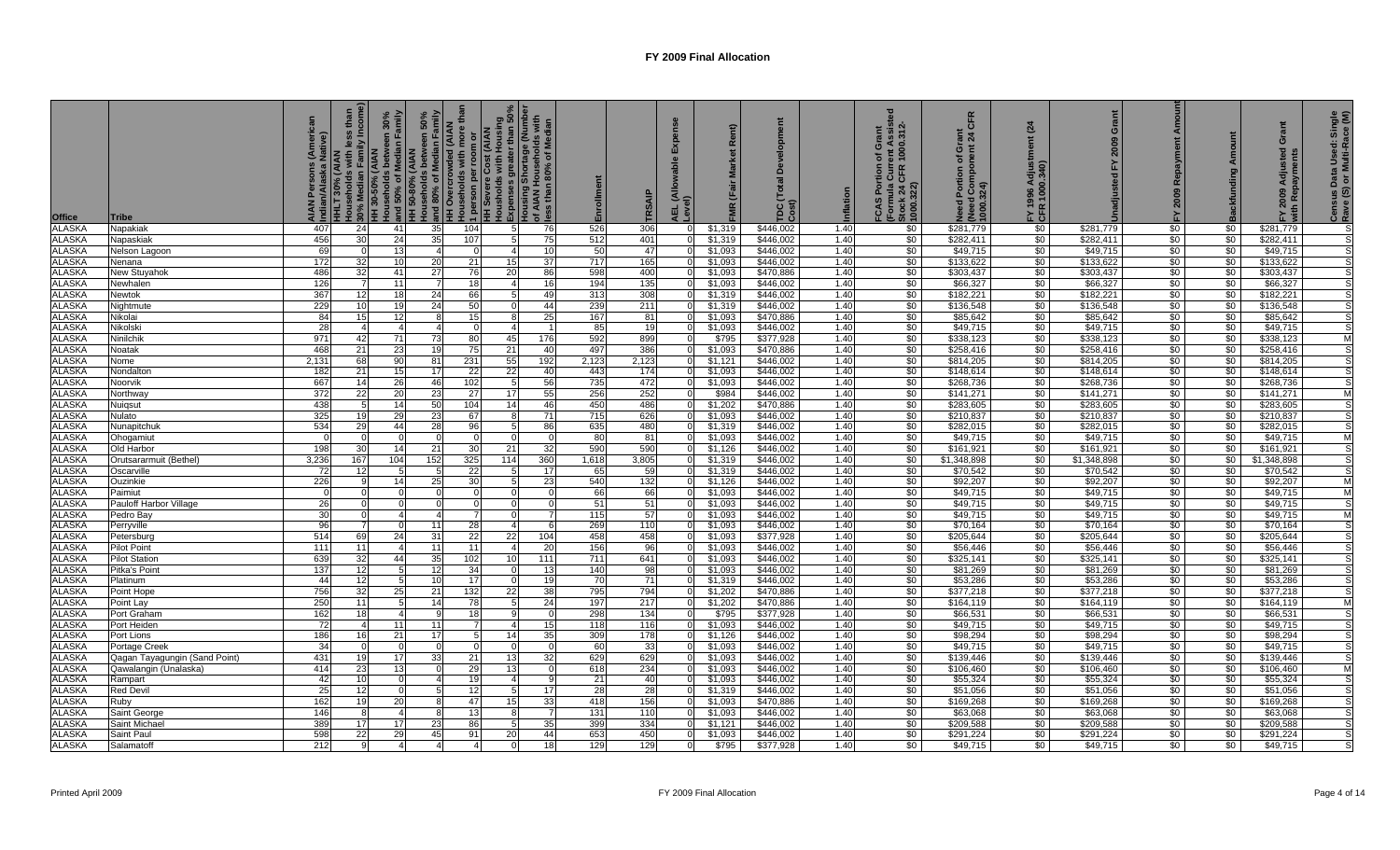| <b>Office</b>                  | <b>Tribe</b>                          | (American<br>Native) | mily Income<br><b>HHLT 30% (AIAN<br/>Households with I</b> | 30% Median Family<br>HH 30-50% (AIAN | Households between 30%<br>  and 50% of Median Family<br>  HH 50-80% (AIAN<br>  Households between 50%<br>50%<br>amily<br>nouse<br>and 80% of Median Famil<br>אום חעפוכו של AIAN<br>een | more tha<br><b>AIAN</b><br>eholds with<br>1 person per roon<br>HH Severe Cost (<br>Housholds with H<br><b>Sno</b> | Housholds with Housing<br>, Expenses greater than 50%<br>Housing Shortage (Number<br>of AIAN Households with<br>, less than 80% of Median |                 | Enrollment | RSAI       | 긊              | ξR                 | Ĕ<br>TDC(<br>Cost)     | nflation     | ent Assiste<br>1000.312-<br>Grant<br>৳<br>FCAS Portion<br>(Formula Curre<br>Stock 24 CFR 1<br>1000.322) | CFR<br><u>를 각</u><br>ō<br>৳<br><b>Pou</b><br>ed Portion<br>(Need Con<br>1000.324)<br>$\ddot{\circ}$ | (24)<br>FY 1996<br>CFR 100 | Grant<br>2009         | Amoun<br>Repayment<br>2009<br>놊 |                 | Grant<br>ਦ<br>Adju<br>2009 | Census Data Used: Single<br>Rave (S) or Multi-Race (M) |
|--------------------------------|---------------------------------------|----------------------|------------------------------------------------------------|--------------------------------------|----------------------------------------------------------------------------------------------------------------------------------------------------------------------------------------|-------------------------------------------------------------------------------------------------------------------|-------------------------------------------------------------------------------------------------------------------------------------------|-----------------|------------|------------|----------------|--------------------|------------------------|--------------|---------------------------------------------------------------------------------------------------------|-----------------------------------------------------------------------------------------------------|----------------------------|-----------------------|---------------------------------|-----------------|----------------------------|--------------------------------------------------------|
| <b>ALASKA</b>                  | Napakiak                              | 407                  | 24                                                         | 41                                   | 35                                                                                                                                                                                     | 104                                                                                                               | 5                                                                                                                                         | 76              | 526        | 306        |                | \$1,319            | \$446,002              | 1.40         | \$0                                                                                                     | \$281,779                                                                                           | \$0                        | \$281,779             | \$0                             | \$0             | \$281,779                  |                                                        |
| <b>ALASKA</b>                  | Napaskiak                             | 456                  | 30                                                         | 24                                   | 35                                                                                                                                                                                     | 107                                                                                                               | 5                                                                                                                                         | 75              | 512        | 401        |                | \$1,319            | \$446,002              | 1.40         | \$0                                                                                                     | \$282,411                                                                                           | \$0                        | \$282,411             | \$0                             | \$0             | \$282,411                  |                                                        |
| <b>ALASKA</b>                  | Nelson Lagoon                         | 69                   |                                                            | 13                                   | $\overline{4}$                                                                                                                                                                         | $\Omega$                                                                                                          |                                                                                                                                           | 10              | 50         | 47         | $\Omega$       | \$1,093            | \$446,002              | 1.40         | \$0                                                                                                     | \$49,715                                                                                            | \$0                        | \$49,715              | \$0                             | \$0             | \$49,715                   |                                                        |
| <b>ALASKA</b>                  | Nenana                                | 172                  | 32                                                         | 10                                   | 20                                                                                                                                                                                     | 21                                                                                                                | 15                                                                                                                                        | 37              | 717        | 165        |                | \$1,093            | \$446,002              | 1.40         | \$0                                                                                                     | \$133,622                                                                                           | \$0                        | \$133,622             | \$0                             | \$0             | \$133,622                  |                                                        |
| <b>ALASKA</b>                  | <b>New Stuyahok</b>                   | 486                  | 32                                                         | 41                                   | 27                                                                                                                                                                                     | 76                                                                                                                | 20                                                                                                                                        | 86              | 598        | 400        | $\Omega$       | \$1.093            | \$470.886              | 1.40         | \$0                                                                                                     | \$303,437                                                                                           | \$0                        | \$303,437             | \$0                             | $\sqrt{50}$     | \$303,437                  |                                                        |
| <b>ALASKA</b>                  | Newhalen                              | 126                  |                                                            | 11                                   | 7                                                                                                                                                                                      | 18                                                                                                                | 4                                                                                                                                         | 16              | 194        | 135        | $\Omega$       | \$1,093            | \$446.002              | 1.40         | \$0                                                                                                     | \$66,327                                                                                            | \$0                        | \$66,327              | \$0                             | $\sqrt{50}$     | \$66,327                   |                                                        |
| <b>ALASKA</b>                  | Newtok                                | 367                  | $12 \,$                                                    | 18 <sup>1</sup>                      | 24                                                                                                                                                                                     | 66                                                                                                                | -5                                                                                                                                        | 49              | 313        | 308        | $\Omega$       | \$1,319            | \$446,002              | 1.40         | \$0                                                                                                     | \$182,221                                                                                           | \$0                        | \$182,221             | \$0                             | $\sqrt{50}$     | \$182,221                  |                                                        |
| <b>ALASKA</b>                  | Nightmute                             | 229                  | 10 <sup>1</sup>                                            | 19                                   | 24                                                                                                                                                                                     | 50                                                                                                                | $\Omega$                                                                                                                                  | 44              | 239        | 211        |                | \$1,319            | \$446,002              | 1.40         | \$0                                                                                                     | \$136,548                                                                                           | \$0                        | \$136,548             | $\sqrt{6}$                      | \$0             | \$136,548                  |                                                        |
| <b>ALASKA</b>                  | Nikolai                               | 84                   | 15 <sup>1</sup>                                            | 12                                   | 8                                                                                                                                                                                      | 15                                                                                                                |                                                                                                                                           | 25              | 167        | 81         | $\Omega$       | \$1,093            | \$470,886              | 1.40         | $\sqrt{50}$                                                                                             | \$85,642                                                                                            | $\sqrt{50}$                | \$85,642              | \$0                             | $\sqrt{50}$     | \$85,642                   |                                                        |
| <b>ALASKA</b>                  | Nikolski                              | 28<br>971            | 42                                                         | $\overline{4}$                       |                                                                                                                                                                                        | $\Omega$                                                                                                          |                                                                                                                                           |                 | 85<br>592  | 19         | $\Omega$       | \$1,093<br>\$795   | \$446,002<br>\$377,928 | 1.40<br>1.40 | \$0<br>$\frac{1}{20}$                                                                                   | \$49,715<br>\$338,123                                                                               | \$0<br>\$0                 | \$49,715<br>\$338,123 | \$0<br>\$0                      | \$0             | \$49,715                   |                                                        |
| <b>ALASKA</b><br><b>ALASKA</b> | Ninilchik<br>Noatak                   | 468                  | 21                                                         | 71<br>23                             | 73<br>19                                                                                                                                                                               | 80<br>75                                                                                                          | 45<br>21                                                                                                                                  | 176<br>40       | 497        | 899<br>386 |                | \$1,093            | \$470,886              | 1.40         | \$0                                                                                                     | \$258,416                                                                                           | \$0                        | \$258,416             | \$0                             | \$0<br>\$0      | \$338,123<br>\$258,416     |                                                        |
| <b>ALASKA</b>                  | Nome                                  | 2,13'                | 68                                                         | 90                                   | 81                                                                                                                                                                                     | 231                                                                                                               | 55                                                                                                                                        | 192             | 2,123      | 2,123      |                | \$1,121            | \$446,002              | 1.40         | \$0                                                                                                     | \$814,205                                                                                           | \$0                        | \$814,205             | \$0                             | \$0             | \$814,205                  |                                                        |
| <b>ALASKA</b>                  | Nondalton                             | 182                  | 21                                                         | 15                                   | 17                                                                                                                                                                                     | 22                                                                                                                | 22                                                                                                                                        | 40              | 443        | 174        |                | \$1,093            | \$446,002              | 1.40         | \$0                                                                                                     | \$148,614                                                                                           | \$0                        | \$148,614             | \$0                             | \$0             | \$148,614                  |                                                        |
| <b>ALASKA</b>                  | Noorvik                               | 667                  | 14                                                         | 26                                   | 46                                                                                                                                                                                     | 102                                                                                                               |                                                                                                                                           | 56              | 735        | 472        |                | \$1,093            | \$446,002              | 1.40         | \$0                                                                                                     | \$268,736                                                                                           | \$0                        | \$268,736             | \$0                             | \$0             | \$268,736                  |                                                        |
| <b>ALASKA</b>                  | Northway                              | 372                  | 22                                                         | 20                                   | 23                                                                                                                                                                                     | 27                                                                                                                | 17                                                                                                                                        | 55              | 256        | 252        |                | \$984              | \$446,002              | 1.40         | \$0                                                                                                     | \$141,271                                                                                           | $\sqrt{50}$                | \$141,271             | $\overline{50}$                 | \$0             | \$141,271                  |                                                        |
| <b>ALASKA</b>                  | Nuigsut                               | 438                  |                                                            | 14                                   | 50                                                                                                                                                                                     | 104                                                                                                               | 14                                                                                                                                        | 46              | 450        | 486        |                | \$1,202            | \$470,886              | 1.40         | \$0                                                                                                     | \$283,605                                                                                           | \$0                        | \$283,605             | \$0                             | \$0             | \$283,605                  |                                                        |
| <b>ALASKA</b>                  | Nulato                                | 325                  | 19                                                         | 29                                   | 23                                                                                                                                                                                     | 67                                                                                                                | -8                                                                                                                                        | $\overline{71}$ | 715        | 626        |                | \$1,093            | \$446,002              | 1.40         | \$0                                                                                                     | \$210,837                                                                                           | \$0                        | \$210,837             | \$0                             | \$0             | \$210,837                  |                                                        |
| <b>ALASKA</b>                  | Nunapitchuk                           | 534                  | 29                                                         | 44                                   | 28                                                                                                                                                                                     | 96                                                                                                                | 5                                                                                                                                         | 86              | 635        | 480        |                | \$1,319            | \$446,002              | 1.40         | \$0                                                                                                     | \$282,015                                                                                           | \$0                        | \$282,015             | \$0                             | \$0             | \$282,015                  |                                                        |
| <b>ALASKA</b>                  | Ohogamiut                             |                      |                                                            |                                      |                                                                                                                                                                                        | $\Omega$                                                                                                          | $\Omega$                                                                                                                                  |                 | 80         | 81         |                | \$1,093            | \$446,002              | 1.40         | $\sqrt{50}$                                                                                             | \$49,715                                                                                            | \$0                        | \$49,715              | $\frac{1}{20}$                  | \$0             | \$49,715                   |                                                        |
| <b>ALASKA</b>                  | Old Harbor                            | 198                  | 30                                                         | 14                                   | 21                                                                                                                                                                                     | 30                                                                                                                | 21                                                                                                                                        | 32              | 590        | 590        |                | \$1.126            | \$446.002              | 1.40         | \$0                                                                                                     | \$161,921                                                                                           | \$0                        | \$161.921             | \$0                             | \$0             | \$161.921                  |                                                        |
| <b>ALASKA</b>                  | Orutsararmuit (Bethel)                | 3.236                | 167                                                        | 104                                  | 152                                                                                                                                                                                    | 325                                                                                                               | 114                                                                                                                                       | 360             | 1.618      | 3,805      | $\Omega$       | \$1.319            | \$446.002              | 1.40         | \$0                                                                                                     | \$1,348,898                                                                                         | $\frac{1}{20}$             | \$1,348,898           | \$0                             | \$0             | \$1,348,898                |                                                        |
| <b>ALASKA</b>                  | Oscarville                            | -72                  | 12                                                         | 5                                    | -5                                                                                                                                                                                     | 22                                                                                                                |                                                                                                                                           | 17              | 65         | 59         |                | \$1,319            | \$446.002              | 1.40         | $\sqrt{50}$                                                                                             | \$70,542                                                                                            | \$0                        | \$70,542              | \$0                             | \$0             | \$70,542                   |                                                        |
| <b>ALASKA</b>                  | Ouzinkie                              | 226                  | <b>q</b>                                                   | 14                                   | 25                                                                                                                                                                                     | 30                                                                                                                | -5                                                                                                                                        | 23              | 540        | 132        | $\Omega$       | \$1,126            | \$446,002              | 1.40         | \$0                                                                                                     | \$92,207                                                                                            | $\sqrt{6}$                 | \$92,207              | $\sqrt{6}$                      | $\overline{50}$ | \$92,207                   | M                                                      |
| <b>ALASKA</b>                  | Paimiut                               |                      |                                                            |                                      |                                                                                                                                                                                        |                                                                                                                   | $\Omega$                                                                                                                                  |                 | 66         | 66         |                | \$1,093            | \$446,002              | 1.40         | \$0                                                                                                     | \$49,715                                                                                            | \$0                        | \$49,715              | \$0                             | \$0             | \$49,715                   |                                                        |
| <b>ALASKA</b>                  | Pauloff Harbor Village                | 26                   |                                                            | $\Omega$                             | $\Omega$                                                                                                                                                                               | $\Omega$                                                                                                          | $\Omega$                                                                                                                                  |                 | 51         | 51         | $\Omega$       | \$1,093            | \$446,002              | 1.40         | $\sqrt{6}$                                                                                              | \$49,715                                                                                            | \$0                        | \$49,715              | \$0                             | \$0             | \$49,715                   |                                                        |
| <b>ALASKA</b>                  | Pedro Bay                             | 3 <sup>0</sup>       |                                                            | $\overline{\mathbf{A}}$              |                                                                                                                                                                                        |                                                                                                                   | $\Omega$                                                                                                                                  |                 | 115        | 57         |                | \$1,093            | \$446,002              | 1.40         | $\sqrt{6}$                                                                                              | \$49,715                                                                                            | \$0                        | \$49,715              | \$0                             | \$0             | \$49,715                   |                                                        |
| <b>ALASKA</b>                  | Perryville                            | 96                   |                                                            |                                      | 11                                                                                                                                                                                     | 28                                                                                                                | $\overline{4}$                                                                                                                            |                 | 269        | 110        | $\overline{0}$ | \$1,093            | \$446,002              | 1.40         | \$0                                                                                                     | \$70,164                                                                                            | $\frac{6}{3}$              | \$70,164              | \$0                             | \$0             | \$70,164                   |                                                        |
| <b>ALASKA</b>                  | Petersburg                            | 514                  | 69                                                         | 24                                   | 31                                                                                                                                                                                     | 22                                                                                                                | 22                                                                                                                                        | 104             | 458        | 458        |                | \$1,093            | \$377,928              | 1.40         | \$0                                                                                                     | \$205,644                                                                                           | \$0                        | \$205,644             | \$0                             | \$0             | \$205,644                  |                                                        |
| <b>ALASKA</b><br><b>ALASKA</b> | <b>Pilot Point</b>                    | 111<br>639           | 11<br>32                                                   | $\Delta$<br>44                       | 11<br>35                                                                                                                                                                               | 11                                                                                                                | 10                                                                                                                                        | 20<br>111       | 156<br>711 | 96<br>641  |                | \$1,093<br>\$1,093 | \$446,002<br>\$446,002 | 1.40<br>1.40 | \$0<br>\$0                                                                                              | \$56,446<br>\$325,141                                                                               | \$0<br>\$0                 | \$56,446<br>\$325,141 | \$0<br>\$0                      | \$0<br>\$0      | \$56,446<br>\$325,141      |                                                        |
| <b>ALASKA</b>                  | <b>Pilot Station</b><br>Pitka's Point | 137                  | 12                                                         |                                      | 12                                                                                                                                                                                     | 102<br>34                                                                                                         |                                                                                                                                           | 13              | 140        | 98         |                | \$1,093            | \$446,002              | 1.40         | \$0                                                                                                     | \$81,269                                                                                            | \$0                        | \$81,269              | \$0                             | \$0             | \$81,269                   |                                                        |
| <b>ALASKA</b>                  | Platinum                              | 44                   | 12                                                         | 5                                    | 10 <sup>1</sup>                                                                                                                                                                        | 17                                                                                                                | $\Omega$                                                                                                                                  | 19              | 70         | 71         |                | \$1,319            | \$446,002              | 1.40         | \$0                                                                                                     | \$53,286                                                                                            | \$0                        | \$53,286              | \$0                             | \$0             | \$53,286                   |                                                        |
| <b>ALASKA</b>                  | Point Hope                            | 756                  | 32                                                         | 25                                   | 21                                                                                                                                                                                     | 132                                                                                                               | 22                                                                                                                                        | 38              | 795        | 794        |                | \$1,202            | \$470,886              | 1.40         | \$0                                                                                                     | \$377,218                                                                                           | \$0                        | \$377,218             | \$0                             | \$0             | \$377,218                  |                                                        |
| <b>ALASKA</b>                  | Point Lay                             | 250                  | 11                                                         | 5                                    | 14                                                                                                                                                                                     | 78                                                                                                                |                                                                                                                                           | 24              | 197        | 217        |                | \$1,202            | \$470,886              | 1.40         | $\sqrt{50}$                                                                                             | \$164,119                                                                                           | \$0                        | \$164,119             | \$0                             | \$0             | \$164,119                  |                                                        |
| <b>ALASKA</b>                  | Port Graham                           | 162                  | 18                                                         |                                      |                                                                                                                                                                                        | 18                                                                                                                |                                                                                                                                           |                 | 298        | 134        |                | \$795              | \$377,928              | 1.40         | \$0                                                                                                     | \$66,531                                                                                            | \$0                        | \$66,531              | \$0                             | \$0             | \$66,531                   |                                                        |
| <b>ALASKA</b>                  | Port Heiden                           | 72                   |                                                            | 11                                   | 11                                                                                                                                                                                     |                                                                                                                   |                                                                                                                                           | 15              | 118        | 116        |                | \$1,093            | \$446,002              | 1.40         | \$0                                                                                                     | \$49,715                                                                                            | \$0                        | \$49,715              | \$0                             | \$0             | \$49,715                   |                                                        |
| <b>ALASKA</b>                  | Port Lions                            | 186                  | 16                                                         | 21                                   | 17                                                                                                                                                                                     | 5                                                                                                                 | 14                                                                                                                                        | 35              | 309        | 178        |                | \$1.126            | \$446.002              | 1.40         | $\frac{1}{20}$                                                                                          | \$98.294                                                                                            | \$0                        | \$98,294              | \$0                             | \$0             | \$98,294                   |                                                        |
| <b>ALASKA</b>                  | Portage Creek                         | 34                   |                                                            |                                      | $\Omega$                                                                                                                                                                               | $\Omega$                                                                                                          |                                                                                                                                           |                 | 60         | 33         | $\Omega$       | \$1,093            | \$446.002              | 1.40         | $\sqrt{50}$                                                                                             | \$49,715                                                                                            | $\sqrt{50}$                | \$49,715              | $\frac{1}{20}$                  | $\sqrt{50}$     | \$49,715                   |                                                        |
| <b>ALASKA</b>                  | Qagan Tayagungin (Sand Point)         | 431                  | 19                                                         | 17                                   | 33                                                                                                                                                                                     | 21                                                                                                                | 13                                                                                                                                        | 32              | 629        | 629        |                | \$1,093            | \$446.002              | 1.40         | \$0                                                                                                     | \$139,446                                                                                           | \$0                        | \$139,446             | \$0                             | \$0             | \$139,446                  |                                                        |
| <b>ALASKA</b>                  | Qawalangin (Unalaska                  | 414                  | 23                                                         | 13                                   | $\Omega$                                                                                                                                                                               | 29                                                                                                                | 13                                                                                                                                        |                 | 618        | 234        |                | \$1,093            | \$446,002              | 1.40         | \$0                                                                                                     | \$106,460                                                                                           | $\frac{1}{20}$             | \$106,460             | $\sqrt{50}$                     | \$0             | \$106,460                  |                                                        |
| <b>ALASKA</b>                  | Rampart                               | $\overline{4}$       |                                                            |                                      |                                                                                                                                                                                        | 19                                                                                                                |                                                                                                                                           |                 | 21         | 40         |                | \$1,093            | \$446,002              | 1.40         | $\frac{1}{20}$                                                                                          | \$55,324                                                                                            | \$0                        | \$55,324              | \$0                             | \$0             | \$55,324                   |                                                        |
| <b>ALASKA</b>                  | <b>Red Devil</b>                      | 25                   | 12                                                         | $\Omega$                             | 5                                                                                                                                                                                      | 12                                                                                                                | -5                                                                                                                                        | 17              | 28         | 28         | $\Omega$       | \$1,319            | \$446,002              | 1.40         | \$0                                                                                                     | \$51,056                                                                                            | $\frac{1}{20}$             | \$51,056              | \$0                             | $\sqrt{50}$     | \$51,056                   |                                                        |
| <b>ALASKA</b>                  | Ruby                                  | 162                  | 19                                                         | 20                                   | 8                                                                                                                                                                                      | 47                                                                                                                | 15                                                                                                                                        | 33              | 418        | 156        |                | \$1,093            | \$470,886              | 1.40         | \$0                                                                                                     | \$169,268                                                                                           | \$0                        | \$169,268             | \$0                             | \$0             | \$169,268                  |                                                        |
| <b>ALASKA</b>                  | Saint George                          | 146                  |                                                            | $\overline{4}$                       |                                                                                                                                                                                        | 13                                                                                                                |                                                                                                                                           |                 | 131        | 110        | $\Omega$       | \$1,093            | \$446,002              | 1.40         | \$0                                                                                                     | \$63,068                                                                                            | \$0                        | \$63,068              | \$0                             | \$0             | \$63,068                   |                                                        |
| <b>ALASKA</b>                  | Saint Michae                          | 389                  | 17                                                         | 17                                   | 23                                                                                                                                                                                     | 86                                                                                                                |                                                                                                                                           | 35              | 399        | 334        |                | \$1,121            | \$446,002              | 1.40         | \$0                                                                                                     | \$209,588                                                                                           | \$0                        | \$209,588             | \$0                             | \$0             | \$209,588                  |                                                        |
| <b>ALASKA</b>                  | Saint Paul                            | 598                  | 22                                                         | 29                                   | 45                                                                                                                                                                                     | 91                                                                                                                | 20                                                                                                                                        | 44              | 653        | 450        |                | \$1,093            | \$446,002              | 1.40         | \$0                                                                                                     | \$291,224                                                                                           | \$0                        | \$291,224             | \$0                             | \$0             | \$291,224                  |                                                        |
| <b>ALASKA</b>                  | Salamatoff                            | 212                  |                                                            |                                      |                                                                                                                                                                                        |                                                                                                                   |                                                                                                                                           | 18              | 129        | 129        |                | \$795              | \$377,928              | 1.40         | \$0                                                                                                     | \$49,715                                                                                            | \$0                        | \$49,715              | \$0                             | \$0             | \$49,715                   |                                                        |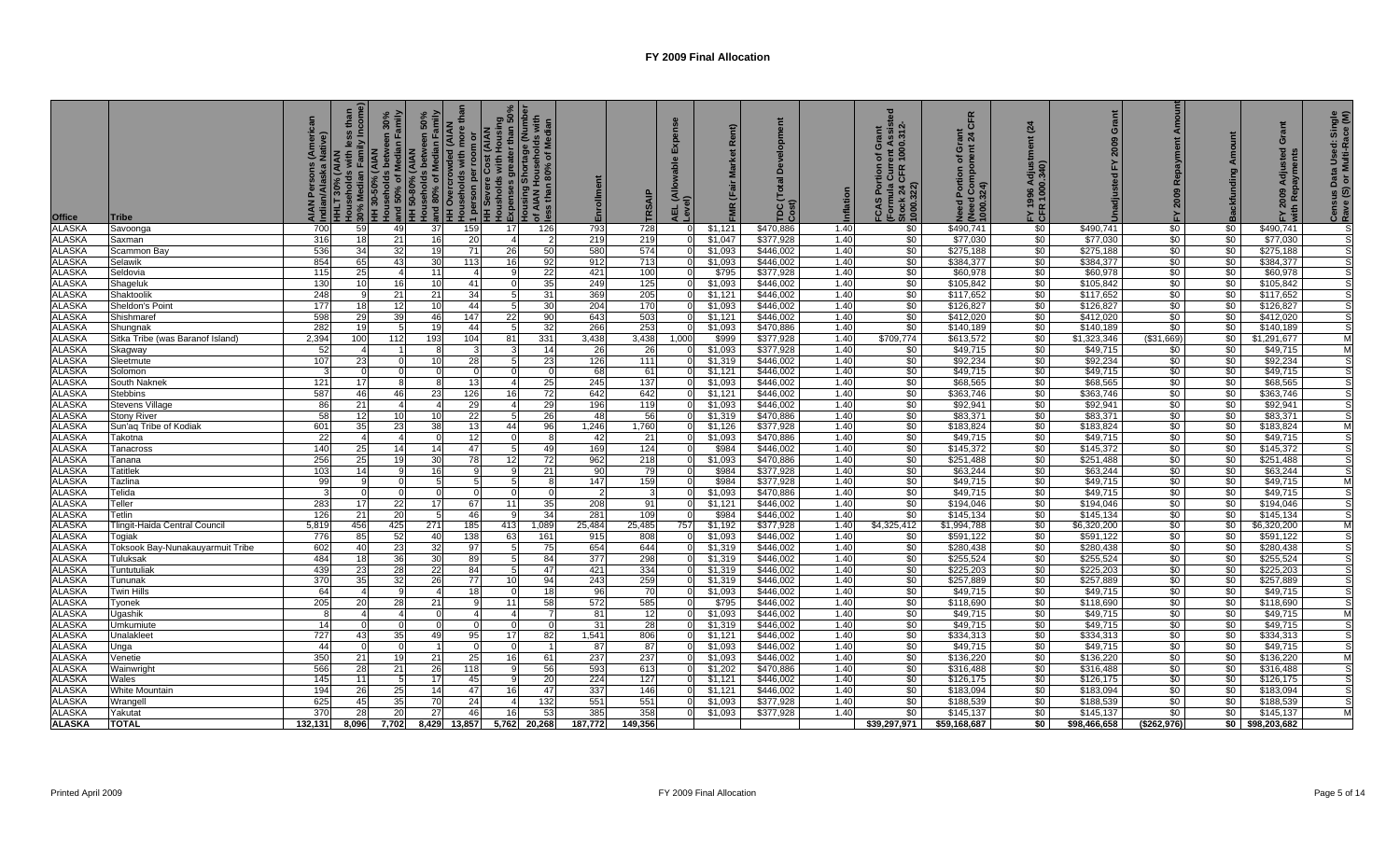| <b>Office</b>                  | Tribe                                   | tive)<br>AIA<br>Indi | ily Incor<br>HHLT 30% (AIAN<br>Households with It<br>30% Median Family<br>HH 30-50% (AIAN |           | Households between 30%<br>and 50% of Median Family<br>HH 50-80% (AIAN<br>Households between 50%<br>Hand 80% of Median Family | <b>HH Overcrowded (AIAN</b><br>Households with more t<br>$\overline{\phantom{a}}$ |                | ງຶ່ງ   person per room or<br> HH Severe Cost (AIAN<br> Housholds with Housing<br> LiΣxpenses greater than 50%<br> Lousing Shortage (Number<br> Mess than 80% of Median | Enrollment    | TRSAIP        | m<br>AEL (Allo<br>Level) | $\tilde{\alpha}$<br><b>NK</b> | TDC(<br>Cost)          | Inflation    | rent Assist<br>1000.312-<br>Grant<br>৳<br>FCAS Portion<br>(Formula Curre<br>Stock 24 CFR<br>1000.322) | <b>CFR</b><br>ត<br>2 4<br>ō<br>đ<br>ed Portion<br>(Need Cor<br>1000.324) | (24)<br>FY 1996<br>CFR 100 | ō<br>2009                            | Amoun<br>Repayment<br>2009<br>집 |                       | $\mathbf C$<br>ਦ<br><b>Ad</b> | Census Data Used: Single<br>Rave (S) or Multi-Race (M) |
|--------------------------------|-----------------------------------------|----------------------|-------------------------------------------------------------------------------------------|-----------|------------------------------------------------------------------------------------------------------------------------------|-----------------------------------------------------------------------------------|----------------|------------------------------------------------------------------------------------------------------------------------------------------------------------------------|---------------|---------------|--------------------------|-------------------------------|------------------------|--------------|-------------------------------------------------------------------------------------------------------|--------------------------------------------------------------------------|----------------------------|--------------------------------------|---------------------------------|-----------------------|-------------------------------|--------------------------------------------------------|
| <b>ALASKA</b>                  | Savoonga                                | 700                  | 59                                                                                        | 49        | 37                                                                                                                           | 159                                                                               | 17             | 126                                                                                                                                                                    | 793           | 728           | - 0                      | \$1,121                       | \$470,886              | 1.40         | \$0                                                                                                   | \$490,741                                                                | \$0                        | \$490,741                            | \$0                             | \$0                   | \$490,741                     |                                                        |
| <b>ALASKA</b>                  | Saxman                                  | 316                  | 18                                                                                        | 21        | 16                                                                                                                           | 20                                                                                | $\overline{4}$ |                                                                                                                                                                        | 219           | 219           |                          | \$1,047                       | \$377,928              | 1.40         | \$0                                                                                                   | \$77.030                                                                 | \$0                        | \$77,030                             | \$0                             | \$0                   | \$77,030                      |                                                        |
| <b>ALASKA</b>                  | Scammon Bay                             | 536                  | 34                                                                                        | 32        | 19                                                                                                                           | 71                                                                                | 26             | 50                                                                                                                                                                     | 580           | 574           |                          | \$1,093                       | \$446,002              | 1.40         | \$0                                                                                                   | \$275,188                                                                | \$0                        | \$275,188                            | \$0                             | \$0                   | \$275,188                     |                                                        |
| <b>ALASKA</b>                  | Selawik                                 | 854                  | 65                                                                                        | 43        | 30                                                                                                                           | 113                                                                               | 16             | 92                                                                                                                                                                     | 912           | 713           |                          | \$1,093                       | \$446,002              | 1.40         | \$0                                                                                                   | \$384,377                                                                | $\sqrt{50}$                | \$384,377                            | \$0                             | \$0                   | \$384,377                     |                                                        |
| <b>ALASKA</b>                  | Seldovia                                | 115                  | 25                                                                                        |           | 11                                                                                                                           |                                                                                   |                | 22                                                                                                                                                                     | 421           | 100           |                          | \$795                         | \$377,928              | 1.40         | \$0                                                                                                   | \$60,978                                                                 | \$0                        | \$60,978                             | \$0                             | \$0                   | \$60,978                      |                                                        |
| <b>ALASKA</b>                  | Shageluk                                | 130                  | 10 <sup>1</sup>                                                                           | 16        | 10                                                                                                                           | 41                                                                                | $\Omega$       | 35                                                                                                                                                                     | 249           | 125           |                          | \$1,093                       | \$446,002              | 1.40         | \$0                                                                                                   | \$105,842                                                                | \$0                        | \$105,842                            | \$0                             | \$0                   | \$105,842                     |                                                        |
| <b>ALASKA</b>                  | Shaktoolik                              | 248                  |                                                                                           | 21        | 21                                                                                                                           | 34                                                                                | $\overline{5}$ | 31                                                                                                                                                                     | 369           | 205           |                          | \$1,121                       | \$446,002              | 1.40         | \$0                                                                                                   | \$117,652                                                                | \$0                        | \$117,652                            | \$0                             | \$0                   | \$117,652                     |                                                        |
| <b>ALASKA</b>                  | Sheldon's Point                         | 177                  | 18 <sup>1</sup>                                                                           | 12        | 10                                                                                                                           | 44                                                                                | -5             | 30                                                                                                                                                                     | 204           | 170           |                          | \$1,093                       | \$446,002              | 1.40         | \$0                                                                                                   | \$126,827                                                                | \$0                        | \$126,827                            | $\sqrt{6}$                      | \$0                   | \$126,827                     |                                                        |
| <b>ALASKA</b>                  | Shishmare                               | 598                  | 29                                                                                        | 39        | 46                                                                                                                           | 147                                                                               | 22             | 90                                                                                                                                                                     | 643           | 503           |                          | \$1,121                       | \$446,002              | 1.40         | \$0                                                                                                   | \$412,020                                                                | \$0                        | \$412,020                            | \$0                             | \$0                   | \$412,020                     |                                                        |
| <b>ALASKA</b>                  | Shungnak                                | 282                  | 19                                                                                        |           | 19                                                                                                                           | 44                                                                                | $5^{\circ}$    | 32                                                                                                                                                                     | 266           | 253           |                          | \$1,093                       | \$470,886              | 1.40         | \$0                                                                                                   | \$140,189                                                                | \$0                        | \$140,189                            | \$0                             | $\sqrt{50}$           | \$140,189                     |                                                        |
| <b>ALASKA</b>                  | Sitka Tribe (was Baranof Island)        | 2,394                | 100                                                                                       | 112       | 193                                                                                                                          | 104                                                                               | 81             | 331                                                                                                                                                                    | 3,438         | 3,438         | 1,000                    | \$999                         | \$377,928              | 1.40         | \$709,774                                                                                             | \$613,572                                                                | \$0                        | \$1,323,346                          | (\$31,669)                      | \$0                   | \$1,291,677                   |                                                        |
| <b>ALASKA</b>                  | Skagway                                 | 52                   |                                                                                           |           |                                                                                                                              |                                                                                   |                | 14                                                                                                                                                                     | 26            | 26            |                          | \$1,093                       | \$377,928              | 1.40         | \$0                                                                                                   | \$49,715                                                                 | $\sqrt{50}$                | \$49,715                             | \$0                             | \$0                   | \$49,715                      |                                                        |
| <b>ALASKA</b>                  | Sleetmute                               | 107                  | 23                                                                                        |           | 10                                                                                                                           | 28                                                                                | -5             | 23                                                                                                                                                                     | 126           | 111           |                          | \$1,319                       | \$446,002              | 1.40         | \$0                                                                                                   | \$92,234                                                                 | $\sqrt{50}$                | \$92,234                             | \$0                             | \$0                   | \$92,234                      |                                                        |
| <b>ALASKA</b>                  | Solomon                                 |                      |                                                                                           |           |                                                                                                                              |                                                                                   |                |                                                                                                                                                                        | 68            | 61            |                          | \$1,121                       | \$446,002              | 1.40         | \$0                                                                                                   | \$49,715                                                                 | $\sqrt{50}$                | \$49,715                             | $\frac{1}{20}$                  | \$0                   | \$49,715                      |                                                        |
| <b>ALASKA</b>                  | South Naknek                            | 121                  | 17                                                                                        | 8         |                                                                                                                              | 13                                                                                |                | 25                                                                                                                                                                     | 245           | 137           |                          | \$1,093                       | \$446.002              | 1.40         | \$0                                                                                                   | \$68,565                                                                 | $\sqrt{50}$                | \$68,565                             | \$0                             | \$0                   | \$68,565                      |                                                        |
| <b>ALASKA</b>                  | Stebbins                                | 587                  | 46                                                                                        | 46        | 23                                                                                                                           | 126                                                                               | 16             | 72                                                                                                                                                                     | 642           | 642           |                          | \$1,121                       | \$446,002              | 1.40         | \$0                                                                                                   | \$363,746                                                                | \$0                        | \$363,746                            | \$0                             | \$0                   | \$363,746                     |                                                        |
| <b>ALASKA</b>                  | Stevens Village                         | 86                   | 21                                                                                        |           |                                                                                                                              | 29                                                                                |                | 29                                                                                                                                                                     | 196           | 119           |                          | \$1,093                       | \$446,002              | 1.40         | \$0                                                                                                   | \$92,941                                                                 | \$0                        | \$92,941                             | \$0                             | \$0                   | \$92,941                      |                                                        |
| <b>ALASKA</b>                  | Stony River                             | 58                   | 12                                                                                        | 10        | 10                                                                                                                           | 22                                                                                |                | 26                                                                                                                                                                     | 48            | 56            |                          | \$1,319                       | \$470,886              | 1.40         | \$0                                                                                                   | \$83,371                                                                 | \$0                        | \$83,371                             | \$0                             | \$0                   | \$83,371                      |                                                        |
| <b>ALASKA</b>                  | Sun'ag Tribe of Kodiak                  | 601                  | 35 <sup>1</sup>                                                                           | 23        | 38                                                                                                                           | 13                                                                                | 44             | 96                                                                                                                                                                     | 1,246         | 1,760         |                          | \$1,126                       | \$377.928              | 1.40         | \$0                                                                                                   | \$183,824                                                                | $\sqrt{50}$                | \$183,824                            | \$0                             | \$0                   | \$183,824                     | M                                                      |
| <b>ALASKA</b>                  | <b>Takotna</b>                          | 22                   |                                                                                           |           |                                                                                                                              | 12                                                                                |                |                                                                                                                                                                        | 42            | 21            |                          | \$1,093                       | \$470.886              | 1.40         | \$0                                                                                                   | \$49,715                                                                 | $\sqrt{50}$                | \$49,715                             | \$0                             | \$0                   | \$49,715                      |                                                        |
| <b>ALASKA</b>                  | anacross                                | 140                  | 25                                                                                        | 14        | 14                                                                                                                           | 47                                                                                | -5             | 49                                                                                                                                                                     | 169           | 124           |                          | \$984                         | \$446,002              | 1.40         | \$0                                                                                                   | \$145,372                                                                | \$0                        | \$145,372                            | \$0                             | \$0                   | \$145,372                     |                                                        |
| <b>ALASKA</b>                  | `anana                                  | 256                  |                                                                                           | 19        | 30                                                                                                                           | 78                                                                                | 12             | 72                                                                                                                                                                     | 962           | 218           |                          | \$1,093                       | \$470,886              | 1.40         | \$0                                                                                                   | \$251,488                                                                | \$0                        | \$251,488                            | \$0                             | \$0                   | \$251,488                     |                                                        |
| <b>ALASKA</b>                  | atitlek                                 | 103                  |                                                                                           |           | 16                                                                                                                           |                                                                                   |                | 21                                                                                                                                                                     | 90            | 79            |                          | \$984                         | \$377,928              | 1.40         | \$0                                                                                                   | \$63,244                                                                 | \$0                        | \$63,244                             | \$0                             | \$0                   | \$63,244                      |                                                        |
| <b>ALASKA</b>                  | <b>Fazlina</b>                          | 99                   | q                                                                                         | $\Omega$  | 5                                                                                                                            |                                                                                   | $5^{\circ}$    |                                                                                                                                                                        | 147           | 159           |                          | \$984                         | \$377,928              | 1.40         | \$0                                                                                                   | \$49,715                                                                 | $\sqrt{6}$                 | \$49,715                             | $\overline{50}$                 | \$0                   | \$49,715                      | M                                                      |
| <b>ALASKA</b>                  | elida                                   |                      |                                                                                           | $\Omega$  |                                                                                                                              |                                                                                   |                |                                                                                                                                                                        |               | 3             |                          | \$1,093                       | \$470,886              | 1.40         | \$0                                                                                                   | \$49.715                                                                 | $\frac{1}{20}$             | \$49,715                             | $\overline{50}$                 | \$0                   | \$49,715                      |                                                        |
| <b>ALASKA</b>                  | <b>Feller</b>                           | 283                  | 17                                                                                        | 22        | 17                                                                                                                           | 67                                                                                | 11             | 35                                                                                                                                                                     | 208           | 91            |                          | \$1,121                       | \$446,002              | 1.40         | \$0                                                                                                   | \$194,046                                                                | \$0                        | \$194,046                            | \$0                             | \$0                   | \$194,046                     |                                                        |
| <b>ALASKA</b><br><b>ALASKA</b> | Гetlin<br>Tlingit-Haida Central Council | 126<br>5,819         | 21<br>456                                                                                 | 20<br>425 | -5<br>271                                                                                                                    | 46<br>185                                                                         | -9<br>413      | 34<br>1,089                                                                                                                                                            | 281<br>25,484 | 109<br>25,485 | 757                      | \$984<br>\$1,192              | \$446,002<br>\$377,928 | 1.40<br>1.40 | \$0<br>\$4,325,412                                                                                    | \$145,134<br>\$1,994,788                                                 | \$0<br>\$0                 | $\overline{$}145,134$<br>\$6,320,200 | \$0<br>\$0                      | \$0<br>$\frac{1}{20}$ | \$145,134<br>\$6,320,200      |                                                        |
| <b>ALASKA</b>                  | Togiak                                  | 776                  | 85                                                                                        | 52        | 40                                                                                                                           | 138                                                                               | 63             | 161                                                                                                                                                                    | 915           | 808           |                          | \$1,093                       | \$446,002              | 1.40         | \$0                                                                                                   | \$591,122                                                                | \$0                        | \$591,122                            | \$0                             | \$0                   | \$591,122                     |                                                        |
| <b>ALASKA</b>                  | Foksook Bay-Nunakauyarmuit Tribe        | 602                  | 40                                                                                        | 23        | 32                                                                                                                           | 97                                                                                |                | 75                                                                                                                                                                     | 654           | 644           |                          | \$1,319                       | \$446,002              | 1.40         | \$0                                                                                                   | \$280,438                                                                | $\sqrt{50}$                | \$280,438                            | \$0                             | \$0                   | \$280,438                     |                                                        |
| <b>ALASKA</b>                  | Tuluksak                                | 484                  | 18                                                                                        | 36        | 30                                                                                                                           | 89                                                                                |                | 84                                                                                                                                                                     | 377           | 298           |                          | \$1,319                       | \$446,002              | 1.40         | \$0                                                                                                   | \$255,524                                                                | \$0                        | \$255,524                            | \$0                             | \$0                   | \$255,524                     |                                                        |
| <b>ALASKA</b>                  | Funtutuliak                             | 439                  | 23                                                                                        | 28        | 22                                                                                                                           | 84                                                                                | 5              | 47                                                                                                                                                                     | 421           | 334           |                          | \$1,319                       | \$446,002              | 1.40         | \$0                                                                                                   | \$225,203                                                                | \$0                        | \$225,203                            | \$0                             | \$0                   | \$225,203                     |                                                        |
| <b>ALASKA</b>                  | ununak <sup>-</sup>                     | 370                  | 35                                                                                        | 32        | 26                                                                                                                           | 77                                                                                | 10             | 94                                                                                                                                                                     | 243           | 259           |                          | \$1,319                       | \$446,002              | 1.40         | \$0                                                                                                   | \$257,889                                                                | \$0                        | \$257,889                            | \$0                             | \$0                   | \$257,889                     |                                                        |
| <b>ALASKA</b>                  | win Hills                               | 64                   |                                                                                           |           |                                                                                                                              | 18                                                                                | $\Omega$       | 18                                                                                                                                                                     | 96            | 70            |                          | \$1,093                       | \$446,002              | 1.40         | \$0                                                                                                   | \$49,715                                                                 | $\sqrt{50}$                | \$49,715                             | \$0                             | \$0                   | \$49,715                      |                                                        |
| <b>ALASKA</b>                  | 'yonek                                  | 205                  |                                                                                           | 28        | 21                                                                                                                           |                                                                                   | 11             | 58                                                                                                                                                                     | 572           | 585           |                          | \$795                         | \$446,002              | 1.40         | \$0                                                                                                   | \$118,690                                                                | \$0                        | \$118,690                            | \$0                             | \$0                   | \$118,690                     |                                                        |
| <b>ALASKA</b>                  | Jqashik                                 |                      |                                                                                           |           |                                                                                                                              |                                                                                   | $\overline{4}$ |                                                                                                                                                                        | 81            | 12            |                          | \$1,093                       | \$446,002              | 1.40         | \$0                                                                                                   | \$49,715                                                                 | \$0                        | \$49,715                             | $\frac{1}{6}$                   | $\sqrt{50}$           | \$49,715                      |                                                        |
| <b>ALASKA</b>                  | Jmkumiute                               | 14                   |                                                                                           | $\Omega$  | $\Omega$                                                                                                                     |                                                                                   | $\Omega$       |                                                                                                                                                                        | 31            | 28            |                          | \$1,319                       | \$446,002              | 1.40         | \$0                                                                                                   | \$49,715                                                                 | \$0                        | \$49,715                             | \$0                             | \$0                   | \$49,715                      |                                                        |
| <b>ALASKA</b>                  | Jnalakleet                              | 727                  | 43                                                                                        | 35        | 49                                                                                                                           | 95                                                                                | 17             | 82                                                                                                                                                                     | 1,541         | 806           |                          | \$1,121                       | \$446,002              | 1.40         | \$0                                                                                                   | \$334,313                                                                | $\sqrt{50}$                | \$334,313                            | \$0                             | \$0                   | \$334,313                     |                                                        |
| <b>ALASKA</b>                  | Jnga                                    | 44                   |                                                                                           |           |                                                                                                                              |                                                                                   |                |                                                                                                                                                                        | 87            | 87            |                          | \$1,093                       | \$446,002              | 1.40         | \$0                                                                                                   | \$49,715                                                                 | $\sqrt{50}$                | \$49,715                             | $\frac{1}{20}$                  | \$0                   | \$49,715                      |                                                        |
| <b>ALASKA</b>                  | /enetie                                 | 350                  | 21                                                                                        | 19        | 21                                                                                                                           | 25                                                                                | 16             | 61                                                                                                                                                                     | 237           | 237           |                          | \$1,093                       | \$446,002              | 1.40         | \$0                                                                                                   | \$136,220                                                                | \$0                        | \$136,220                            | \$0                             | \$0                   | \$136,220                     |                                                        |
| <b>ALASKA</b>                  | Wainwright                              | 566                  | 28                                                                                        | 21        | 26                                                                                                                           | 118                                                                               |                | 56                                                                                                                                                                     | 593           | 613           |                          | \$1,202                       | \$470.886              | 1.40         | \$0                                                                                                   | \$316,488                                                                | \$0                        | \$316,488                            | \$0                             | \$0                   | \$316,488                     |                                                        |
| <b>ALASKA</b>                  | Wales                                   | 145                  | 11                                                                                        |           | 17                                                                                                                           | 45                                                                                |                | 20                                                                                                                                                                     | 224           | 127           |                          | \$1,121                       | \$446,002              | 1.40         | \$0                                                                                                   | \$126,175                                                                | \$0                        | \$126,175                            | \$0                             | \$0                   | \$126,175                     |                                                        |
| <b>ALASKA</b>                  | White Mountain                          | 194                  | 26                                                                                        | 25        | 14                                                                                                                           | 47                                                                                | 16             | 47                                                                                                                                                                     | 337           | 146           |                          | \$1,121                       | \$446,002              | 1.40         | \$0                                                                                                   | \$183,094                                                                | \$0                        | \$183,094                            | \$0                             | \$0                   | \$183,094                     |                                                        |
| <b>ALASKA</b>                  | Wrangel                                 | 625                  | 45                                                                                        | 35        | 70                                                                                                                           | 24                                                                                |                | 132                                                                                                                                                                    | 551           | 551           |                          | \$1,093                       | \$377,928              | 1.40         | \$0                                                                                                   | \$188,539                                                                | \$0                        | \$188,539                            | \$0                             | \$0                   | \$188,539                     |                                                        |
| <b>ALASKA</b>                  | Yakutat                                 | 370                  |                                                                                           | 20        | 27                                                                                                                           | 46                                                                                | 16             | 53                                                                                                                                                                     | 385           | 358           |                          | \$1.093                       | \$377.928              | 1.40         | \$0                                                                                                   | \$145,137                                                                | \$0                        | \$145,137                            | \$0                             | \$0                   | \$145,137                     |                                                        |
| <b>ALASKA</b>                  | <b>TOTAL</b>                            | 132,131              | 8,096                                                                                     | 7.702     | 8,429                                                                                                                        | 13,857                                                                            | 5,762          | 20,268                                                                                                                                                                 | 187.772       | 149.356       |                          |                               |                        |              | \$39,297,971                                                                                          | \$59,168,687                                                             | 50                         | \$98,466,658                         | (\$262,976)                     |                       | \$0 \$98,203,682              |                                                        |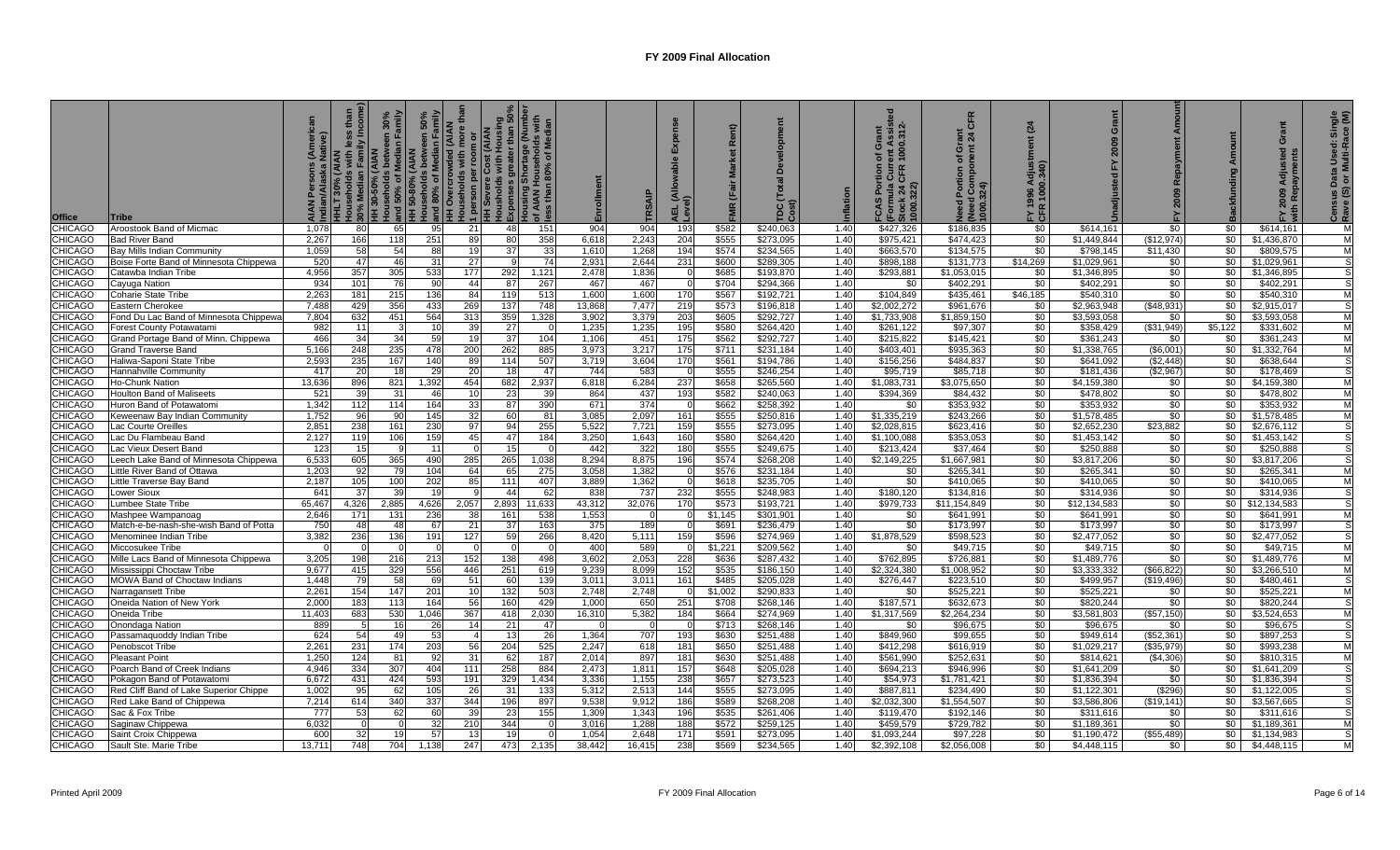| <b>Office</b>  | <b>Tribe</b>                           | 5 o    | <b>Incom</b>    | Family<br>٥f<br>$30 - 50%$<br>50%<br>$\frac{30\%}{11.3}$ | 50%<br><b>Milly</b><br>E.<br>Households between<br>and 80% of Median F<br>$\frac{1}{2}$ $\frac{1}{2}$ | (AIAN<br>ò<br>ä | <b>NAIA)</b><br>  person per room<br>  H Severe Cost  <br> -----holds with  <br>Exper | ter than 50°<br>age (Numbr<br>holds with<br>of Median<br>มเริ่มา<br>AIAN<br>ss tha। | Enrollment | RSAIF  | Expr      |         | TDC (Tot<br>Cost) |      | $.312 -$<br>ent A:<br>1000.<br>ō<br>'ŏ<br>Cur<br>CFR<br><b>Stoc.</b><br>1000.322)<br><b>QV</b><br>$\mathfrak{g}$ | CFR<br>ō<br>8<br>(Need Cor<br>1000.324)<br>$\circ$ | 24<br>Ξ<br>FY 1996<br>CFR 1000 | Grant        | Αm<br>Re     |         | ō            | $rac{2}{5}$<br>ਚੱ¤ੱ |
|----------------|----------------------------------------|--------|-----------------|----------------------------------------------------------|-------------------------------------------------------------------------------------------------------|-----------------|---------------------------------------------------------------------------------------|-------------------------------------------------------------------------------------|------------|--------|-----------|---------|-------------------|------|------------------------------------------------------------------------------------------------------------------|----------------------------------------------------|--------------------------------|--------------|--------------|---------|--------------|---------------------|
| <b>CHICAGO</b> | Aroostook Band of Micmac               | 1,078  | 80              | 65                                                       | 95                                                                                                    | <b>211</b>      | 48                                                                                    | 151                                                                                 | 904        | 904    | 193       | \$582   | \$240.063         | 1.40 | \$427,326                                                                                                        | \$186,835                                          | \$0                            | \$614,161    | \$0          | \$0     | \$614,161    | M                   |
| <b>CHICAGO</b> | <b>Bad River Band</b>                  | 2,267  | 166             | 118                                                      | 251                                                                                                   | 89              | 80                                                                                    | 358                                                                                 | 6,618      | 2,243  | 204       | \$555   | \$273,095         | 1.40 | \$975,421                                                                                                        | \$474,423                                          | \$0                            | \$1,449,844  | (\$12,974)   | \$0     | \$1,436,870  | M                   |
| <b>CHICAGO</b> | Bay Mills Indian Community             | 1,059  | 58              | 54                                                       | 88                                                                                                    | 19              | 37                                                                                    | 33                                                                                  | 1,610      | 1,268  | 194       | \$574   | \$234,565         | 1.40 | \$663,570                                                                                                        | \$134,575                                          | $\frac{1}{20}$                 | \$798,145    | \$11,430     | \$0     | \$809,575    | M                   |
| <b>CHICAGO</b> | Boise Forte Band of Minnesota Chippewa | 520    | 47              | 46                                                       | 31                                                                                                    | 27              |                                                                                       | 74                                                                                  | 2,931      | 2,644  | 231       | \$600   | \$289,305         | 1.40 | \$898,188                                                                                                        | \$131,773                                          | \$14,269                       | \$1,029,961  | \$0          | \$0     | \$1,029,961  | S                   |
| <b>CHICAGO</b> | Catawba Indian Tribe                   | 4,956  | 357             | 305                                                      | 533                                                                                                   | 177             | 292                                                                                   | 1,121                                                                               | 2,478      | 1,836  |           | \$685   | \$193,870         | 1.40 | \$293,881                                                                                                        | \$1,053,015                                        | \$0                            | \$1,346,895  | \$0          | \$0     | \$1,346,895  | S                   |
| <b>CHICAGO</b> | Cayuga Nation                          | 934    | 101             | 76                                                       | 90                                                                                                    | 44              | 87                                                                                    | 267                                                                                 | 467        | 467    |           | \$704   | \$294,366         | 1.40 | \$0                                                                                                              | \$402,291                                          | \$0                            | \$402,291    | \$0          | \$0     | \$402,291    | S                   |
| <b>CHICAGO</b> | <b>Coharie State Tribe</b>             | 2.26   | 181             | 215                                                      | 136                                                                                                   | 84              | 119                                                                                   | 513                                                                                 | 1.600      | 1,600  | 170       | \$567   | \$192.721         | 1.40 | \$104.849                                                                                                        | \$435,461                                          | \$46.185                       | \$540.310    | \$0          | \$0     | \$540.310    | M                   |
| <b>CHICAGO</b> | Eastern Cherokee                       | 7.488  | 429             | 356                                                      | 433                                                                                                   | 269             | 137                                                                                   | 748                                                                                 | 13,868     | 7.477  | 219       | \$573   | \$196.818         | 1.40 | \$2,002,272                                                                                                      | \$961,676                                          | \$0                            | \$2.963.948  | (\$48.931)   | \$0     | \$2.915.017  | S                   |
| <b>CHICAGO</b> | Fond Du Lac Band of Minnesota Chippewa | 7,804  | 632             | 451                                                      | 564                                                                                                   | 313             | 359                                                                                   | 1,328                                                                               | 3,902      | 3,379  | 203       | \$605   | \$292,727         | 1.40 | \$1,733,908                                                                                                      | \$1,859,150                                        | \$0                            | \$3,593,058  | \$0          | \$0     | \$3,593,058  | M                   |
| <b>CHICAGO</b> | Forest County Potawatami               | 98     | 11              |                                                          | 10                                                                                                    | 39              | 27                                                                                    |                                                                                     | 1,235      | 1,235  | 195       | \$580   | \$264,420         | 1.40 | \$261,122                                                                                                        | \$97,307                                           | \$0                            | \$358,429    | ( \$31, 949) | \$5,122 | \$331,602    | M                   |
| <b>CHICAGO</b> | Grand Portage Band of Minn. Chippewa   | 466    | 34              | 34                                                       | 59                                                                                                    | 19              | 37                                                                                    | 104                                                                                 | 1,106      | 451    | 175       | \$562   | \$292,727         | 1.40 | \$215,822                                                                                                        | \$145,421                                          | $\frac{1}{6}$                  | \$361,243    | \$0          | \$0     | \$361,243    | M                   |
| <b>CHICAGO</b> | Grand Traverse Band                    | 5,166  | 248             | 235                                                      | 478                                                                                                   | 200             | 262                                                                                   | 885                                                                                 | 3,973      | 3,217  | 175       | \$711   | \$231,184         | 1.40 | \$403,401                                                                                                        | \$935,363                                          | $\frac{1}{2}$                  | \$1,338,765  | (\$6,001     | \$0     | \$1,332,764  | M                   |
| <b>CHICAGO</b> | Haliwa-Saponi State Tribe              | 2,59   | 235             | 167                                                      | 140                                                                                                   | 89              | 114                                                                                   | 507                                                                                 | 3,719      | 3,604  | 170       | \$561   | \$194,786         | 1.40 | \$156,256                                                                                                        | \$484,837                                          | \$0                            | \$641,092    | (\$2,448)    | \$0     | \$638,644    | S                   |
| <b>CHICAGO</b> | Hannahville Community                  | 417    | 20              | 18                                                       | 29                                                                                                    | <b>20</b>       | 18                                                                                    | 47                                                                                  | 744        | 583    | $\bigcap$ | \$555   | \$246,254         | 1.40 | \$95,719                                                                                                         | \$85,718                                           | \$0                            | \$181,436    | \$2,967      | \$0     | \$178,469    |                     |
| <b>CHICAGO</b> | Ho-Chunk Nation                        | 13,63  | 896             | 821                                                      | 1,392                                                                                                 | 454             | 682                                                                                   | 2,937                                                                               | 6,818      | 6,284  | 237       | \$658   | \$265,560         | 1.40 | \$1,083,731                                                                                                      | \$3,075,650                                        | \$0                            | \$4,159,380  | \$0          | \$0     | \$4,159,380  | M                   |
| <b>CHICAGO</b> | <b>Houlton Band of Maliseets</b>       | 52     | 39              | 31                                                       | 46                                                                                                    | 10 <sup>1</sup> | 23                                                                                    | 39                                                                                  | 864        | 437    | 193       | \$582   | \$240,063         | 1.40 | \$394,369                                                                                                        | \$84,432                                           | \$0                            | \$478,802    | \$0          | \$0     | \$478,802    | M                   |
| <b>CHICAGO</b> | Huron Band of Potawatom                | 1.342  | 112             | 114                                                      | 164                                                                                                   | 33              | 87                                                                                    | 390                                                                                 | 671        | 374    |           | \$662   | \$258.392         | 1.40 | \$0                                                                                                              | \$353.932                                          | \$0                            | \$353.932    | \$0          | \$0     | \$353.932    | M                   |
| <b>CHICAGO</b> | Keweenaw Bay Indian Community          | 1.752  | 96              | 90                                                       | 145                                                                                                   | 32 <sub>l</sub> | 60                                                                                    | 81                                                                                  | 3.085      | 2.097  | 161       | \$555   | \$250.816         | 1.40 | \$1.335.219                                                                                                      | \$243.266                                          | \$0                            | \$1.578.485  | \$0          | \$0     | \$1.578.485  | M                   |
| <b>CHICAGO</b> | Lac Courte Oreilles                    | 2.85   | 238             | 161                                                      | 230                                                                                                   | 97              | 94                                                                                    | 255                                                                                 | 5,522      | 7,721  | 159       | \$555   | \$273,095         | 1.40 | \$2.028.815                                                                                                      | \$623.416                                          | \$0                            | \$2.652.230  | \$23.882     | \$0     | \$2,676,112  |                     |
| <b>CHICAGO</b> | Lac Du Flambeau Band                   | 2,12   | 119             | 106                                                      | 159                                                                                                   | 45              | 47                                                                                    | 184                                                                                 | 3,250      | 1,643  | 160       | \$580   | \$264,420         | 1.40 | \$1,100,088                                                                                                      | \$353,053                                          | \$0                            | \$1.453.142  | \$0          | \$0     | \$1,453,142  | S                   |
| <b>CHICAGO</b> | Lac Vieux Desert Band                  | 12:    | 15              |                                                          | 11                                                                                                    |                 | 15                                                                                    |                                                                                     | 442        | 322    | 180       | \$555   | \$249.675         | 1.40 | \$213,424                                                                                                        | \$37,464                                           | \$0                            | \$250,888    | \$0          | \$0     | \$250,888    |                     |
| <b>CHICAGO</b> | Leech Lake Band of Minnesota Chippewa  | 6,53   | 605             | 365                                                      | 490                                                                                                   | 285             | 265                                                                                   | 1,038                                                                               | 8.294      | 8,875  | 196       | \$574   | \$268,208         | 1.40 | \$2,149,225                                                                                                      | \$1,667,981                                        | \$0                            | \$3,817,206  | \$0          | \$0     | \$3,817,206  | S                   |
| <b>CHICAGO</b> | Little River Band of Ottawa            | 1,20   | 92              | 79                                                       | 104                                                                                                   | 64              | 65                                                                                    | 275                                                                                 | 3,058      | 1,382  |           | \$576   | \$231,184         | 1.40 | \$0                                                                                                              | \$265,341                                          | \$0                            | \$265,341    | \$0          | \$0     | \$265,341    | M                   |
| <b>CHICAGO</b> | Little Traverse Bay Band               | 2,187  | 105             | 100                                                      | 202                                                                                                   | 85              | 111                                                                                   | 407                                                                                 | 3.889      | 1,362  | - 0       | \$618   | \$235.705         | 1.40 | \$0                                                                                                              | \$410,065                                          | \$0                            | \$410.065    | \$0          | \$0     | \$410,065    | M                   |
| CHICAGO        | Lower Sioux                            | 641    | 37              | 39                                                       | 19                                                                                                    | q               | 44                                                                                    | 62                                                                                  | 838        | 737    | 232       | \$555   | \$248,983         | 1.40 | \$180,120                                                                                                        | \$134,816                                          | \$0                            | \$314,936    | \$0          | \$0     | \$314,936    | S                   |
| <b>CHICAGO</b> | Lumbee State Tribe                     | 65.467 | 4,326           | 2.885                                                    | 4,626                                                                                                 | 2,057           | 2.893                                                                                 | 11.633                                                                              | 43.312     | 32,076 | 170       | \$573   | \$193.721         | 1.40 | \$979.733                                                                                                        | \$11,154,849                                       | \$0                            | \$12,134,583 | \$0          | \$0     | \$12,134,583 | S                   |
| <b>CHICAGO</b> | Mashpee Wampanoag                      | 2.646  | 171             | 131                                                      | 236                                                                                                   | 38              | 161                                                                                   | 538                                                                                 | 1,553      | - 0    |           | \$1.145 | \$301,901         | 1.40 | \$0                                                                                                              | \$641,991                                          | \$0                            | \$641,991    | \$0          | \$0     | \$641,991    | M                   |
| <b>CHICAGO</b> | Match-e-be-nash-she-wish Band of Potta | 750    | 48              | 48                                                       | 67                                                                                                    | 211             | -37                                                                                   | 163                                                                                 | 375        | 189    | $\cap$    | \$691   | \$236,479         | 1.40 | \$0                                                                                                              | \$173,997                                          | \$0                            | \$173,997    | \$0          | \$0     | \$173,997    | S                   |
| <b>CHICAGO</b> | Menominee Indian Tribe                 | 3,382  | 236             | 136                                                      | 191                                                                                                   | 127             | 59                                                                                    | 266                                                                                 | 8,420      | 5,111  | 159       | \$596   | \$274.969         | 1.40 | \$1,878,529                                                                                                      | \$598,523                                          | <b>\$0</b>                     | \$2,477,052  | \$0          | \$0     | \$2,477,052  | S.                  |
| <b>CHICAGO</b> | Miccosukee Tribe                       |        |                 |                                                          | $\Omega$                                                                                              | $\Omega$        |                                                                                       |                                                                                     | 400        | 589    | $\Omega$  | \$1,221 | \$209,562         | 1.40 | \$0                                                                                                              | \$49,715                                           | \$0                            | \$49,715     | \$0          | \$0     | \$49,715     | M                   |
| <b>CHICAGO</b> | Mille Lacs Band of Minnesota Chippewa  | 3,205  | 198             | 216                                                      | 213                                                                                                   | 152             | 138                                                                                   | 498                                                                                 | 3,602      | 2,053  | 228       | \$636   | \$287,432         | 1.40 | \$762,895                                                                                                        | \$726,881                                          | \$0                            | \$1,489,776  | \$0          | \$0     | \$1,489,776  | M                   |
| <b>CHICAGO</b> | Mississippi Choctaw Tribe              | 9,677  | 415             | 329                                                      | 556                                                                                                   | 446             | 251                                                                                   | 619                                                                                 | 9,239      | 8,099  | 152       | \$535   | \$186,150         | 1.40 | \$2,324,380                                                                                                      | \$1,008,952                                        | \$0                            | \$3,333,332  | (\$66, 822\$ | \$0     | \$3,266,510  | M                   |
| <b>CHICAGO</b> | MOWA Band of Choctaw Indians           | 1.448  | 79              | 58                                                       | 69                                                                                                    | 51              | 60                                                                                    | 139                                                                                 | 3,011      | 3,011  | 161       | \$485   | \$205,028         | 1.40 | \$276,447                                                                                                        | \$223,510                                          | \$0                            | \$499,957    | (\$19,496)   | \$0     | \$480,461    | S                   |
| <b>CHICAGO</b> | Narragansett Tribe                     | 2,26'  | 154             | 147                                                      | 201                                                                                                   | 10 <sup>1</sup> | 132                                                                                   | 503                                                                                 | 2,748      | 2,748  |           | \$1,002 | \$290,833         | 1.40 | \$0                                                                                                              | \$525,221                                          | \$0                            | \$525,221    | \$0          | \$0     | \$525,221    | M                   |
| <b>CHICAGO</b> | Oneida Nation of New York              | 2,00   | 183             | 113                                                      | 164                                                                                                   | 56              | 160                                                                                   | 429                                                                                 | 1,000      | 650    | 251       | \$708   | \$268,146         | 1.40 | \$187,571                                                                                                        | \$632,673                                          | \$0                            | \$820,244    | \$0          | \$0     | \$820,244    | S                   |
| <b>CHICAGO</b> | Oneida Tribe                           | 11.40  | 683             | 530                                                      | 1,046                                                                                                 | 367             | 418                                                                                   | 2,030                                                                               | 16,310     | 5,382  | 184       | \$664   | \$274,969         | 1.40 | \$1,317,569                                                                                                      | \$2,264,234                                        | \$0                            | \$3,581,803  | (\$57,150)   | \$0     | \$3,524,653  | M                   |
| <b>CHICAGO</b> | Onondaga Nation                        | 88     |                 | 16                                                       | 26                                                                                                    | 14 <sup>1</sup> | 21                                                                                    | -47                                                                                 |            | - 0    |           | \$713   | \$268,146         | 1.40 | \$0                                                                                                              | \$96,675                                           | \$0                            | \$96,675     | \$0          | \$0     | \$96,675     | s                   |
| <b>CHICAGO</b> | Passamaquoddy Indian Tribe             | 624    | 54              | 49                                                       | 53                                                                                                    | $\overline{4}$  | -13                                                                                   | 26                                                                                  | 1,364      | 707    | 193       | \$630   | \$251,488         | 1.40 | \$849,960                                                                                                        | \$99,655                                           | \$0                            | \$949,614    | (\$52,361    | \$0     | \$897,253    |                     |
| <b>CHICAGO</b> | Penobscot Tribe                        | 2,26'  | 231             | 174                                                      | 203                                                                                                   | 56              | 204                                                                                   | 525                                                                                 | 2,247      | 618    | 181       | \$650   | \$251,488         | 1.40 | \$412,298                                                                                                        | \$616,919                                          | $\sqrt{50}$                    | \$1,029,217  | (\$35.979)   | \$0     | \$993,238    | M                   |
| <b>CHICAGO</b> | <b>Pleasant Point</b>                  | 1,250  | 124             | 81                                                       | 92                                                                                                    | 31              | 62                                                                                    | 187                                                                                 | 2,014      | 897    | 181       | \$630   | \$251,488         | 1.40 | \$561,990                                                                                                        | \$252,631                                          | \$0                            | \$814,621    | (\$4,306)    | \$0     | \$810,315    | Μ                   |
| <b>CHICAGO</b> | Poarch Band of Creek Indians           | 4.946  | 334             | 307                                                      | 404                                                                                                   | 111             | 258                                                                                   | 884                                                                                 | 2,473      | 1,811  | 157       | \$648   | \$205,028         | 1.40 | \$694,213                                                                                                        | \$946,996                                          | \$0                            | \$1,641,209  | \$0          | \$0     | \$1,641,209  | S                   |
| <b>CHICAGO</b> | Pokagon Band of Potawatomi             | 6,672  | 431             | 424                                                      | 593                                                                                                   | 191             | 329                                                                                   | 1,434                                                                               | 3,336      | 1,155  | 238       | \$657   | \$273,523         | 1.40 | \$54,973                                                                                                         | \$1,781,421                                        | \$0                            | \$1,836,394  | \$0          | \$0     | \$1,836,394  | S                   |
| <b>CHICAGO</b> | Red Cliff Band of Lake Superior Chippe | 1,002  | 95              | 62                                                       | 105                                                                                                   | 26              | 31                                                                                    | 133                                                                                 | 5,312      | 2,513  | 144       | \$555   | \$273,095         | 1.40 | \$887,811                                                                                                        | \$234,490                                          | \$0                            | \$1,122,301  | (\$296)      | \$0     | \$1,122,005  | S                   |
| <b>CHICAGO</b> | Red Lake Band of Chippewa              | 7,214  | 614             | 340                                                      | 337                                                                                                   | 344             | 196                                                                                   | 897                                                                                 | 9,538      | 9,912  | 186       | \$589   | \$268,208         | 1.40 | \$2,032,300                                                                                                      | \$1,554,507                                        | \$0                            | \$3,586,806  | (\$19, 141"  | \$0     | \$3,567,665  |                     |
| <b>CHICAGO</b> | Sac & Fox Tribe                        | 777    | 53              | 62                                                       | 60                                                                                                    | 39              | -23                                                                                   | 155                                                                                 | 1,309      | 1,343  | 196       | \$535   | \$261,406         | 1.40 | \$119.470                                                                                                        | \$192.146                                          | \$0                            | \$311.616    | \$0          | \$0     | \$311,616    | S                   |
| <b>CHICAGO</b> | Saginaw Chippewa                       | 6,032  |                 |                                                          | 32                                                                                                    | 210             | 344                                                                                   |                                                                                     | 3.016      | 1,288  | 188       | \$572   | \$259,125         | 1.40 | \$459,579                                                                                                        | \$729,782                                          | \$0                            | \$1.189.361  | \$0          | \$0     | \$1,189,361  | M                   |
| <b>CHICAGO</b> | Saint Croix Chippewa                   | 600    | 32 <sub>l</sub> | 19                                                       | 57                                                                                                    | 13              | 19                                                                                    |                                                                                     | 1.054      | 2.648  | 171       | \$591   | \$273,095         | 1.40 | \$1.093.244                                                                                                      | \$97,228                                           | \$0                            | \$1,190,472  | ( \$55.489)  | \$0     | \$1,134,983  | S                   |
| <b>CHICAGO</b> | Sault Ste. Marie Tribe                 | 13.711 | 748             | 704                                                      | 1,138                                                                                                 | 247             | 473                                                                                   | 2,135                                                                               | 38.442     | 16.415 | 238       | \$569   | \$234,565         | 1.40 | \$2,392,108                                                                                                      | \$2,056,008                                        | \$0 <sub>1</sub>               | \$4,448,115  | \$0          | \$0     | \$4,448,115  | М                   |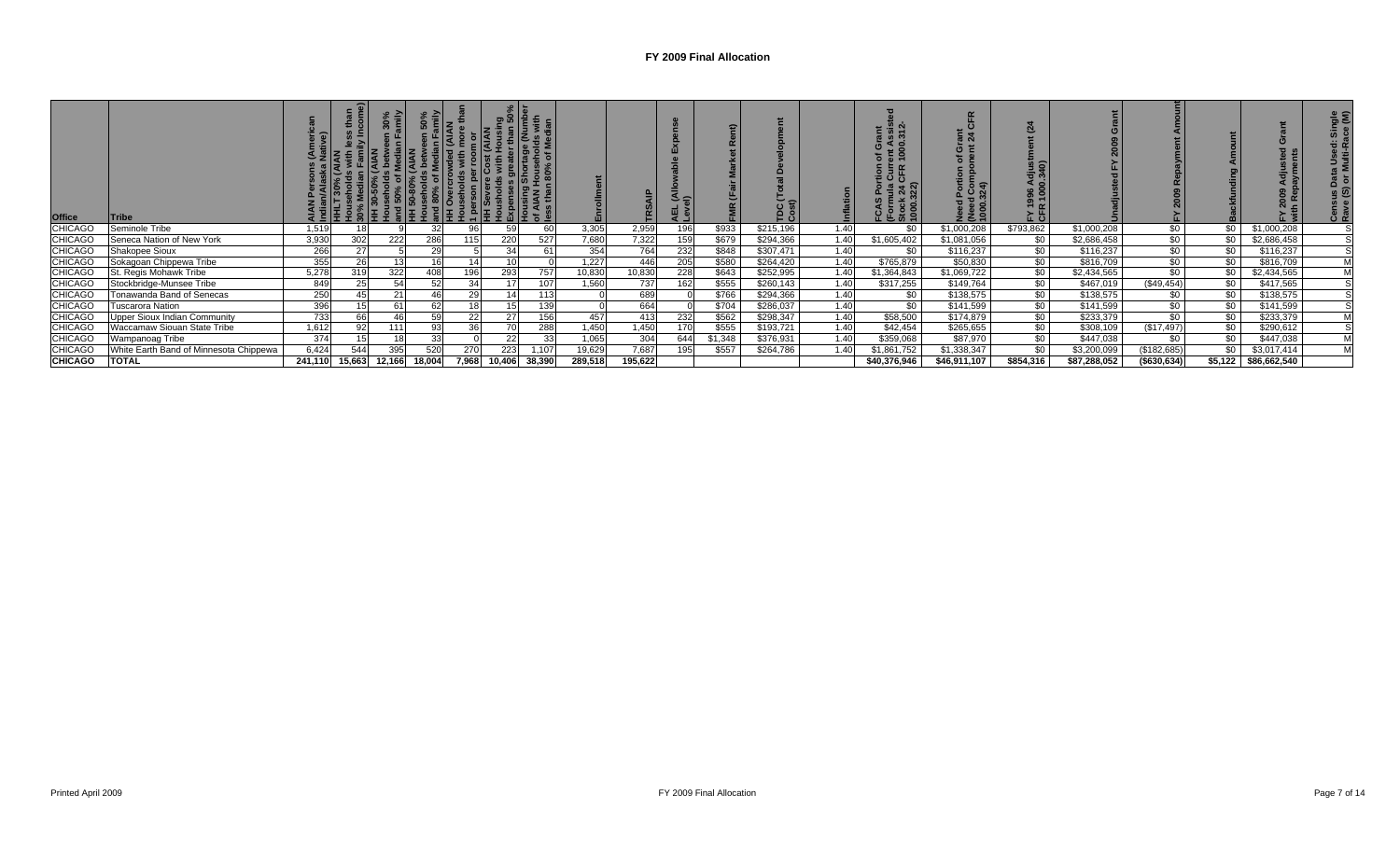| <b>Office</b>  | <b>ITribe</b>                          |         |        |        |        |       | 0               |        |         |         | $\triangle$ $\cong$<br>를 질 |         | TDC (1<br>Cost) |      | ∍<br>$E$ $\approx$ $5$ | āÑ<br>$\circ$ | ن سا      |              |               |         |              |   |
|----------------|----------------------------------------|---------|--------|--------|--------|-------|-----------------|--------|---------|---------|----------------------------|---------|-----------------|------|------------------------|---------------|-----------|--------------|---------------|---------|--------------|---|
| <b>CHICAGO</b> | Seminole Tribe                         | 1,519   | 18     |        |        | 96    | 59              | 60     | 3,305   | 2,959   | 196                        | \$933   | \$215,196       | 1.40 | \$0                    | \$1,000,208   | \$793,862 | \$1,000,208  | \$0           | \$0     | \$1,000,208  |   |
| <b>CHICAGO</b> | Seneca Nation of New York              | 3,930   | 302    | 222    | 286    | 115   | 220             | 527    | 7,680   | 7,322   | 159                        | \$679   | \$294,366       | 1.40 | \$1,605,402            | \$1,081,056   | \$0       | \$2,686,458  | $\sqrt{50}$   | \$0     | \$2,686,458  |   |
| <b>CHICAGO</b> | Shakopee Sioux                         | 266     | 27     |        | 29     |       | 34              | 61     | 354     | 764     | 232                        | \$848   | \$307,471       | 1.40 | \$0                    | \$116,237     | \$0       | \$116,237    | \$0           | \$0     | \$116,237    |   |
| <b>CHICAGO</b> | Sokagoan Chippewa Tribe                | 355     | 26     |        | 16     |       | $\overline{10}$ |        | 1,227   | 446     | 205                        | \$580   | \$264,420       | 1.40 | \$765,879              | \$50,830      | \$0       | \$816,709    | $\sqrt{50}$   | \$0     | \$816,709    | M |
| <b>CHICAGO</b> | St. Regis Mohawk Tribe                 | 5,278   | 319    | 322    | 408    | 196   | 293             | 757    | 10,830  | 10,830  | 228                        | \$643   | \$252,995       | 1.40 | \$1,364,843            | \$1,069,722   | \$0       | \$2,434,565  | $\sqrt{50}$   | \$0     | \$2,434,565  | M |
| <b>CHICAGO</b> | Stockbridge-Munsee Tribe               | 849     | 25     |        | 52     | 34    |                 | 107    | 1,560   | 737     | 162                        | \$555   | \$260,143       | 1.40 | \$317,255              | \$149,764     | \$0       | \$467,019    | (\$49,454)    | \$0     | \$417,565    |   |
| <b>CHICAGO</b> | Tonawanda Band of Senecas              | 250     | 45     | 21     |        | 29    |                 | 113    |         | 689     |                            | \$766   | \$294,366       | 1.40 | \$0                    | \$138,575     | \$0       | \$138,575    | \$0           | \$0     | \$138,575    |   |
| <b>CHICAGO</b> | Tuscarora Nation                       | 396     | 15     |        | 62     |       |                 | 139    |         | 664     |                            | \$704   | \$286,037       | 1.40 | \$0                    | \$141,599     | \$0       | \$141,599    | \$0           | \$0     | \$141,599    |   |
| <b>CHICAGO</b> | Upper Sioux Indian Community           | 733     | 66     |        | 59     | 22    |                 | 156    | 457     | 413     | 232                        | \$562   | \$298,347       | 1.40 | \$58,500               | \$174,879     | \$0       | \$233,379    | \$0           | -\$0    | \$233,379    | M |
| <b>CHICAGO</b> | Waccamaw Siouan State Tribe            | 1,612   | 92     | 111    | 93     | 36    |                 | 288    | 1,450   | 1,450   | 170                        | \$555   | \$193,721       | 1.40 | \$42,454               | \$265,655     | \$0       | \$308,109    | (\$17,497)    | \$0     | \$290,612    |   |
| <b>CHICAGO</b> | Wampanoag Tribe                        | 374     |        |        | 33     |       | 22              | 33     | 1,065   | 304     | 644                        | \$1,348 | \$376,931       | 1.40 | \$359,068              | \$87,970      | \$0       | \$447,038    | \$0           | \$0     | \$447,038    | M |
| <b>CHICAGO</b> | White Earth Band of Minnesota Chippewa | 6,424   |        | 395    | 520    | 270   | 223             | 1,107  | 19,629  | 7,687   | 195                        | \$557   | \$264,786       | 1.40 | \$1,861,752            | \$1,338,347   | \$0       | \$3,200,099  | (\$182,685)   | \$0     | \$3,017,414  | M |
| <b>CHICAGO</b> | <b>TOTAL</b>                           | 241,110 | 15,663 | 12,166 | 18,004 | 7,968 | 10,406          | 38,390 | 289,518 | 195,622 |                            |         |                 |      | \$40,376,946           | \$46,911,107  | \$854,316 | \$87,288,052 | ( \$630, 634) | \$5,122 | \$86,662,540 |   |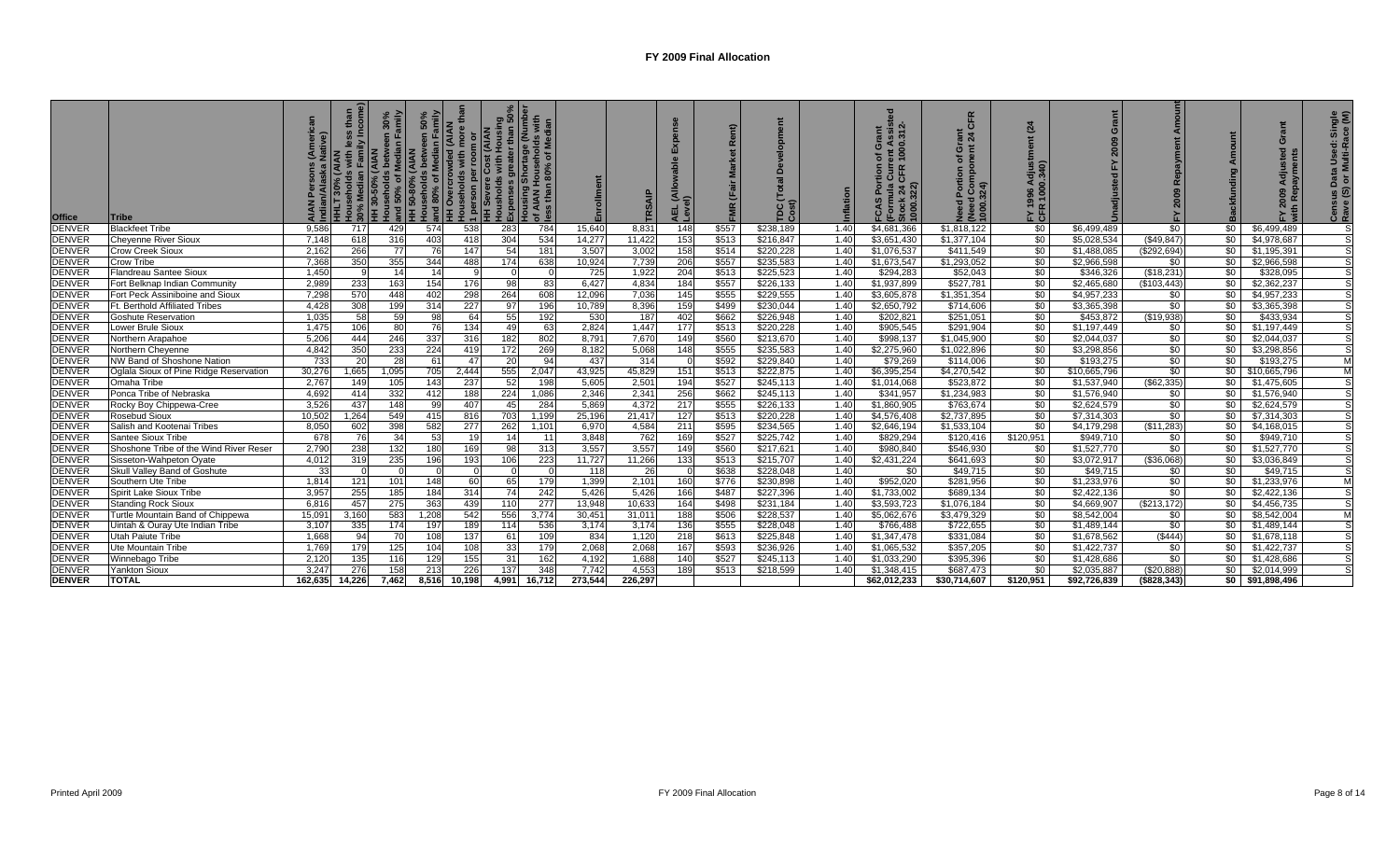| <b>Office</b> | Tribe                                  | ୕ୖ      | $=$ $\blacksquare$<br>with<br>ᄃᅙ | en 30%<br>Family<br><b>AIAN</b><br>30-50% | Households between<br>  and 50% of Median F<br>  HH 50-80% (AIAN<br>  Households between<br>  and 80% of Median | anu eoooo<br>HH Overcrowded (AIAN<br> Households with more th<br>  Housean ner room or<br>$-1$ | TH Severe<br>Housholds<br>Expence<br>pense<br>Jusing | · greater than {<br>Shortage (Num<br>ouseholds wit<br>n 80% |         | $\alpha$ | AEL<br>Leve      |       | $\overline{G}$<br>$E_{\rm o}$ |      | $\sim$<br>ŏ<br>$O\overline{O}$<br>000<br>$\epsilon$ | $\epsilon$<br>ᅙᅐ<br>ō<br>৳<br>1000.3 | $\overline{a}$<br>996<br>~ ≃<br>도 5 | $\mathbf{C}$ |             |      |                         | Single<br>ICe (M)<br>Used:<br>Iulti-Ra<br>Data I<br>Or Mi<br><u>ia Si</u><br><b>Ce</b><br>Ra |
|---------------|----------------------------------------|---------|----------------------------------|-------------------------------------------|-----------------------------------------------------------------------------------------------------------------|------------------------------------------------------------------------------------------------|------------------------------------------------------|-------------------------------------------------------------|---------|----------|------------------|-------|-------------------------------|------|-----------------------------------------------------|--------------------------------------|-------------------------------------|--------------|-------------|------|-------------------------|----------------------------------------------------------------------------------------------|
| <b>DENVER</b> | <b>Blackfeet Tribe</b>                 | 9,586   | 717                              | 429                                       | 574                                                                                                             | 538                                                                                            | 283                                                  | 784                                                         | 15,640  | 8,831    | $\overline{148}$ | \$557 | \$238,189                     | 1.40 | \$4,681,366                                         | \$1,818,122                          | \$0                                 | \$6,499,489  | \$0         | \$0  | \$6,499,489             |                                                                                              |
| <b>DENVER</b> | Cheyenne River Sioux                   | 7,148   | 618                              | 316                                       | 403                                                                                                             | 418                                                                                            | 304                                                  | 534                                                         | 14,277  | 11,422   | 153              | \$513 | \$216,847                     | 1.40 | \$3,651,430                                         | \$1,377,104                          | \$0                                 | \$5,028,534  | (\$49, 847) | \$0  | \$4,978,687             |                                                                                              |
| <b>DENVER</b> | Crow Creek Sioux                       | 2,162   | 266                              | 77                                        | 76                                                                                                              | 147                                                                                            | 54                                                   | 181                                                         | 3,507   | 3,002    | 158              | \$514 | \$220,228                     | 1.40 | \$1,076,537                                         | \$411,549                            | \$0                                 | \$1,488,085  | (\$292,694) | \$0  | \$1,195,391             |                                                                                              |
| <b>DENVER</b> | Crow Tribe                             | 7,368   | 350                              | 355                                       | 344                                                                                                             | 488                                                                                            | 174                                                  | 638                                                         | 10,924  | 7,739    | 206              | \$557 | \$235,583                     | 1.40 | \$1,673,547                                         | \$1,293,052                          | \$0                                 | \$2,966,598  | \$0         | \$0  | \$2,966,598             |                                                                                              |
| <b>DENVER</b> | Flandreau Santee Sioux                 | 1,450   |                                  |                                           | 14                                                                                                              |                                                                                                |                                                      |                                                             | 725     | 1,922    | 204              | \$513 | \$225,523                     | 1.40 | \$294,283                                           | \$52,043                             | \$0                                 | \$346,326    | (\$18,231   | \$0  | \$328,095               |                                                                                              |
| <b>DENVER</b> | Fort Belknap Indian Community          | 2,989   | 233                              | 163                                       | 154                                                                                                             | 176                                                                                            | 98                                                   | 83                                                          | 6.427   | 4,834    | 184              | \$557 | \$226.133                     | 1.40 | \$1,937,899                                         | \$527.781                            | \$0                                 | \$2,465,680  | (\$103,443) | \$0  | \$2,362,237             |                                                                                              |
| <b>DENVER</b> | Fort Peck Assiniboine and Sioux        | 7.298   | 570                              | 448                                       | 402                                                                                                             | 298                                                                                            | 264                                                  | 608                                                         | 12.096  | 7,036    | 145              | \$555 | \$229,555                     | 1.40 | \$3,605,878                                         | \$1,351,354                          | \$0                                 | \$4,957,233  | \$0         | \$0  | \$4,957,233             |                                                                                              |
| <b>DENVER</b> | Ft. Berthold Affiliated Tribes         | 4,428   | 308                              | 199                                       | 314                                                                                                             | 227                                                                                            | 97                                                   | 196                                                         | 10,789  | 8,396    | 159              | \$499 | \$230,044                     | 1.40 | \$2,650,792                                         | \$714,606                            | \$0                                 | \$3,365,398  | \$0         | \$0  | \$3,365,398             |                                                                                              |
| <b>DENVER</b> | <b>Goshute Reservation</b>             | 1,035   | 58                               | 59                                        | 98                                                                                                              | 64                                                                                             | 55                                                   | 192                                                         | 530     | 187      | 402              | \$662 | \$226,948                     | 1.40 | \$202,821                                           | \$251,051                            | \$0                                 | \$453,872    | (\$19,938)  | \$0  | \$433,934               |                                                                                              |
| <b>DENVER</b> | <b>Lower Brule Sioux</b>               | 1,475   | 106                              | 80                                        | 76                                                                                                              | 134                                                                                            | 49                                                   | 63                                                          | 2,824   | 1,447    | 177              | \$513 | \$220,228                     | 1.40 | \$905,545                                           | \$291,904                            | \$0                                 | \$1,197,449  | \$0         | \$0  | \$1,197,449             |                                                                                              |
| <b>DENVER</b> | Northern Arapahoe                      | 5,206   | 444                              | 246                                       | 337                                                                                                             | 316                                                                                            | 182                                                  | 802                                                         | 8,791   | 7,670    | 149              | \$560 | \$213,670                     | 1.40 | \$998,137                                           | \$1,045,900                          | \$0                                 | \$2,044,037  | \$0         | \$0  | \$2,044,037             |                                                                                              |
| <b>DENVER</b> | Northern Chevenne                      | 4,842   | 350                              | 233                                       | 224                                                                                                             | 419                                                                                            | 172                                                  | 269                                                         | 8,182   | 5,068    | 148              | \$555 | \$235,583                     | 1.40 | \$2,275,960                                         | \$1,022,896                          | \$0                                 | \$3,298,856  | \$0         | \$0  | \$3,298,856             |                                                                                              |
| <b>DENVER</b> | NW Band of Shoshone Nation             | 733     | -20                              | 28                                        | 61                                                                                                              | 47                                                                                             | 20                                                   | 94                                                          | 437     | 314      |                  | \$592 | \$229,840                     | 1.40 | \$79,269                                            | \$114,006                            | \$0                                 | \$193,275    | \$0         | \$0  | \$193,275               | M                                                                                            |
| <b>DENVER</b> | Oglala Sioux of Pine Ridge Reservation | 30,276  | 1,665                            | 1,095                                     | 705                                                                                                             | 2,444                                                                                          | 555                                                  | 2,047                                                       | 43,925  | 45,829   | 151              | \$513 | \$222,875                     | 1.40 | \$6,395,254                                         | \$4,270,542                          | \$0                                 | \$10,665,796 | \$0         |      | \$0 \$10,665,796        | M                                                                                            |
| <b>DENVER</b> | Omaha Tribe                            | 2.767   | 149                              | 105                                       | 143                                                                                                             | 237                                                                                            | 52                                                   | 198                                                         | 5,605   | 2,501    | 194              | \$527 | \$245,113                     | 1.40 | \$1,014,068                                         | \$523,872                            | \$0                                 | \$1,537,940  | (\$62,335)  | \$0  | \$1,475,605             |                                                                                              |
| <b>DENVER</b> | Ponca Tribe of Nebraska                | 4,692   | 414                              | 332                                       | 412                                                                                                             | 188                                                                                            | 224                                                  | 1,086                                                       | 2,346   | 2,341    | 256              | \$662 | \$245.113                     | 1.40 | \$341.957                                           | \$1.234.983                          | \$0                                 | \$1,576,940  | \$0         | \$0  | \$1.576.940             |                                                                                              |
| <b>DENVER</b> | Rocky Boy Chippewa-Cree                | 3.526   | 437                              | 148                                       | 99                                                                                                              | 407                                                                                            | 45                                                   | 284                                                         | 5.869   | 4,372    | 217              | \$555 | \$226.133                     | 1.40 | \$1,860,905                                         | \$763,674                            | \$0                                 | \$2.624.579  | \$0         | \$0  | \$2.624.579             |                                                                                              |
| <b>DENVER</b> | <b>Rosebud Sioux</b>                   | 10.502  | 1.264                            | 549                                       | 415                                                                                                             | 816                                                                                            | 703                                                  | 1,199                                                       | 25,196  | 21,417   | 127              | \$513 | \$220.228                     | 1.40 | \$4,576,408                                         | \$2,737,895                          | \$0                                 | \$7,314,303  | \$0         | \$0  | \$7,314,303             |                                                                                              |
| <b>DENVER</b> | Salish and Kootenai Tribes             | 8,050   | 602                              | 398                                       | 582                                                                                                             | 277                                                                                            | 262                                                  | 1,101                                                       | 6,970   | 4,584    | 211              | \$595 | \$234,565                     | 1.40 | \$2,646,194                                         | \$1,533,104                          | \$0                                 | \$4,179,298  | (\$11,283)  | \$0  | $\overline{54,168,015}$ |                                                                                              |
| <b>DENVER</b> | Santee Sioux Tribe                     | 678     | -76                              | 34                                        | 53                                                                                                              | 19                                                                                             | 14                                                   | 11                                                          | 3,848   | 762      | 169              | \$527 | \$225,742                     | 1.40 | \$829,294                                           | \$120,416                            | \$120,951                           | \$949,710    | \$0         | \$0  | \$949,710               |                                                                                              |
| <b>DENVER</b> | Shoshone Tribe of the Wind River Reser | 2,790   | 238                              | 132                                       | 180                                                                                                             | 169                                                                                            | 98                                                   | 313                                                         | 3,557   | 3,557    | 149              | \$560 | \$217,621                     | 1.40 | \$980,840                                           | \$546,930                            | \$0                                 | \$1,527,770  | \$0         | \$0  | \$1,527,770             |                                                                                              |
| <b>DENVER</b> | Sisseton-Wahpeton Oyate                | 4,012   | 319                              | 235                                       | 196                                                                                                             | 193                                                                                            | 106                                                  | 223                                                         | 11,727  | 11,266   | 133              | \$513 | \$215,707                     | 1.40 | \$2,431,224                                         | \$641,693                            | \$0                                 | \$3,072,917  | ( \$36,068) | \$0  | \$3,036,849             |                                                                                              |
| <b>DENVER</b> | Skull Valley Band of Goshute           | 33      |                                  |                                           |                                                                                                                 |                                                                                                |                                                      |                                                             | 118     | 26       |                  | \$638 | \$228,048                     | 1.40 | \$0                                                 | \$49,715                             | \$0                                 | \$49,715     | \$0         | \$0  | \$49,715                |                                                                                              |
| <b>DENVER</b> | Southern Ute Tribe                     | 1.814   | 121                              | 101                                       | 148                                                                                                             | 60                                                                                             | 65                                                   | 179                                                         | 1.399   | 2,101    | 160              | \$776 | \$230.898                     | 1.40 | \$952.020                                           | \$281.956                            | \$0                                 | \$1.233.976  | \$0         | \$0  | \$1.233.976             | M                                                                                            |
| <b>DENVER</b> | Spirit Lake Sioux Tribe                | 3.957   | 255                              | 185                                       | 184                                                                                                             | 314                                                                                            | 74                                                   | 242                                                         | 5.426   | 5.426    | 166              | \$487 | \$227,396                     | 1.40 | \$1,733,002                                         | \$689.134                            | \$0                                 | \$2,422,136  | \$0         | \$0  | \$2,422,136             |                                                                                              |
| <b>DENVER</b> | <b>Standing Rock Sioux</b>             | 6.816   | 457                              | 275                                       | 363                                                                                                             | 439                                                                                            | 110                                                  | 277                                                         | 13.948  | 10,633   | 164              | \$498 | \$231.184                     | 1.40 | \$3,593,723                                         | \$1.076.184                          | \$0                                 | \$4,669,907  | (S213.172)  | \$0  | \$4,456,735             |                                                                                              |
| <b>DENVER</b> | Turtle Mountain Band of Chippewa       | 15.091  | 3.160                            | 583                                       | 1.208                                                                                                           | 542                                                                                            | 556                                                  | 3.774                                                       | 30.451  | 31,011   | 188              | \$506 | \$228,537                     | 1.40 | \$5.062.676                                         | \$3,479.329                          | \$0                                 | \$8,542,004  | \$0         | \$0  | \$8.542.004             | M                                                                                            |
| <b>DENVER</b> | Uintah & Ouray Ute Indian Tribe        | 3,107   | 335                              | 174                                       | 197                                                                                                             | 189                                                                                            | 114                                                  | 536                                                         | 3,174   | 3,174    | 136              | \$555 | \$228,048                     | 1.40 | \$766,488                                           | \$722,655                            | \$0                                 | \$1,489,144  | \$0         | \$0  | \$1,489,144             |                                                                                              |
| <b>DENVER</b> | Utah Paiute Tribe                      | 1.668   | 94                               | 70                                        | 108                                                                                                             | 137                                                                                            | 61                                                   | 109                                                         | 834     | 1,120    | 218              | \$613 | \$225.848                     | 1.40 | \$1,347,478                                         | \$331.084                            | \$0                                 | \$1,678,562  | ( \$444)    | \$0  | \$1,678,118             |                                                                                              |
| <b>DENVER</b> | Ute Mountain Tribe                     | 1.769   | 179                              | 125                                       | 104                                                                                                             | 108                                                                                            | 33 <sub>1</sub>                                      | 179                                                         | 2.068   | 2.068    | 167              | \$593 | \$236.926                     | 1.40 | \$1,065,532                                         | \$357.205                            | \$0                                 | \$1,422,737  | \$0         | \$0  | \$1,422,737             |                                                                                              |
| <b>DENVER</b> | Winnebago Tribe                        | 2.120   | 135                              | 116                                       | 129                                                                                                             | 155                                                                                            | 31                                                   | 162                                                         | 4.192   | 1,688    | 140              | \$527 | \$245,113                     | 1.40 | \$1,033,290                                         | \$395.396                            | \$0                                 | \$1,428,686  | \$0         | \$0  | \$1,428,686             |                                                                                              |
| <b>DENVER</b> | Yankton Sioux                          | 3.247   | 276                              | 158                                       | 213                                                                                                             | 226                                                                                            | 137                                                  | 348                                                         | 7.742   | 4,553    | 189              | \$513 | \$218,599                     | 1.40 | \$1,348,415                                         | \$687.473                            | \$0                                 | \$2.035.887  | (\$20,888)  | \$0  | \$2,014,999             |                                                                                              |
| <b>DENVER</b> | <b>TOTAL</b>                           | 162,635 | 14.226                           | 7.462                                     | 8.516                                                                                                           | 10.198                                                                                         | 4,991                                                | 16.712                                                      | 273.544 | 226.297  |                  |       |                               |      | \$62,012,233                                        | \$30.714.607                         | \$120,951                           | \$92,726,839 | (\$828,343) | so I | \$91,898,496            |                                                                                              |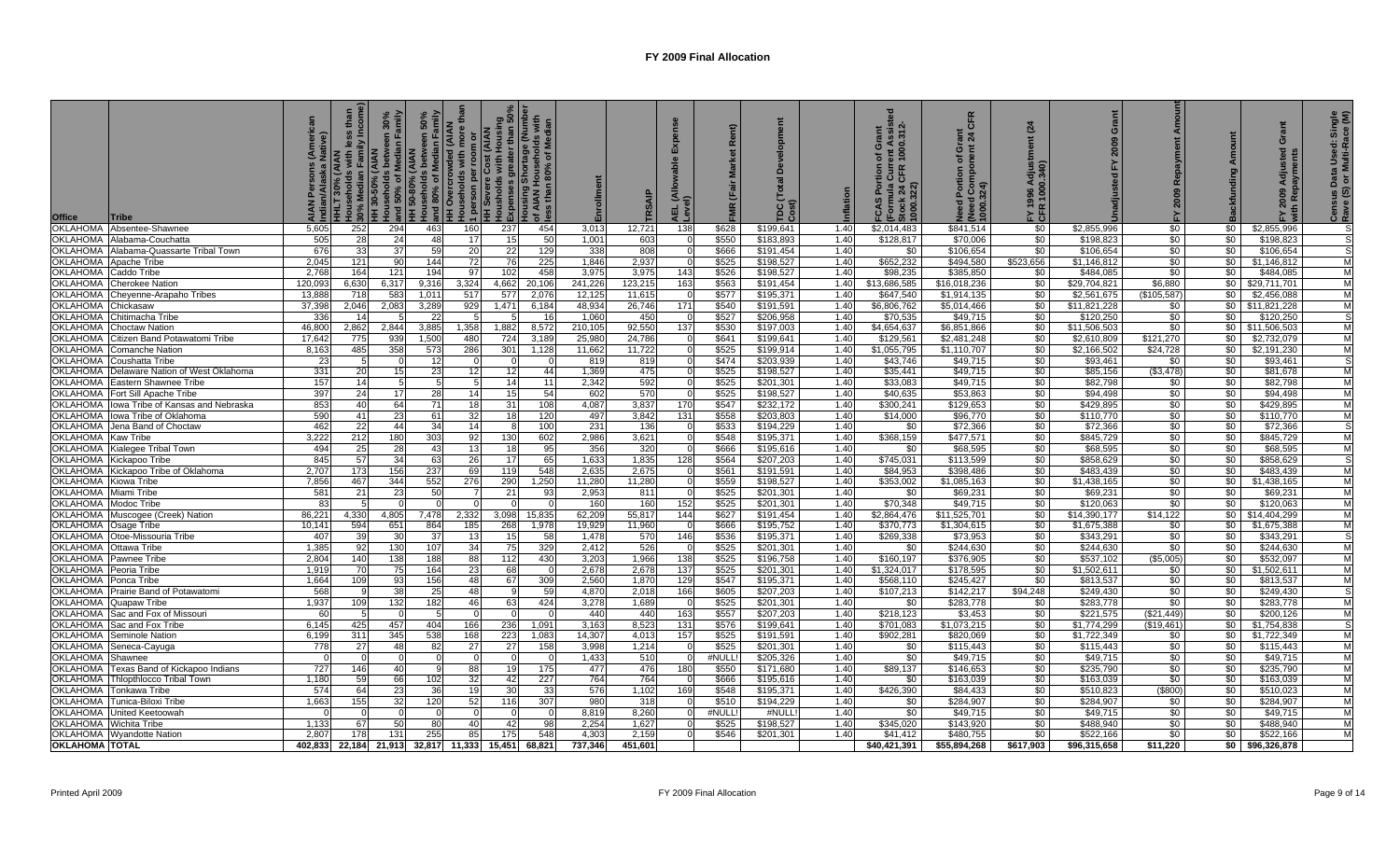| <b>Office</b><br>Tribe                                                   |                         | fh <sub>a</sub><br>ily Incor<br><b>IHLT 30%</b> | en 30%<br>Family<br>and 50% of Median | 50%<br>Imily<br>ξË<br>wernolds between<br>and 80% of Median F<br>HH Overgrow<br><b>50-80% (AIAN</b><br>useholds betwe<br>ΙŦ | NAIA) pəpmoro.<br>1 person per roo<br>HH Severe Cost (<br>Housholds with H<br><b>Bus</b> | h Housing<br>ter than 50°<br>age (Numbe<br>holds with<br>of Median<br>י פיייצוט<br>AIAN H<br>ss than | Enrollment     | <b>TRSAIP</b>    | Expen:<br>AEL (All<br>Level) |                | TDC (Tot<br>Cost)      |              | ent Assist<br>1000.312-<br>ŏ<br>৳<br>들이 있<br>이 어 <u>리</u><br>FCAS Por<br>(Formula<br>Stock 24 (<br>1000.322) | <b>CFR</b><br>する<br>ㅎ 같<br>pa<br>Portion<br>  Compo<br> Neea Cor<br> 000.324)<br>$\overline{R}$ | (24)<br>FY 1996 Adj<br>CFR 1000.34 | Grant<br>2009             |                   |                  | Grant<br><b>Ted</b><br>$\overline{a}$<br>2009 | Single<br>ace (M)<br>Data Used: \$<br>or Multi-Ra<br>Census<br>Rave (S) |
|--------------------------------------------------------------------------|-------------------------|-------------------------------------------------|---------------------------------------|-----------------------------------------------------------------------------------------------------------------------------|------------------------------------------------------------------------------------------|------------------------------------------------------------------------------------------------------|----------------|------------------|------------------------------|----------------|------------------------|--------------|--------------------------------------------------------------------------------------------------------------|-------------------------------------------------------------------------------------------------|------------------------------------|---------------------------|-------------------|------------------|-----------------------------------------------|-------------------------------------------------------------------------|
| <b>OKLAHOMA</b><br>Absentee-Shawnee                                      | 5.605                   | 252                                             | 294                                   | 463                                                                                                                         | 160<br>237                                                                               | 454                                                                                                  | 3,013          | 12,721           | 138                          | \$628          | \$199.641              | 1.40         | \$2.014.483                                                                                                  | \$841.514                                                                                       | \$0                                | \$2,855,996               | \$0               | \$0 <sub>1</sub> | \$2,855,996                                   |                                                                         |
| OKLAHOMA<br>Alabama-Couchatta                                            | 505                     | 28                                              | 24                                    | 48                                                                                                                          | 15<br>17                                                                                 | 50                                                                                                   | 1.001          | 603              |                              | \$550          | \$183.893              | 1.40         | \$128.817                                                                                                    | \$70,006                                                                                        | $\sqrt{6}$                         | \$198.823                 | \$0               | \$0              | \$198.823                                     |                                                                         |
| OKLAHOMA<br>Alabama-Quassarte Tribal Town                                | 676                     | 33                                              | 37                                    | 59                                                                                                                          | 22<br>20                                                                                 | 129                                                                                                  | 338            | 808              | - 0                          | \$666          | \$191.454              | 1.40         | \$0                                                                                                          | \$106,654                                                                                       | $\sqrt{6}$                         | \$106,654                 | \$0               | \$0              | \$106,654                                     | -S                                                                      |
| OKLAHOMA Apache Tribe                                                    | 2.045                   | 121                                             | 90                                    | 144                                                                                                                         | 72<br>76                                                                                 | 225                                                                                                  | 1.846          | 2,937            |                              | \$525          | \$198,527              | 1.40         | \$652,232                                                                                                    | \$494.580                                                                                       | \$523,656                          | \$1,146.812               | \$0               | \$0              | \$1.146.812                                   | M                                                                       |
| OKLAHOMA<br>Caddo Tribe                                                  | 2,768                   | 164                                             | 121                                   | 194                                                                                                                         | 97<br>102                                                                                | 458                                                                                                  | 3,975          | 3,975            | 143                          | \$526          | \$198,527              | 1.40         | \$98,235                                                                                                     | \$385,850                                                                                       | \$0                                | \$484,085                 | \$0               | \$0              | \$484,085                                     | M                                                                       |
| <b>OKLAHOMA</b><br><b>Cherokee Nation</b>                                | 120,093                 | 6,630                                           | 6,317                                 | 9,316                                                                                                                       | 3,324<br>4,662                                                                           | 20,106                                                                                               | 241,226        | 123,215          | 163                          | \$563          | \$191,454              | 1.40         | \$13,686,585                                                                                                 | \$16,018,236                                                                                    | \$0                                | \$29,704,821              | \$6,880           | \$0              | \$29,711,701                                  | M                                                                       |
| <b>OKLAHOMA</b><br>Cheyenne-Arapaho Tribes                               | 13,88                   | 718                                             | 583                                   | 1,011                                                                                                                       | 517<br>577                                                                               | 2,076                                                                                                | 12,125         | 11,615           | - 0                          | \$577          | \$195,371              | 1.40         | \$647,540                                                                                                    | \$1,914,135                                                                                     | $\sqrt{6}$                         | \$2,561,675               | $\sqrt{3105,587}$ | \$0              | \$2,456,088                                   | M                                                                       |
| <b>OKLAHOMA</b><br>Chickasaw                                             | 37.398                  | 2.046                                           | 2.083                                 | 3,289                                                                                                                       | 929<br>1,471                                                                             | 6.184                                                                                                | 48.934         | 26,746           | 171                          | \$540          | \$191.591              | 1.40         | \$6,806,762                                                                                                  | \$5.014.466                                                                                     | \$0                                | \$11.821.228              | \$0               |                  | \$0 \$11,821,228                              | M                                                                       |
| <b>OKLAHOMA</b><br>Chitimacha Tribe                                      | 336                     | 14                                              |                                       | 22                                                                                                                          | 5                                                                                        | - 16                                                                                                 | 1.060          | 450              | $\cap$                       | \$527          | \$206,958              | 1.40         | \$70,535                                                                                                     | \$49,715                                                                                        | \$0                                | \$120,250                 | \$0               | \$0              | \$120,250                                     |                                                                         |
| OKLAHOMA<br>Choctaw Nation                                               | 46,800                  | 2,862                                           | 2.844                                 | 3,885                                                                                                                       | 1,882<br>1,358                                                                           | 8,572                                                                                                | 210,105        | 92,550           | 137                          | \$530          | \$197,003              | 1.40         | \$4,654,637                                                                                                  | \$6,851,866                                                                                     | \$0                                | \$11,506,503              | \$0               |                  | $$0$ \$11,506,503                             | M                                                                       |
| <b>OKLAHOMA</b><br>Citizen Band Potawatomi Tribe                         | 17,642                  | 775                                             | 939                                   | 1,500                                                                                                                       | 480<br>724                                                                               | 3,189                                                                                                | 25,980         | 24,786           | - 0                          | \$641          | \$199,641              | 1.40         | \$129,561                                                                                                    | \$2,481,248                                                                                     | $\sqrt{6}$                         | \$2,610,809               | \$121,270         | \$0              | \$2,732,079                                   | M                                                                       |
| <b>OKLAHOMA</b><br>Comanche Nation                                       | 8,163                   | 485                                             | 358                                   | 573                                                                                                                         | 286<br>301                                                                               | 1,128                                                                                                | 11,662         | 11,722           |                              | \$525          | \$199,914              | 1.40         | \$1,055,795                                                                                                  | \$1,110,707                                                                                     | $\sqrt{6}$                         | \$2,166,502               | \$24,728          | \$0              | \$2,191,230                                   | M                                                                       |
| <b>OKLAHOMA</b><br>Coushatta Tribe                                       | -23                     |                                                 |                                       | 12                                                                                                                          |                                                                                          |                                                                                                      | 819            | 819              |                              | \$474          | \$203,939              | 1.40         | \$43,746                                                                                                     | \$49,715                                                                                        | $\sqrt{50}$                        | \$93,461                  | \$0               | \$0              | \$93,461                                      | M                                                                       |
| <b>OKLAHOMA</b><br>Delaware Nation of West Oklahoma<br><b>OKLAHOMA</b>   | 331<br>157              | 20<br>14                                        | 15 <sup>1</sup><br>5                  | 23                                                                                                                          | 12<br>12<br>14                                                                           | 44                                                                                                   | 1,369          | 475              |                              | \$525<br>\$525 | \$198,527              | 1.40         | \$35,441<br>\$33,083                                                                                         | \$49,715<br>\$49,715                                                                            | $\frac{1}{20}$<br>$\sqrt{50}$      | \$85,156                  | (\$3,478)<br>\$0  | \$0<br>\$0       | \$81,678<br>\$82,798                          | M                                                                       |
| Eastern Shawnee Tribe<br><b>OKLAHOMA</b>                                 |                         |                                                 |                                       |                                                                                                                             | 14<br>15                                                                                 | 11                                                                                                   | 2,342          | 592<br>570       | - 0                          | \$525          | \$201,301              | 1.40         |                                                                                                              |                                                                                                 | \$0                                | \$82,798                  | \$0               | \$0              |                                               | M                                                                       |
| Fort Sill Apache Tribe<br>OKLAHOMA<br>Ilowa Tribe of Kansas and Nebraska | 397<br>853              | 24<br>40                                        | 17<br>64                              | 28<br>71                                                                                                                    | 18<br>31                                                                                 | 54<br>108                                                                                            | 602<br>4.087   | 3.837            | 170                          | \$547          | \$198,527<br>\$232.172 | 1.40<br>1.40 | \$40,635<br>\$300.241                                                                                        | \$53,863<br>\$129.653                                                                           | \$0                                | \$94,498<br>\$429.895     | \$0               | \$0              | \$94,498<br>\$429.895                         | M                                                                       |
| OKLAHOMA<br>Ilowa Tribe of Oklahoma                                      | 590                     | 41                                              | 23                                    | 61                                                                                                                          | 32<br>18                                                                                 | 120                                                                                                  | 497            | 3,842            | 131                          | \$558          | \$203.803              | 1.40         | \$14,000                                                                                                     | \$96,770                                                                                        | \$0                                | \$110.770                 | \$0               | \$0              | \$110,770                                     | M                                                                       |
| <b>OKLAHOMA</b><br>Jena Band of Choctaw                                  | 462                     | 22                                              | 44                                    | 34                                                                                                                          | 14                                                                                       | 100                                                                                                  | 231            | 136              |                              | \$533          | \$194.229              | 1.40         | \$0                                                                                                          | \$72.366                                                                                        | \$0                                | \$72,366                  | \$0               | \$0              | \$72.366                                      | <b>S</b>                                                                |
| <b>OKLAHOMA</b><br><b>Kaw Tribe</b>                                      | 3.222                   | 212                                             | 180                                   | 303                                                                                                                         | 92<br>130                                                                                | 602                                                                                                  | 2.986          | 3.621            |                              | \$548          | \$195.371              | 1.40         | \$368,159                                                                                                    | \$477.571                                                                                       | \$0                                | \$845.729                 | \$0               | \$0              | \$845,729                                     | M                                                                       |
| OKLAHOMA Kialegee Tribal Town                                            | 494                     | 25                                              | 28                                    | 43                                                                                                                          | 13<br>18                                                                                 | 95                                                                                                   | 356            | 320              | - 0                          | \$666          | \$195.616              | 1.40         | \$0                                                                                                          | \$68,595                                                                                        | $\sqrt{50}$                        | \$68,595                  | \$0               | \$0              | \$68,595                                      | M                                                                       |
| OKLAHOMA<br>Kickapoo Tribe                                               | 845                     | 57                                              | 34                                    | 63                                                                                                                          | 26<br>17                                                                                 | 65                                                                                                   | 1,633          | 1,835            | 128                          | \$564          | \$207,203              | 1.40         | \$745.031                                                                                                    | \$113,599                                                                                       | $\sqrt{6}$                         | \$858,629                 | \$0               | \$0              | \$858,629                                     | -S                                                                      |
| OKLAHOMA Kickapoo Tribe of Oklahoma                                      | 2.70                    | 173                                             | 156                                   | 237                                                                                                                         | 69<br>119                                                                                | 548                                                                                                  | 2,635          | 2,675            |                              | \$561          | \$191,591              | 1.40         | \$84,953                                                                                                     | \$398,486                                                                                       | $\sqrt{6}$                         | \$483,439                 | \$0               | \$0              | \$483,439                                     | M                                                                       |
| <b>OKLAHOMA</b><br>Kiowa Tribe                                           | 7,856                   | 467                                             | 344                                   | 552                                                                                                                         | 276<br>290                                                                               | 1,250                                                                                                | 11,280         | 11,280           | $\cap$                       | \$559          | \$198,527              | 1.40         | \$353,002                                                                                                    | \$1,085,163                                                                                     | \$0                                | \$1,438,165               | \$0               | \$0              | \$1,438,165                                   | M                                                                       |
| OKLAHOMA<br>Miami Tribe                                                  | 581                     | 21                                              | 23                                    | 50                                                                                                                          | 21                                                                                       | 93                                                                                                   | 2,953          | 811              | - 0                          | \$525          | \$201,301              | 1.40         | \$0                                                                                                          | \$69,231                                                                                        | \$0                                | \$69,231                  | \$0               | \$0              | \$69,231                                      | M                                                                       |
| <b>OKLAHOMA</b><br>Modoc Tribe                                           | -83                     | 5                                               | $\Omega$                              |                                                                                                                             | $\Omega$                                                                                 |                                                                                                      | 160            | 160              | 152                          | \$525          | \$201,301              | 1.40         | \$70,348                                                                                                     | \$49,715                                                                                        | $\sqrt{50}$                        | \$120,063                 | \$0               | \$0              | \$120,063                                     | M                                                                       |
| OKLAHOMA<br>Muscogee (Creek) Nation                                      | 86,221                  | 4,330                                           | 4.805                                 | 7.478                                                                                                                       | 2,332<br>3,098                                                                           | 15,835                                                                                               | 62,209         | 55,817           | 144                          | \$627          | \$191.454              | 1.40         | \$2,864,476                                                                                                  | \$11,525,701                                                                                    | \$0 <sub>1</sub>                   | \$14,390,177              | \$14.122          |                  | $$0 \mid $14.404.299$                         | M                                                                       |
| OKLAHOMA<br>Osage Tribe                                                  | 10,141                  | 594                                             | 651                                   | 864                                                                                                                         | 185<br>268                                                                               | 1,978                                                                                                | 19,929         | 11,960           | $\cap$                       | \$666          | \$195,752              | 1.40         | \$370,773                                                                                                    | \$1,304,615                                                                                     | \$0                                | \$1,675,388               | \$0               | \$0              | \$1,675,388                                   | M                                                                       |
| OKLAHOMA<br>Otoe-Missouria Tribe                                         | 407                     | 39                                              | 30                                    | -37                                                                                                                         | 13<br>15                                                                                 | 58                                                                                                   | 1.478          | 570              | 146                          | \$536          | \$195,371              | 1.40         | \$269,338                                                                                                    | \$73,953                                                                                        | \$0                                | \$343,291                 | \$0               | \$0              | \$343,291                                     |                                                                         |
| <b>OKLAHOMA</b><br>Ottawa Tribe                                          | 1,385                   | 92                                              | 130                                   | 107                                                                                                                         | 75<br>34                                                                                 | 329                                                                                                  | 2,412          | 526              | $\cap$                       | \$525          | \$201,301              | 1.40         | \$0                                                                                                          | \$244,630                                                                                       | $\sqrt{50}$                        | \$244,630                 | \$0               | \$0              | \$244,630                                     | M                                                                       |
| <b>OKLAHOMA</b><br><b>Pawnee Tribe</b>                                   | 2,804                   | 140                                             | 138                                   | 188                                                                                                                         | 88<br>112                                                                                | 430                                                                                                  | 3,203          | 1,966            | 138                          | \$525          | \$196,758              | 1.40         | \$160,197                                                                                                    | \$376,905                                                                                       | $\sqrt{6}$                         | \$537,102                 | (\$5,005)         | \$0              | \$532,097                                     | M                                                                       |
| <b>OKLAHOMA</b><br>Peoria Tribe                                          | 1,919                   | 70                                              | 75                                    | 164                                                                                                                         | 23<br>68                                                                                 |                                                                                                      | 2,678          | 2,678            | 137                          | \$525          | \$201,301              | 1.40         | \$1,324,017                                                                                                  | \$178,595                                                                                       | \$0                                | \$1,502,611               | \$0               | \$0              | \$1,502,611                                   | M                                                                       |
| <b>OKLAHOMA</b><br>Ponca Tribe                                           | 1,664                   | 109                                             | 93                                    | 156                                                                                                                         | 48<br>67                                                                                 | 309                                                                                                  | 2,560          | 1,870            | 129                          | \$547          | \$195,371              | 1.40         | \$568,110                                                                                                    | \$245,427                                                                                       | \$0                                | \$813,537                 | \$0               | \$0              | \$813,537                                     | M                                                                       |
| <b>OKLAHOMA</b><br>Prairie Band of Potawatomi                            | 568                     |                                                 | 38                                    | 25                                                                                                                          | 48                                                                                       | 59                                                                                                   | 4,870          | 2,018            | 166                          | \$605          | \$207,203              | 1.40         | \$107,213                                                                                                    | \$142,217                                                                                       | \$94,248                           | \$249,430                 | \$0               | \$0              | \$249,430                                     |                                                                         |
| <b>OKLAHOMA</b><br><b>Quapaw Tribe</b>                                   | 1,937                   | 109                                             | 132                                   | 182                                                                                                                         | 46<br>63                                                                                 | 424                                                                                                  | 3,278          | 1,689            | $\cap$                       | \$525          | \$201,301              | 1.40         | \$0                                                                                                          | \$283,778                                                                                       | \$0                                | \$283,778                 | \$0               | \$0              | \$283,778                                     | M                                                                       |
| OKLAHOMA<br>Sac and Fox of Missouri                                      | 6ſ                      |                                                 |                                       |                                                                                                                             |                                                                                          |                                                                                                      | 440            | 440              | 163                          | \$557          | \$207.203              | 1.40         | \$218.123                                                                                                    | \$3.453                                                                                         | \$0                                | \$221.575                 | (S21.449)         | \$0              | \$200.126                                     | M                                                                       |
| <b>OKLAHOMA</b><br>Sac and Fox Tribe                                     | 6.145                   | 425                                             | 457                                   | 404                                                                                                                         | 166<br>236                                                                               | 1.091                                                                                                | 3.163          | 8.523            | 131                          | \$576          | \$199.641              | 1.40         | \$701.083                                                                                                    | \$1.073.215                                                                                     | $\frac{1}{20}$                     | \$1,774.299               | (S19.461)         | \$0              | \$1,754,838                                   |                                                                         |
| <b>OKLAHOMA</b><br>Seminole Nation                                       | 6.199                   | 311                                             | 345                                   | 538                                                                                                                         | 168<br>223                                                                               | 1.083                                                                                                | 14.307         | 4.013            | 157                          | \$525          | \$191.591              | 1.40         | \$902,281                                                                                                    | \$820.069                                                                                       | \$0                                | \$1,722,349               | \$0               | \$0              | \$1.722.349                                   | M                                                                       |
| <b>OKLAHOMA</b><br>Seneca-Cayuga                                         | 778                     | 27                                              | 48                                    | -82                                                                                                                         | 27<br>27                                                                                 | 158                                                                                                  | 3.998          | 1,214            |                              | \$525          | \$201.301              | 1.40         | \$0                                                                                                          | $\overline{$}115,443$                                                                           | $\sqrt{50}$                        | \$115,443                 | \$0               | \$0              | \$115,443                                     | M                                                                       |
| <b>OKLAHOMA</b><br>Shawnee                                               |                         |                                                 | $\Omega$                              |                                                                                                                             |                                                                                          |                                                                                                      | 1.433          | 510              | - 0                          | #NULL          | \$205,326              | 1.40         | \$0                                                                                                          | \$49,715                                                                                        | $\sqrt{50}$                        | \$49,715                  | \$0               | \$0              | \$49,715                                      | M                                                                       |
| <b>OKLAHOMA</b><br>Texas Band of Kickapoo Indians                        | 727                     | 146                                             | 40                                    |                                                                                                                             | 88<br>19                                                                                 | 175                                                                                                  | 477            | 476              | 180                          | \$550          | \$171,680              | 1.40         | \$89,137                                                                                                     | \$146,653                                                                                       | \$0                                | \$235,790                 | \$0               | \$0              | \$235,790                                     | M                                                                       |
| <b>OKLAHOMA</b><br>Thlopthlocco Tribal Town                              | 1.180                   | 59                                              | 66                                    | 102                                                                                                                         | 32<br>42                                                                                 | 227                                                                                                  | 764            | 764              |                              | \$666          | \$195,616              | 1.40         | \$0                                                                                                          | \$163,039                                                                                       | \$0                                | \$163,039                 | \$0               | \$0              | \$163,039                                     | M                                                                       |
| OKLAHOMA<br><b>Tonkawa Tribe</b>                                         | 574                     | 64                                              | 23                                    | 36                                                                                                                          | 19<br>30                                                                                 | 33                                                                                                   | 576            | 1,102            | 169                          | \$548          | \$195,371              | 1.40         | \$426,390                                                                                                    | \$84,433                                                                                        | \$0                                | \$510,823                 | ( \$800)          | \$0              | \$510,023                                     | M                                                                       |
| <b>OKLAHOMA</b><br>Tunica-Biloxi Tribe                                   | 1,663                   | 155                                             | 32<br>$\Omega$                        | 120                                                                                                                         | 52<br>116                                                                                | 307                                                                                                  | 980            | 318              | $\Omega$<br>$\Omega$         | \$510          | \$194,229              | 1.40         | \$0                                                                                                          | \$284,907                                                                                       | \$0                                | \$284,907                 | \$0               | \$0              | \$284,907                                     | M                                                                       |
| OKLAHOMA<br>United Keetoowah                                             |                         | 67                                              |                                       | -80                                                                                                                         | 40                                                                                       |                                                                                                      | 8.819<br>2.254 | 8,260            |                              | #NULL          | #NULL                  | 1.40         | \$0                                                                                                          | \$49.715                                                                                        | \$0<br>\$0                         | \$49,715                  | \$0<br>\$0        | \$0<br>\$0       | \$49,715                                      | M<br>M                                                                  |
| OKLAHOMA<br><b>Wichita Tribe</b><br>OKLAHOMA Wyandotte Nation            | 1.133<br>$2.80^{\circ}$ | 178                                             | 50<br>131                             |                                                                                                                             | 42<br>175<br>85                                                                          | 98<br>548                                                                                            | 4.303          | 1.627            |                              | \$525<br>\$546 | \$198.527              | 1.40<br>1.40 | \$345,020                                                                                                    | \$143.920                                                                                       | \$0                                | \$488.940                 | \$0               | \$0              | \$488,940                                     | M                                                                       |
| <b>OKLAHOMA TOTAL</b>                                                    | 402.833                 |                                                 |                                       | 255<br>22,184 21,913 32,817 11,333                                                                                          | 15,451                                                                                   | 68,821                                                                                               | 737.346        | 2,159<br>451.601 |                              |                | \$201,301              |              | \$41,412<br>\$40.421.391                                                                                     | \$480,755<br>\$55,894,268                                                                       | \$617,903                          | \$522,166<br>\$96,315,658 | \$11.220          |                  | \$522,166<br>$$0 \mid $96,326,878$            |                                                                         |
|                                                                          |                         |                                                 |                                       |                                                                                                                             |                                                                                          |                                                                                                      |                |                  |                              |                |                        |              |                                                                                                              |                                                                                                 |                                    |                           |                   |                  |                                               |                                                                         |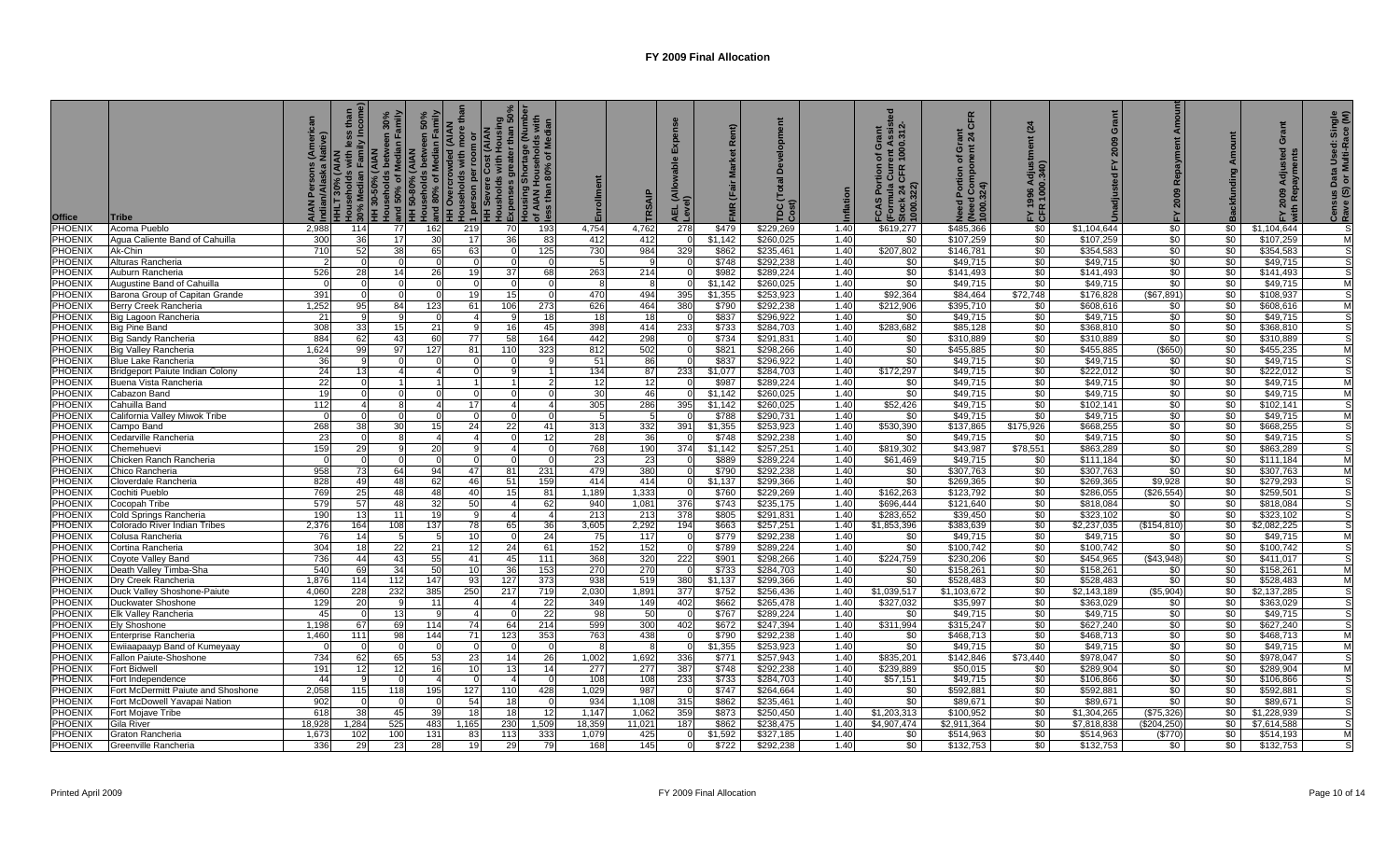| <b>Office</b>             | <b>Tribe</b>                                      | าย<br>ye)       | Incom<br>th<br><b>HLT 30% (AIAN</b> | and 50% of Median Family<br>HH 50-80% (AIAN<br>HH 50-80% (AIAN<br><b>AIAN</b><br>HH 30-50% | 50%<br>amily<br>nek<br>and 80% of Median<br><br>$\Omega$<br>$\circ$ | ded (AIAN<br>lore<br>1 person per roo<br>HH Severe Cost (<br>Housholds with H<br>sholds<br>$\frac{5}{4}$<br>Sino | lousholds with Housing<br>Xpenses greater than 50%<br>Iousing Shortage (Number<br>f AIAN Households with<br>sss than 80% of Median<br>Expenses<br>$\overline{6}$ | ق 15       | Enrollment   | RSAI         | 긊        |                  | TDC(<br>Cost)          | nflation     | ent Assist<br>1000.312-<br>Grant<br>৳<br><b>CHR</b><br>S<br>Pormula C<br>Stock 24 C<br>1000 3 | CFR<br>ō<br>৳<br>ortion<br>المحدد عمال<br>1000.324)<br>$\circ$<br>$\overline{\mathbf{z}}$ | (24)<br>996<br>100<br>ŽΕ<br>≿ ະ | ۊ<br>2009              | Repayment<br>2009<br>논 |                 | ō<br>$\overline{\sigma}$<br>$\overline{a}$ | Single<br>ace (M)<br>Census Data Used: <b>Sales</b><br>Rave (S) or Multi-Ra |
|---------------------------|---------------------------------------------------|-----------------|-------------------------------------|--------------------------------------------------------------------------------------------|---------------------------------------------------------------------|------------------------------------------------------------------------------------------------------------------|------------------------------------------------------------------------------------------------------------------------------------------------------------------|------------|--------------|--------------|----------|------------------|------------------------|--------------|-----------------------------------------------------------------------------------------------|-------------------------------------------------------------------------------------------|---------------------------------|------------------------|------------------------|-----------------|--------------------------------------------|-----------------------------------------------------------------------------|
| <b>PHOENIX</b>            | Acoma Pueblo                                      | 2.988           | 114                                 | 77                                                                                         | 162                                                                 | 219                                                                                                              | 70                                                                                                                                                               | 193        | 4,754        | 4.762        | 278      | \$479            | \$229.269              | 1.40         | \$619,277                                                                                     | \$485,366                                                                                 | \$0                             | \$1,104,644            | \$0                    | <b>\$0</b> 1    | \$1,104,644                                |                                                                             |
| PHOENIX                   | Agua Caliente Band of Cahuilla                    | 300             | 36                                  | 17                                                                                         | 30                                                                  | 17                                                                                                               | 36                                                                                                                                                               | 83         | 412          | 412          |          | \$1,142          | \$260,025              | 1.40         | \$0                                                                                           | \$107,259                                                                                 | \$0                             | \$107,259              | \$0                    | $\sqrt{50}$     | \$107,259                                  |                                                                             |
| PHOENIX                   | Ak-Chin                                           | 71(             | 52                                  | 38                                                                                         | 65                                                                  | 63                                                                                                               | $\Omega$                                                                                                                                                         | 125        | 730          | 984          | 329      | \$862            | \$235,461              | 1.40         | \$207,802                                                                                     | \$146,781                                                                                 | \$0                             | \$354,583              | \$0                    | $\sqrt{50}$     | \$354,583                                  |                                                                             |
| PHOENIX                   | Alturas Rancheria                                 |                 |                                     |                                                                                            |                                                                     |                                                                                                                  |                                                                                                                                                                  |            |              |              |          | \$748            | \$292,238              | 1.40         | \$0                                                                                           | \$49,715                                                                                  | \$0                             | \$49,715               | \$0                    | \$0             | \$49,715                                   |                                                                             |
| <b>PHOENIX</b>            | Auburn Rancheria                                  | 526             | 28                                  | 14                                                                                         | 26                                                                  | 19                                                                                                               | 37                                                                                                                                                               | 68         | 263          | 214          |          | \$982            | \$289,224              | 1.40         | \$0                                                                                           | \$141,493                                                                                 | \$0                             | \$141,493              | \$0                    | $\sqrt{50}$     | \$141,493                                  |                                                                             |
| PHOENIX                   | Augustine Band of Cahuilla                        |                 |                                     |                                                                                            |                                                                     | $\Omega$                                                                                                         | 0                                                                                                                                                                |            |              |              |          | \$1,142          | \$260,025              | 1.40         | \$0                                                                                           | \$49,715                                                                                  | \$0                             | \$49,715               | $\sqrt{50}$            | \$0             | \$49,715                                   |                                                                             |
| <b>PHOENIX</b>            | Barona Group of Capitan Grande                    | 391             |                                     |                                                                                            | $\Omega$                                                            | 19                                                                                                               | 15                                                                                                                                                               |            | 470          | 494          | 395      | \$1.355          | \$253.923              | 1.40         | \$92.364                                                                                      | \$84.464                                                                                  | \$72.748                        | \$176.828              | (S67.891)              | $\sqrt{50}$     | \$108.937                                  |                                                                             |
| PHOENIX                   | Berry Creek Rancheria                             | 1,252           | 95                                  | 84                                                                                         | 123                                                                 | 61                                                                                                               | 106                                                                                                                                                              | 273        | 626          | 464          | 380      | \$790            | \$292.238              | 1.40         | \$212.906                                                                                     | \$395,710                                                                                 | \$0                             | \$608.616              | \$0                    | \$0             | \$608.616                                  |                                                                             |
| <b>PHOENIX</b>            | Big Lagoon Rancheria                              | 21              |                                     |                                                                                            | $\Omega$                                                            |                                                                                                                  |                                                                                                                                                                  | 18         | -18          | 18           |          | \$837            | \$296.922              | 1.40         | \$0                                                                                           | \$49,715                                                                                  | \$0                             | \$49,715               | \$0                    | \$0             | \$49,715                                   |                                                                             |
| <b>PHOENIX</b>            | Big Pine Band                                     | 305             | 33                                  | 15                                                                                         | 21                                                                  |                                                                                                                  | 16                                                                                                                                                               | 45         | 398          | 414          | 233      | \$733            | \$284.703              | 1.40         | \$283,682                                                                                     | \$85,128                                                                                  | \$0                             | \$368,810              | \$0                    | \$0             | \$368,810                                  |                                                                             |
| <b>PHOENIX</b>            | <b>Big Sandy Rancheria</b>                        | 884             | 62                                  | 43                                                                                         | 60                                                                  | 77                                                                                                               | 58                                                                                                                                                               | 164        | 442          | 298          |          | \$734            | \$291,831              | 1.40         | \$0                                                                                           | \$310,889                                                                                 | \$0                             | \$310,889              | \$0                    | $\sqrt{50}$     | \$310,889                                  |                                                                             |
| <b>PHOENIX</b>            | Big Valley Rancheria                              | 1.624           |                                     | 97                                                                                         | 127                                                                 | 81                                                                                                               | 110                                                                                                                                                              | 323        | 812          | 502          |          | \$821            | \$298,266              | 1.40         | \$0                                                                                           | \$455,885                                                                                 | \$0                             | \$455,885              | \$650)                 | \$0             | \$455,235                                  |                                                                             |
| <b>PHOENIX</b>            | Blue Lake Rancheria                               | 36              |                                     |                                                                                            |                                                                     | $\Omega$                                                                                                         |                                                                                                                                                                  |            | 51           | 86           |          | \$837            | \$296,922              | 1.40         | \$0                                                                                           | \$49,715                                                                                  | \$0                             | \$49,715               | \$0                    | \$0             | \$49,715                                   |                                                                             |
| PHOENIX<br><b>PHOENIX</b> | <b>Bridgeport Paiute Indian Colony</b>            | 24<br>22        | 13                                  |                                                                                            |                                                                     |                                                                                                                  |                                                                                                                                                                  |            | 134<br>12    | 87<br>12     | 233      | \$1,077          | \$284,703<br>\$289,224 | 1.40<br>1.40 | \$172,297                                                                                     | \$49,715<br>\$49,715                                                                      | \$0<br>\$0                      | \$222,012              | \$0                    | \$0<br>\$0      | \$222,012<br>\$49,715                      |                                                                             |
| <b>PHOENIX</b>            | Buena Vista Rancheria                             |                 |                                     |                                                                                            |                                                                     |                                                                                                                  |                                                                                                                                                                  |            | 30           | 46           |          | \$987<br>\$1,142 | \$260,025              | 1.40         | \$0<br>\$0                                                                                    | \$49,715                                                                                  | \$0                             | \$49,715<br>\$49,715   | \$0<br>\$0             | \$0             | \$49,715                                   |                                                                             |
| PHOENIX                   | Cabazon Band<br>Cahuilla Band                     | 112             |                                     |                                                                                            |                                                                     | 17                                                                                                               |                                                                                                                                                                  |            | 305          | 286          | 395      | \$1.142          | \$260,025              | 1.40         | \$52,426                                                                                      | \$49,715                                                                                  | \$0                             | \$102,141              | \$0                    | \$0             | \$102,141                                  |                                                                             |
| <b>PHOENIX</b>            | California Valley Miwok Tribe                     |                 |                                     |                                                                                            |                                                                     |                                                                                                                  |                                                                                                                                                                  |            |              | -5           |          | \$788            | \$290,731              | 1.40         | \$0                                                                                           | \$49,715                                                                                  | \$0                             | \$49,715               | \$0                    | \$0             | \$49,715                                   |                                                                             |
| PHOENIX                   | Campo Band                                        | 268             | 38                                  | 30                                                                                         | 15 <sup>1</sup>                                                     | 24                                                                                                               | 22                                                                                                                                                               | 41         | 313          | 332          | 391      | \$1,355          | \$253,923              | 1.40         | \$530,390                                                                                     | \$137,865                                                                                 | \$175,926                       | \$668,255              | \$0                    | \$0             | \$668,255                                  |                                                                             |
| PHOENIX                   | Cedarville Rancheria                              | -23             |                                     |                                                                                            |                                                                     |                                                                                                                  |                                                                                                                                                                  | 12         | -28          | 36           |          | \$748            | \$292,238              | 1.40         | \$0                                                                                           | \$49,715                                                                                  | \$0                             | \$49,715               | $\frac{1}{20}$         | $\sqrt{50}$     | \$49,715                                   |                                                                             |
| PHOENIX                   | Chemehuevi                                        | 159             | 29                                  |                                                                                            | 20                                                                  |                                                                                                                  |                                                                                                                                                                  |            | 768          | 190          | 374      | \$1,142          | \$257,251              | 1.40         | \$819,302                                                                                     | \$43,987                                                                                  | \$78,551                        | \$863,289              | \$0                    | $\sqrt{50}$     | \$863,289                                  |                                                                             |
| PHOENIX                   | Chicken Ranch Rancheria                           |                 |                                     |                                                                                            | $\Omega$                                                            | $\Omega$                                                                                                         | $\Omega$                                                                                                                                                         |            | -23          | 23           |          | \$889            | \$289,224              | 1.40         | \$61,469                                                                                      | \$49,715                                                                                  | \$0                             | \$111,184              | \$0                    | $\sqrt{50}$     | \$111,184                                  |                                                                             |
| PHOENIX                   | Chico Rancheria                                   | 955             | 73                                  | 64                                                                                         | 94                                                                  | 47                                                                                                               | 81                                                                                                                                                               | 231        | 479          | 380          |          | \$790            | \$292,238              | 1.40         | \$0                                                                                           | \$307,763                                                                                 | \$0                             | \$307,763              | \$0                    | \$0             | \$307,763                                  |                                                                             |
| <b>PHOENIX</b>            | Cloverdale Rancheria                              | 828             | 49                                  | 48                                                                                         | 62                                                                  | 46                                                                                                               | 51                                                                                                                                                               | 159        | 414          | 414          | $\Omega$ | \$1,137          | \$299,366              | 1.40         | \$0                                                                                           | \$269,365                                                                                 | \$0                             | \$269,365              | \$9,928                | \$0             | \$279,293                                  |                                                                             |
| <b>PHOENIX</b>            | Cochiti Pueblo                                    | 769             | 25                                  | 48                                                                                         | 48                                                                  | 40                                                                                                               | 15                                                                                                                                                               | 81         | 1.189        | 1,333        |          | \$760            | \$229,269              | 1.40         | \$162,263                                                                                     | \$123,792                                                                                 | \$0                             | \$286,055              | (\$26,554)             | \$0             | \$259,501                                  |                                                                             |
| PHOENIX                   | Cocopah Tribe                                     | 579             | 57                                  | 48                                                                                         | 32                                                                  | 50                                                                                                               | $\mathbf{A}$                                                                                                                                                     | 62         | 940          | 1.081        | 376      | \$743            | \$235.175              | 1.40         | \$696,444                                                                                     | \$121.640                                                                                 | \$0                             | \$818.084              | \$0                    | $\overline{50}$ | \$818.084                                  |                                                                             |
| <b>PHOENIX</b>            | Cold Springs Rancheria                            | 190             | 1.3                                 | 11                                                                                         | 19                                                                  |                                                                                                                  |                                                                                                                                                                  |            | 213          | 213          | 378      | \$805            | \$291.831              | 1.40         | \$283,652                                                                                     | \$39.450                                                                                  | \$0                             | \$323.102              | \$0                    | \$0             | \$323,102                                  |                                                                             |
| <b>PHOENIX</b>            | Colorado River Indian Tribes                      | 2,376           | 164                                 | 108                                                                                        | 137                                                                 | 78                                                                                                               | 65                                                                                                                                                               | 36         | 3.605        | 2,292        | 194      | \$663            | \$257,251              | 1.40         | \$1,853,396                                                                                   | \$383,639                                                                                 | \$0                             | \$2,237,035            | (\$154.810)            | \$0             | \$2,082,225                                |                                                                             |
| <b>PHOENIX</b>            | Colusa Rancheria                                  |                 | 14                                  |                                                                                            |                                                                     | 10                                                                                                               |                                                                                                                                                                  | 24         | 75           | 117          |          | \$779            | \$292,238              | 1.40         | \$0                                                                                           | \$49,715                                                                                  | \$0                             | \$49,715               | \$0                    | \$0             | \$49.715                                   |                                                                             |
| <b>PHOENIX</b>            | Cortina Rancheria                                 | 30 <sup>2</sup> | 18                                  | 22                                                                                         | 21                                                                  | 12                                                                                                               | 24                                                                                                                                                               | 61         | 152          | 152          | $\Omega$ | \$789            | \$289,224              | 1.40         | \$0                                                                                           | \$100,742                                                                                 | \$0                             | \$100,742              | \$0                    | \$0             | \$100,742                                  |                                                                             |
| PHOENIX                   | Coyote Valley Band                                | 736             | 44                                  | 43                                                                                         | 55                                                                  | 41                                                                                                               | 45                                                                                                                                                               | 111        | 368          | 320          | 222      | \$901            | \$298,266              | 1.40         | \$224,759                                                                                     | \$230,206                                                                                 | \$0                             | \$454,965              | (\$43,948)             | \$0             | \$411.017                                  |                                                                             |
| <b>PHOENIX</b>            | Death Valley Timba-Sha                            | 540             | 69                                  | 34<br>112                                                                                  | 50                                                                  | 10 <sup>1</sup><br>93                                                                                            | 36                                                                                                                                                               | 153        | 270          | 270          | 380      | \$733            | \$284,703              | 1.40         | \$0                                                                                           | \$158,261                                                                                 | \$0<br>\$0                      | \$158,261<br>\$528,483 | \$0<br>\$0             | \$0             | \$158,261                                  | M                                                                           |
| <b>PHOENIX</b><br>PHOENIX | Dry Creek Rancheria                               | 1,876<br>4,060  | 114<br>228                          | 232                                                                                        | 147<br>385                                                          | 250                                                                                                              | 127<br>217                                                                                                                                                       | 373<br>719 | 938<br>2,030 | 519<br>1,891 | 377      | \$1,137<br>\$752 | \$299,366<br>\$256,436 | 1.40<br>1.40 | \$0<br>\$1,039,517                                                                            | \$528,483<br>\$1,103,672                                                                  | \$0                             | \$2,143,189            | (\$5,904)              | \$0<br>\$0      | \$528,483<br>\$2,137,285                   |                                                                             |
| PHOENIX                   | Duck Valley Shoshone-Paiute<br>Duckwater Shoshone | 129             |                                     |                                                                                            | 11                                                                  |                                                                                                                  |                                                                                                                                                                  | 22         | 349          | 149          | 402      | \$662            | \$265,478              | 1.40         | \$327,032                                                                                     | \$35,997                                                                                  | \$0                             | \$363,029              | \$0                    | \$0             | \$363,029                                  |                                                                             |
| PHOENIX                   | Elk Valley Rancheria                              | 45              |                                     | 13                                                                                         |                                                                     |                                                                                                                  |                                                                                                                                                                  | 22         | 98           | 50           |          | \$767            | \$289,224              | 1.40         | \$0                                                                                           | \$49,715                                                                                  | \$0                             | \$49,715               | \$0                    | \$0             | \$49,715                                   |                                                                             |
| PHOENIX                   | Ely Shoshone                                      | 1.198           | 67                                  | 69                                                                                         | 114                                                                 | 74                                                                                                               | 64                                                                                                                                                               | 214        | 599          | 300          | 402      | \$672            | \$247,394              | 1.40         | \$311,994                                                                                     | \$315,247                                                                                 | \$0                             | \$627,240              | \$0                    | \$0             | \$627,240                                  |                                                                             |
| PHOENIX                   | Enterprise Rancheria                              | 1,460           | 111                                 | 98                                                                                         | 144                                                                 | 71                                                                                                               | 123                                                                                                                                                              | 353        | 763          | 438          |          | \$790            | \$292,238              | 1.40         | \$0                                                                                           | \$468,713                                                                                 | \$0                             | \$468,713              | \$0                    | \$0             | \$468,713                                  |                                                                             |
| <b>PHOENIX</b>            | Ewiiaapaayp Band of Kumeyaay                      |                 |                                     |                                                                                            |                                                                     | 0                                                                                                                |                                                                                                                                                                  |            |              |              |          | \$1,355          | \$253,923              | 1.40         | \$0                                                                                           | \$49,715                                                                                  | \$0                             | \$49,715               | $\frac{1}{20}$         | \$0             | \$49,715                                   |                                                                             |
| <b>PHOENIX</b>            | Fallon Paiute-Shoshone                            | 734             | 62                                  | 65                                                                                         | 53                                                                  | 23                                                                                                               | 14                                                                                                                                                               | 26         | 1,002        | 1,692        | 336      | \$771            | \$257,943              | 1.40         | \$835,201                                                                                     | \$142,846                                                                                 | \$73,440                        | \$978,047              | \$0                    | \$0             | \$978,047                                  |                                                                             |
| PHOENIX                   | Fort Bidwell                                      | 191             | 12                                  | 12                                                                                         | <b>16</b>                                                           | 10 <sup>1</sup>                                                                                                  | 13                                                                                                                                                               | 14         | 277          | 277          | 387      | \$748            | \$292,238              | 1.40         | \$239.889                                                                                     | \$50,015                                                                                  | \$0                             | \$289,904              | \$0                    | \$0             | \$289,904                                  | M                                                                           |
| PHOENIX                   | Fort Independence                                 | 44              |                                     |                                                                                            |                                                                     | $\Omega$                                                                                                         |                                                                                                                                                                  |            | 108          | 108          | 233      | \$733            | \$284,703              | 1.40         | \$57,151                                                                                      | \$49,715                                                                                  | \$0                             | \$106,866              | \$0                    | \$0             | \$106,866                                  |                                                                             |
| <b>PHOENIX</b>            | Fort McDermitt Paiute and Shoshone                | 2,058           | 115                                 | 118                                                                                        | 195                                                                 | 127                                                                                                              | 110                                                                                                                                                              | 428        | 1,029        | 987          |          | \$747            | \$264,664              | 1.40         | \$0                                                                                           | \$592,881                                                                                 | \$0                             | \$592,881              | \$0                    | \$0             | \$592,881                                  |                                                                             |
| PHOENIX                   | Fort McDowell Yavapai Nation                      | 902             |                                     |                                                                                            |                                                                     | 54                                                                                                               | 18                                                                                                                                                               |            | 934          | 1,108        | 315      | \$862            | \$235,461              | 1.40         | \$0                                                                                           | \$89,671                                                                                  | \$0                             | \$89,671               | \$0                    | \$0             | \$89,671                                   |                                                                             |
| PHOENIX                   | Fort Mojave Tribe                                 | 618             | 38                                  | 45                                                                                         | 39                                                                  | 18I                                                                                                              | 18                                                                                                                                                               | -12        | 1.147        | 1,062        | 359      | \$873            | \$250.450              | 1.40         | \$1,203,313                                                                                   | \$100.952                                                                                 | \$0                             | \$1.304.265            | (\$75,326)             | \$0             | \$1,228,939                                |                                                                             |
| <b>PHOENIX</b>            | Gila River                                        | 18,928          | 1.284                               | 525                                                                                        | 483                                                                 | 1,165                                                                                                            | 230                                                                                                                                                              | 1,509      | 18,359       | 11,021       | 187      | \$862            | \$238,475              | 1.40         | \$4,907,474                                                                                   | \$2,911,364                                                                               | \$0                             | \$7,818,838            | $($ \$204,250)         | \$0             | \$7.614.588                                |                                                                             |
| <b>PHOENIX</b>            | Graton Rancheria                                  | 1.673           | 102                                 | 100                                                                                        | 131                                                                 | 83                                                                                                               | 113                                                                                                                                                              | 333        | 1,079        | 425          |          | \$1.592          | \$327.185              | 1.40         | \$0                                                                                           | \$514,963                                                                                 | \$0                             | \$514,963              | (\$770)                | \$0             | \$514,193                                  | M                                                                           |
| <b>PHOENIX</b>            | Greenville Rancheria                              | 336             |                                     | 23                                                                                         | 28                                                                  |                                                                                                                  | 29                                                                                                                                                               |            | 168          | 145          |          | \$722            | \$292,238              | 1.40         | \$0                                                                                           | \$132,753                                                                                 | $\overline{50}$                 | \$132,753              | \$0                    | \$0             | \$132,753                                  |                                                                             |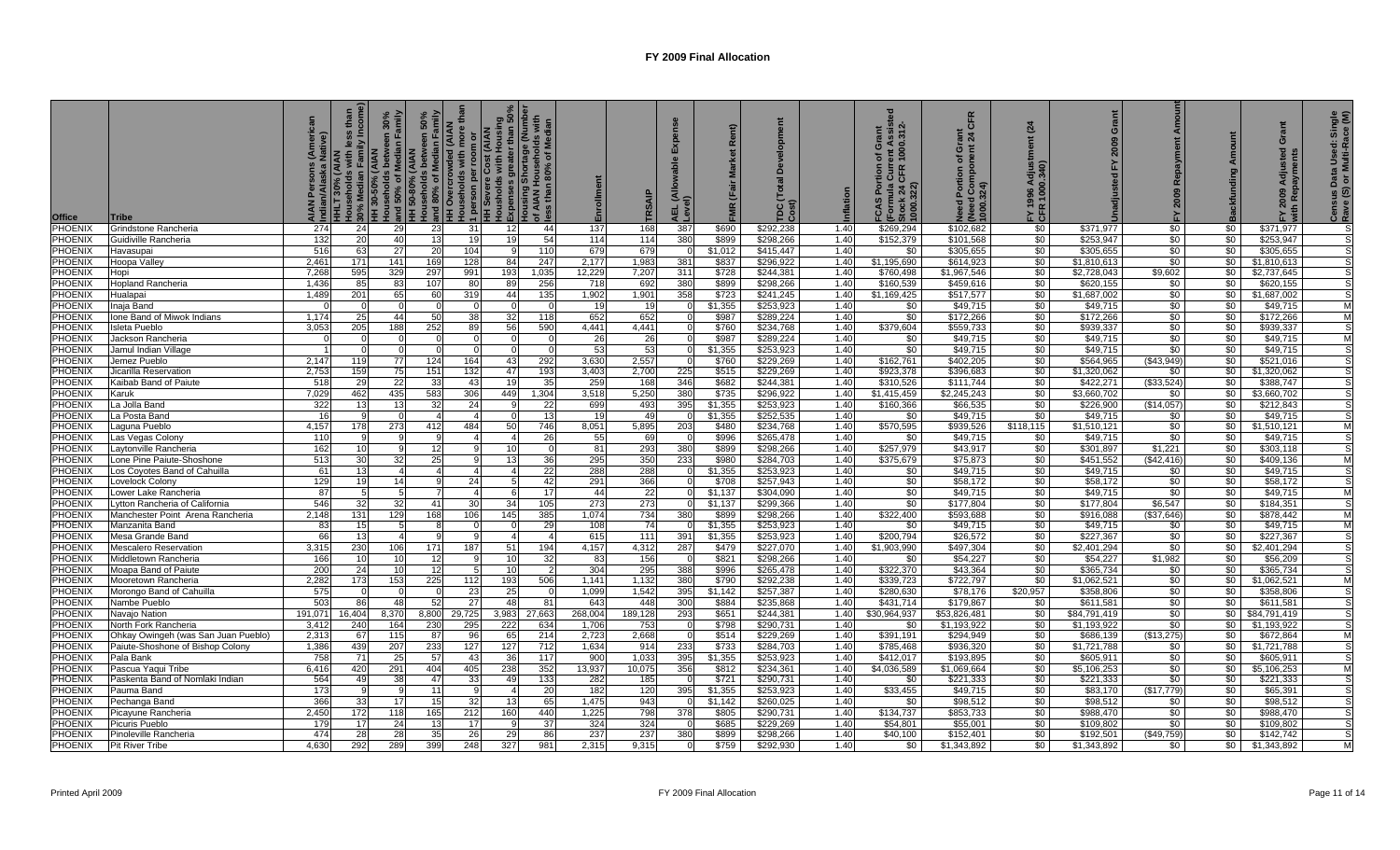| <b>Office</b>      | <b>Tribe</b>                        | yë<br>M       | lly Incom<br>with<br>HLT 30% (AIAN | and 50% of Median Family<br>HH 50-80% (AIAN<br><b>AIAN</b><br>30% Median<br>HH 30-50% (<br>Households | 50%<br>amily<br>$\Omega$<br>$\circ$ | lore<br>1 person per roon<br>HH Severe Cost (<br>Housholds with H<br>Sino | lousholds with Housing<br>Xpenses greater than 50%<br>Iousing Shortage (Number<br>if AIAN Households with<br>sss than 80% of Median<br>Expenses<br>$\overline{6}$ |            | Enrollment     | RSAI          | 긊              |                  | $TDC$<br>$Cost)$       | nflation     | ent Assist<br>1000.312-<br>Grant<br>৳<br><b>CHR</b><br><b>FCAS Por<br/>(Formula (</b><br>Stock 24 (<br>1000.322) | CFR<br>ō<br>৳<br>Portion<br>(Need Con<br>1000.324)<br>$\circ$<br>ਨ੍ਹ | (24)<br>996<br>100<br>ŽΕ<br>≿ ະ | Grant<br>2009            | Repayment<br>2009<br>는 |                 | ō<br>$\overline{\sigma}$<br><b>SP</b> | Census Data Used: Single<br>Rave (S) or Multi-Race (M) |
|--------------------|-------------------------------------|---------------|------------------------------------|-------------------------------------------------------------------------------------------------------|-------------------------------------|---------------------------------------------------------------------------|-------------------------------------------------------------------------------------------------------------------------------------------------------------------|------------|----------------|---------------|----------------|------------------|------------------------|--------------|------------------------------------------------------------------------------------------------------------------|----------------------------------------------------------------------|---------------------------------|--------------------------|------------------------|-----------------|---------------------------------------|--------------------------------------------------------|
| <b>PHOENIX</b>     | Grindstone Rancheria                | 274           | 24                                 | 29                                                                                                    | -231                                | -31                                                                       | 12I                                                                                                                                                               | 44         | 137            | 168           | 387            | \$690            | \$292.238              | 1.40         | \$269.294                                                                                                        | \$102.682                                                            | \$0                             | \$371.977                | \$0                    | \$0             | \$371.977                             |                                                        |
| PHOENIX            | Guidiville Rancheria                | 132           |                                    | 40                                                                                                    | 13                                  | 19                                                                        | 19                                                                                                                                                                | 54         | 114            | 114           | 380            | \$899            | \$298,266              | 1.40         | \$152,379                                                                                                        | \$101,568                                                            | \$0                             | \$253,947                | \$0                    | \$0             | \$253,947                             |                                                        |
| PHOENIX            | Havasupai                           | 516           | -63                                | 27                                                                                                    | <b>20</b>                           | 104                                                                       |                                                                                                                                                                   | 110        | 679            | 679           |                | \$1,012          | \$415,447              | 1.40         | \$0                                                                                                              | \$305,655                                                            | \$0                             | \$305,655                | \$0                    | \$0             | \$305,655                             |                                                        |
| PHOENIX            | Hoopa Valley                        | 2,46'         | 171                                | 141                                                                                                   | 169                                 | 128                                                                       | 84                                                                                                                                                                | 247        | 2,177          | 1,983         | 381            | \$837            | \$296,922              | 1.40         | \$1,195,690                                                                                                      | \$614,923                                                            | \$0                             | \$1,810,613              | \$0                    | \$0             | \$1,810,613                           |                                                        |
| <b>PHOENIX</b>     | Hopi                                | 7,268         | 595                                | 329                                                                                                   | 297                                 | 991                                                                       | 193                                                                                                                                                               | 1,035      | 12,229         | 7,207         | 311            | \$728            | \$244,381              | 1.40         | \$760,498                                                                                                        | \$1,967,546                                                          | \$0                             | \$2,728,043              | \$9,602                | \$0             | \$2,737,645                           |                                                        |
| <b>PHOENIX</b>     | <b>Hopland Rancheria</b>            | 1,436         | 85                                 | 83                                                                                                    | 107                                 | 80                                                                        | 89                                                                                                                                                                | 256        | 718            | 692           | 380            | \$899            | \$298,266              | 1.40         | \$160,539                                                                                                        | \$459,616                                                            | \$0                             | \$620,155                | \$0                    | \$0             | \$620,155                             |                                                        |
| <b>PHOENIX</b>     | Hualapai                            | 1,489         | 201                                | 65                                                                                                    | 60                                  | 319                                                                       | 44                                                                                                                                                                | 135        | 1,902          | 1,901         | 358            | \$723            | \$241,245              | 1.40         | \$1,169,425                                                                                                      | \$517,577                                                            | \$0                             | \$1,687,002              | \$0                    | \$0             | \$1,687,002                           |                                                        |
| PHOENIX            | Inaja Band                          |               |                                    |                                                                                                       |                                     |                                                                           |                                                                                                                                                                   |            | 19             | 19            |                | \$1,355          | \$253,923              | 1.40         | \$0                                                                                                              | \$49,715                                                             | \$0                             | \$49,715                 | \$0                    | \$0             | \$49,715                              |                                                        |
| <b>PHOENIX</b>     | Ione Band of Miwok Indians          | 1,174         | 25                                 | 44                                                                                                    | 50                                  | 38                                                                        | 32                                                                                                                                                                | 118        | 652            | 652           |                | \$987            | \$289,224              | 1.40         | \$0                                                                                                              | \$172,266                                                            | \$0                             | \$172,266                | \$0                    | \$0             | \$172,266                             | M                                                      |
| <b>PHOENIX</b>     | Isleta Pueblo                       | 3,053         | 205                                | 188                                                                                                   | 252                                 | 89                                                                        | 56                                                                                                                                                                | 590        | 4,441          | 4,441         |                | \$760            | \$234,768              | 1.40         | \$379,604                                                                                                        | \$559,733                                                            | \$0                             | \$939,337                | \$0                    | \$0             | \$939,337                             |                                                        |
| <b>PHOENIX</b>     | Jackson Rancheria                   |               |                                    |                                                                                                       | $\Omega$                            | $\Omega$                                                                  | $\Omega$                                                                                                                                                          |            | -26            | 26            | $\Omega$       | \$987            | \$289,224              | 1.40         | \$0                                                                                                              | \$49,715                                                             | $\sqrt{50}$                     | \$49,715                 | \$0                    | $\sqrt{50}$     | \$49,715                              |                                                        |
| PHOENIX            | Jamul Indian Village                |               |                                    |                                                                                                       |                                     |                                                                           |                                                                                                                                                                   |            | 53             | 53            |                | \$1.355          | \$253,923              | 1.40         | $\sqrt{6}$                                                                                                       | \$49,715                                                             | \$0                             | \$49,715                 | $\sqrt{6}$             | \$0             | \$49.715                              |                                                        |
| <b>PHOENIX</b>     | Jemez Pueblo                        | 2,147         | 119                                | 77                                                                                                    | 124                                 | 164                                                                       | 43                                                                                                                                                                | 292        | 3,630          | 2,557         | - 01           | \$760            | \$229,269              | 1.40         | \$162,761                                                                                                        | \$402,205                                                            | \$0                             | \$564,965                | ( \$43.949)            | \$0             | \$521,016                             |                                                        |
| <b>PHOENIX</b>     | Jicarilla Reservation               | 2,753         | 159                                | 75                                                                                                    | 151                                 | 132                                                                       | 47                                                                                                                                                                | 193        | 3.403          | 2,700         | 225            | \$515            | \$229,269              | 1.40         | \$923,378                                                                                                        | \$396,683                                                            | \$0                             | \$1,320,062              | \$0                    | \$0             | \$1,320,062                           |                                                        |
| PHOENIX            | Kaibab Band of Paiute               | 518           | 29                                 | 22                                                                                                    | 33                                  | 43                                                                        | 19                                                                                                                                                                | 35         | 259            | 168           | 346            | \$682            | \$244,381              | 1.40         | \$310,526                                                                                                        | \$111,744                                                            | \$0                             | \$422,271                | (\$33,524)             | \$0             | \$388,747                             |                                                        |
| <b>PHOENIX</b>     | Karuk                               | 7,029         | 462                                | 435                                                                                                   | 583                                 | 306                                                                       | 449                                                                                                                                                               | 1,304      | 3,518          | 5,250         | 380            | \$735            | \$296,922              | 1.40         | \$1,415,459                                                                                                      | \$2,245,243                                                          | \$0                             | \$3,660,702              | \$0                    | \$0             | \$3,660,702                           |                                                        |
| <b>PHOENIX</b>     | La Jolla Band                       | 322           | 13                                 | 13                                                                                                    | 32                                  | 24                                                                        |                                                                                                                                                                   | 22         | 699            | 493           | 395            | \$1,355          | \$253,923              | 1.40         | \$160,366                                                                                                        | \$66,535                                                             | \$0                             | \$226,900                | (\$14,057)             | \$0             | \$212,843                             |                                                        |
| <b>PHOENIX</b>     | La Posta Band                       |               |                                    |                                                                                                       |                                     |                                                                           |                                                                                                                                                                   | 13         | 19             | 49            |                | \$1,355          | \$252,535              | 1.40         | \$0                                                                                                              | \$49,715                                                             | \$0                             | \$49,715                 | \$0                    | \$0             | \$49,715                              |                                                        |
| <b>PHOENIX</b>     | aguna Pueblo.                       | 4,157         | 178                                | 273                                                                                                   | 412                                 | 484                                                                       | 50                                                                                                                                                                | 746        | 8,051          | 5,895         | 203            | \$480            | \$234,768              | 1.40         | \$570,595                                                                                                        | \$939,526                                                            | \$118,115                       | \$1,510,121              | \$0                    | \$0             | \$1,510,121                           |                                                        |
| PHOENIX            | Las Vegas Colony                    | 110           |                                    |                                                                                                       |                                     |                                                                           |                                                                                                                                                                   | 26         | 55             | 69            |                | \$996            | \$265,478              | 1.40         | \$0                                                                                                              | \$49,715                                                             | \$0                             | \$49,715                 | \$0                    | \$0             | \$49,715                              |                                                        |
| PHOENIX            | Laytonville Rancheria               | 162           | 10 <sup>1</sup>                    |                                                                                                       | 12                                  |                                                                           | 10 <sup>1</sup>                                                                                                                                                   |            | 81             | 293           | 380            | \$899            | \$298,266              | 1.40         | \$257,979                                                                                                        | \$43,917                                                             | \$0                             | \$301,897                | \$1,221                | \$0             | \$303,118                             |                                                        |
| <b>PHOENIX</b>     | Lone Pine Paiute-Shoshone           | 513           | 30                                 | 32                                                                                                    | 25                                  |                                                                           | 13                                                                                                                                                                | 36         | 295            | 350           | 233            | \$980            | \$284.703              | 1.40         | \$375.679                                                                                                        | \$75,873                                                             | \$0                             | \$451,552                | (S42.416)              | \$0             | \$409,136                             |                                                        |
| PHOENIX            | Los Coyotes Band of Cahuilla        | 61            | 13                                 |                                                                                                       |                                     |                                                                           |                                                                                                                                                                   | 22         | 288            | 288           |                | \$1,355          | \$253.923              | 1.40         | \$0                                                                                                              | \$49,715                                                             | \$0                             | \$49,715                 | \$0                    | \$0             | \$49,715                              |                                                        |
| <b>PHOENIX</b>     | ovelock Colony.                     | 129           | 19                                 | 14                                                                                                    |                                     | 24                                                                        |                                                                                                                                                                   | 42         | 291            | 366           |                | \$708            | \$257.943              | 1.40         | \$0                                                                                                              | \$58,172                                                             | \$0                             | \$58,172                 | \$0                    | \$0             | \$58,172                              |                                                        |
| <b>PHOENIX</b>     | ower Lake Rancheria.                | 87            |                                    |                                                                                                       | $\overline{7}$                      |                                                                           |                                                                                                                                                                   | 17         | 44             | 22            |                | \$1.137          | \$304.090              | 1.40         | \$0                                                                                                              | \$49.715                                                             | \$0                             | \$49,715                 | $\overline{30}$        | \$0             | \$49.715                              |                                                        |
| <b>PHOENIX</b>     | vtton Rancheria of California.      | 546           | 32                                 | 32                                                                                                    | 41                                  | 30 <sup>1</sup>                                                           | 34                                                                                                                                                                | 105        | 273            | 273           | $\Omega$       | \$1.137          | \$299.366              | 1.40         | $\sqrt{50}$                                                                                                      | \$177.804                                                            | \$0                             | \$177.804                | \$6,547                | \$0             | \$184,351                             |                                                        |
| <b>PHOENIX</b>     | Manchester Point Arena Rancheria    | 2.148         | 131                                | 129                                                                                                   | 168                                 | 106                                                                       | 145                                                                                                                                                               | 385        | 1.074          | 734           | 380            | \$899            | \$298,266              | 1.40         | \$322,400                                                                                                        | \$593,688                                                            | \$0                             | \$916,088                | (\$37,646)             | \$0             | \$878,442                             |                                                        |
| PHOENIX            | Manzanita Band                      | -83           | 15                                 |                                                                                                       |                                     | $\Omega$                                                                  |                                                                                                                                                                   | 29         | 108            | 74            | $\overline{0}$ | \$1,355          | \$253,923              | 1.40         | \$0                                                                                                              | \$49,715                                                             | \$0                             | \$49,715                 | \$0                    | $\overline{50}$ | \$49,715                              |                                                        |
| <b>PHOENIX</b>     | Mesa Grande Band                    | -66           | 13                                 |                                                                                                       |                                     |                                                                           |                                                                                                                                                                   |            | 615            | 111           | 391            | \$1,355          | \$253,923              | 1.40         | \$200,794                                                                                                        | \$26,572                                                             | \$0                             | \$227,367                | \$0                    | \$0             | \$227,367                             |                                                        |
| <b>PHOENIX</b>     | <b>Mescalero Reservation</b>        | 3,315         | 230                                | 106                                                                                                   | 171                                 | 187                                                                       | 51                                                                                                                                                                | 194        | 4,157          | 4,312         | 287            | \$479            | \$227,070              | 1.40         | \$1,903,990                                                                                                      | \$497,304                                                            | \$0                             | \$2,401,294              | \$0                    | \$0             | \$2,401,294                           |                                                        |
| <b>PHOENIX</b>     | Middletown Rancheria                | 166           | 10                                 | 10                                                                                                    | 12                                  |                                                                           | 10                                                                                                                                                                | 32         | 83             | 156           |                | \$821            | \$298,266              | 1.40         | \$0                                                                                                              | \$54,227                                                             | \$0                             | \$54,227                 | \$1,982                | \$0             | \$56,209                              |                                                        |
| <b>PHOENIX</b>     | Moapa Band of Paiute                | 200           | 24                                 | 10 <sup>1</sup>                                                                                       | 12                                  | -5                                                                        | 10                                                                                                                                                                |            | 304            | 295           | 388            | \$996            | \$265,478              | 1.40         | \$322,370                                                                                                        | \$43,364                                                             | \$0                             | \$365,734                | \$0                    | \$0             | \$365,734                             |                                                        |
| <b>PHOENIX</b>     | Mooretown Rancheria                 | 2,282         | 173                                | 153                                                                                                   | 225                                 | 112                                                                       | 193                                                                                                                                                               | 506        | 1.141          | 1,132         | 380            | \$790            | \$292,238              | 1.40         | \$339,723                                                                                                        | \$722,797                                                            | \$0                             | \$1.062.521              | \$0                    | \$0             | \$1,062,521                           |                                                        |
| PHOENIX            | Morongo Band of Cahuilla            | 575           |                                    |                                                                                                       |                                     | 23                                                                        | 25                                                                                                                                                                |            | 1,099          | 1,542         | 395            | \$1.142          | \$257,387              | 1.40         | \$280,630                                                                                                        | \$78,176                                                             | \$20,957                        | \$358,806                | \$0                    | \$0             | \$358,806                             |                                                        |
| PHOENIX            | Nambe Pueblo                        | 503           |                                    | 48                                                                                                    | 52                                  | 27                                                                        | 48                                                                                                                                                                | 81         | 643            | 448           | 300            | \$884            | \$235,868              | 1.40         | \$431,714                                                                                                        | \$179.86                                                             | \$0                             | \$611,581                | \$0                    | \$0             | \$611,58                              |                                                        |
| <b>PHOENIX</b>     | Navajo Nation                       | 191,07        | 16,404                             | 8,370                                                                                                 | 8,800                               | 29,725                                                                    | 3,983                                                                                                                                                             | 27,663     | 268,004        | 189,128       | 293            | \$651            | \$244.381              | 1.40         | \$30,964,937                                                                                                     | \$53,826,481                                                         | \$0                             | \$84,791,419             | \$0                    | \$0             | \$84,791,419                          |                                                        |
| PHOENIX            | North Fork Rancheria                | 3,412         | 240                                | 164                                                                                                   | 230                                 | 295                                                                       | 222                                                                                                                                                               | 634        | 1,706          | 753           |                | \$798            | \$290,731              | 1.40         | \$0                                                                                                              | \$1,193,922                                                          | \$0                             | \$1,193,922              | \$0                    | \$0             | \$1,193,922                           |                                                        |
| PHOENIX<br>PHOENIX | Ohkay Owingeh (was San Juan Pueblo) | 2,31<br>1,386 | 67<br>439                          | 115<br>207                                                                                            | 87<br>233                           | 96<br>127                                                                 | 65<br>127                                                                                                                                                         | 214<br>712 | 2,723<br>1,634 | 2,668         | 233            | \$514<br>\$733   | \$229,269<br>\$284,703 | 1.40<br>1.40 | \$391,191<br>\$785,468                                                                                           | \$294,949<br>\$936,320                                               | \$0<br>\$0                      | \$686,139<br>\$1,721,788 | (\$13,275)<br>\$0      | \$0<br>\$0      | \$672,864<br>\$1,721,788              |                                                        |
| <b>PHOENIX</b>     | Paiute-Shoshone of Bishop Colony    |               | 71                                 |                                                                                                       |                                     | 43                                                                        |                                                                                                                                                                   |            |                | 914           |                |                  |                        |              |                                                                                                                  |                                                                      |                                 |                          | \$0                    |                 |                                       |                                                        |
| <b>PHOENIX</b>     | Pala Bank                           | 758<br>6,416  | 420                                | 25<br>291                                                                                             | 57<br>404                           | 405                                                                       | 36<br>238                                                                                                                                                         | 117<br>352 | 900<br>13,937  | 1,033         | 395<br>356     | \$1,355<br>\$812 | \$253,923<br>\$234,361 | 1.40<br>1.40 | \$412,017<br>\$4,036,589                                                                                         | \$193,895<br>\$1,069,664                                             | \$0<br>\$0                      | \$605,911<br>\$5,106,253 | \$0                    | \$0<br>\$0      | \$605,911<br>\$5,106,253              |                                                        |
| PHOENIX            | Pascua Yaqui Tribe                  | 564           | 49                                 | 38                                                                                                    |                                     | 33                                                                        |                                                                                                                                                                   | 133        | 282            | 10,075<br>185 |                | \$721            | \$290,731              | 1.40         |                                                                                                                  | \$221,333                                                            | \$0                             | \$221,333                | \$0                    | \$0             | \$221,333                             |                                                        |
| <b>PHOENIX</b>     | Paskenta Band of Nomlaki Indian     | 173           |                                    |                                                                                                       | 47<br>11                            | -9                                                                        | 49                                                                                                                                                                | 20         | 182            | 120           | 395            | \$1,355          | \$253,923              | 1.40         | \$0<br>\$33,455                                                                                                  | \$49,715                                                             | \$0                             | \$83,170                 | (\$17,779)             | \$0             | \$65,391                              |                                                        |
| <b>PHOENIX</b>     | Pauma Band<br>Pechanga Band         | 366           | 33                                 | 17                                                                                                    | 15 <sup>1</sup>                     | 32                                                                        | 13                                                                                                                                                                | 65         | 1.475          | 943           | $\Omega$       | \$1.142          | \$260.025              | 1.40         | \$0                                                                                                              | \$98.512                                                             | \$0                             | \$98,512                 | \$0                    | \$0             | \$98,512                              |                                                        |
| <b>PHOENIX</b>     | Picayune Rancheria                  | 2.450         | 172                                | 118                                                                                                   | 165                                 | 212                                                                       | 160                                                                                                                                                               | 440        | 1,225          | 798           | 378            | \$805            | \$290.731              | 1.40         | \$134.737                                                                                                        | \$853.733                                                            | \$0                             | \$988.470                | \$0                    | \$0             | \$988.470                             |                                                        |
| <b>PHOENIX</b>     | Picuris Pueblo                      | 179           | 17                                 | 24                                                                                                    | 13                                  | 17                                                                        |                                                                                                                                                                   | 37         | 324            | 324           |                | \$685            | \$229.269              | 1.40         | \$54.801                                                                                                         | \$55,001                                                             | \$0                             | \$109.802                | \$0                    | \$0             | \$109,802                             |                                                        |
| <b>PHOENIX</b>     | Pinoleville Rancheria               | 474           | 28                                 | 28                                                                                                    | 35                                  | 26                                                                        | 29                                                                                                                                                                | 86         | 237            | 237           | 380            | \$899            | \$298.266              | 1.40         | \$40.100                                                                                                         | \$152,401                                                            | \$0                             | \$192,501                | (\$49.759)             | \$0             | \$142,742                             |                                                        |
| <b>PHOENIX</b>     | <b>Pit River Tribe</b>              | 4.630         | 292                                | 289                                                                                                   | 399                                 | 248                                                                       | 327                                                                                                                                                               | 981        | 2,315          | 9,315         |                | \$759            | \$292,930              | 1.40         | \$0                                                                                                              | \$1,343,892                                                          | \$0                             | \$1,343,892              | \$0                    | $\frac{1}{2}$   | \$1,343,892                           |                                                        |
|                    |                                     |               |                                    |                                                                                                       |                                     |                                                                           |                                                                                                                                                                   |            |                |               |                |                  |                        |              |                                                                                                                  |                                                                      |                                 |                          |                        |                 |                                       |                                                        |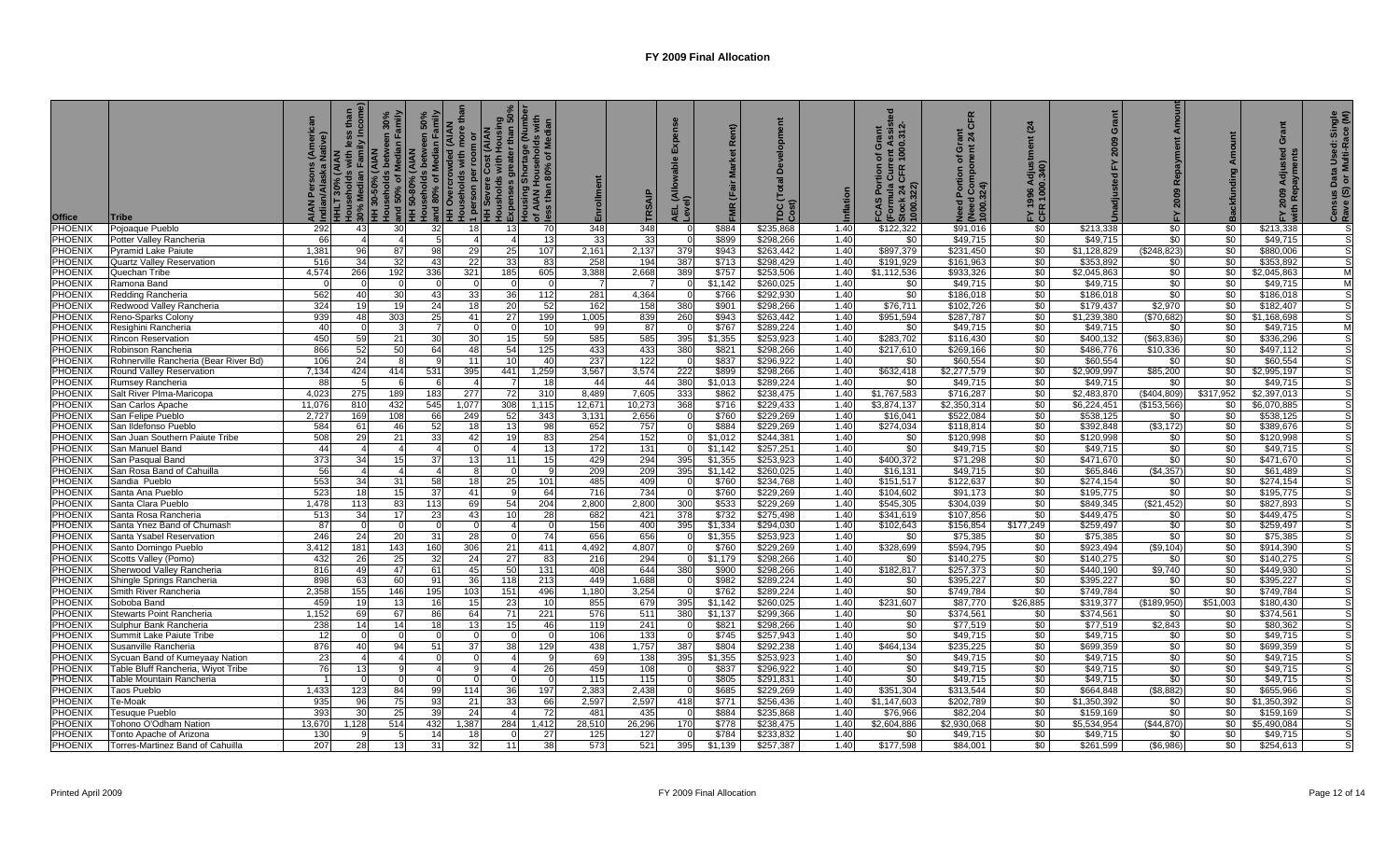| <b>Office</b>      | Tribe                                              | HLT 30%    | <b>MAIA)</b><br>30% Median<br>HH 30-50% (<br>Households | $\frac{2}{5}$<br>30%<br>n Fa<br>and 50% of I<br>HH 50-80% ( | 50%<br>amily<br>ed (AIAN<br>ē<br>and 80% of Median<br>HH Overcrowded (A | lore<br><b>arson per roo<br/>Severe Cost</b><br>Isholds with l<br>1 persol<br>HH Seve<br>gno | Housholds with Housing<br>≿xpenses greater than 50%<br>Housing Shortage (Number<br>of AIAN Households with<br>ess than 80% of Median<br><b>Expenses</b><br>$\frac{3}{2}$ | ق 5             | Enrollment   | RSAI       | 긊          |                    | TDC(<br>Cost)          |              | ent Assist<br>1000.312-<br>Grant<br>৳<br>Æ<br>ចិ ចិ<br>FCAS Por<br>(Formula (<br>Stock 24 (<br>1000.322) | CFR<br>ō<br>ቴ<br>וש <del>פנ</del> ים בסון<br>1000.324)<br>$\circ$<br>তু | (24)<br>Ξ<br>$\frac{8}{2}$<br>FY 19<br>CFR | Grant<br>2009<br>고       | <b>Re</b><br>2009    |                  | Grant<br>ਦ<br>হু        | Single<br>ace (M)<br>Data Used: S<br>or Multi-Rac<br>$\frac{1}{8}$<br>Censu<br>Rave |
|--------------------|----------------------------------------------------|------------|---------------------------------------------------------|-------------------------------------------------------------|-------------------------------------------------------------------------|----------------------------------------------------------------------------------------------|--------------------------------------------------------------------------------------------------------------------------------------------------------------------------|-----------------|--------------|------------|------------|--------------------|------------------------|--------------|----------------------------------------------------------------------------------------------------------|-------------------------------------------------------------------------|--------------------------------------------|--------------------------|----------------------|------------------|-------------------------|-------------------------------------------------------------------------------------|
| PHOENIX            | Pojoaque Pueblo                                    | 292        | 43                                                      | 30                                                          | 32 <sub>l</sub>                                                         | 18 <sup>l</sup>                                                                              | 13                                                                                                                                                                       | -70             | 348          | 348        |            | \$884              | \$235.868              | 1.40         | \$122,322                                                                                                | \$91.016                                                                | \$0                                        | \$213.338                | \$0                  | \$0              | \$213.338               |                                                                                     |
| PHOENIX            | Potter Valley Rancheria                            | 66         |                                                         |                                                             |                                                                         |                                                                                              |                                                                                                                                                                          | 13              | -33          | 33         |            | \$899              | \$298,266              | 1.40         | \$0                                                                                                      | \$49,715                                                                | \$0                                        | \$49,715                 | \$0                  | \$0              | \$49,715                |                                                                                     |
| PHOENIX            | Pyramid Lake Paiute                                | 1,381      | 96                                                      | 87                                                          | 98                                                                      | 29                                                                                           | 25                                                                                                                                                                       | 107             | 2,161        | 2,137      | 379        | \$943              | \$263,442              | 1.40         | \$897.379                                                                                                | \$231,450                                                               | \$0                                        | \$1,128,829              | (\$248,823)          | \$0              | \$880,006               |                                                                                     |
| <b>PHOENIX</b>     | <b>Quartz Valley Reservation</b>                   | 516        | 34                                                      | 32                                                          | 43                                                                      | 22                                                                                           | 33                                                                                                                                                                       | 83              | 258          | 194        | 387        | \$713              | \$298,429              | 1.40         | \$191,929                                                                                                | \$161,963                                                               | \$0                                        | \$353,892                | \$0                  | \$0              | \$353,892               |                                                                                     |
| <b>PHOENIX</b>     | Quechan Tribe                                      | 4,574      | 266                                                     | 192                                                         | 336                                                                     | 321                                                                                          | 185                                                                                                                                                                      | 605             | 3,388        | 2,668      | 389        | \$757              | \$253,506              | 1.40         | \$1,112,536                                                                                              | \$933,326                                                               | \$0                                        | \$2,045,863              | \$0                  | \$0              | \$2,045,863             | M                                                                                   |
| <b>PHOENIX</b>     | Ramona Band                                        |            |                                                         |                                                             |                                                                         |                                                                                              |                                                                                                                                                                          |                 |              |            |            | \$1,142            | \$260,025              | 1.40         | \$0                                                                                                      | \$49,715                                                                | \$0                                        | \$49,715                 | \$0                  | \$0              | \$49,715                |                                                                                     |
| PHOENIX            | Redding Rancheria                                  | 562        | 40                                                      | 30                                                          | 43                                                                      | 33 <sup>1</sup>                                                                              | 36                                                                                                                                                                       | 112             | 281          | 4,364      | - 0        | \$766              | \$292,930              | 1.40         | \$0                                                                                                      | \$186,018                                                               | \$0                                        | \$186,018                | \$0                  | \$0              | \$186,018               |                                                                                     |
| PHOENIX<br>PHOENIX | Redwood Valley Rancheria                           | 324<br>939 | 19<br>48                                                | 19<br>303                                                   | 24<br>25                                                                | 18                                                                                           | 20<br>27                                                                                                                                                                 | 52<br>199       | 162<br>1,005 | 158<br>839 | 380<br>260 | \$901<br>\$943     | \$298,266<br>\$263,442 | 1.40<br>1.40 | \$76,711<br>\$951,594                                                                                    | \$102,726<br>\$287,787                                                  | \$0<br>\$0                                 | \$179,437<br>\$1,239,380 | \$2,970<br>(\$70,682 | \$0<br>\$0       | \$182,407               |                                                                                     |
| PHOENIX            | Reno-Sparks Colony<br>Resighini Rancheria          | 40         |                                                         |                                                             |                                                                         | 41                                                                                           |                                                                                                                                                                          | 10              | 99           | 87         |            | \$767              | \$289,224              | 1.40         | \$0                                                                                                      | \$49,715                                                                | \$0                                        | \$49,715                 | \$0                  | \$0              | \$1,168,698<br>\$49,715 | M                                                                                   |
| PHOENIX            | Rincon Reservation                                 | 450        | 59                                                      | 21                                                          | 30 <sup>1</sup>                                                         | 30 <sup>1</sup>                                                                              | 15                                                                                                                                                                       | 59              | 585          | 585        | 395        | \$1,355            | \$253,923              | 1.40         | \$283,702                                                                                                | \$116,430                                                               | \$0                                        | \$400,132                | ( \$63, 836]         | \$0              | \$336.296               |                                                                                     |
| PHOENIX            | Robinson Rancheria                                 | 866        | 52                                                      | 50                                                          | 64                                                                      | 48                                                                                           | 54                                                                                                                                                                       | 125             | 433          | 433        | 380        | \$821              | \$298,266              | 1.40         | \$217.610                                                                                                | \$269,166                                                               | \$0                                        | \$486,776                | \$10,336             | \$0              | \$497,112               |                                                                                     |
| <b>PHOENIX</b>     | Rohnerville Rancheria (Bear River Bd)              | 106        | 24                                                      |                                                             | 9                                                                       | 11                                                                                           | 10                                                                                                                                                                       | 40              | 237          | 122        |            | \$837              | \$296,922              | 1.40         | \$0                                                                                                      | \$60,554                                                                | \$0                                        | \$60,554                 | \$0                  | \$0              | \$60,554                |                                                                                     |
| PHOENIX            | Round Valley Reservation                           | 7,134      | 424                                                     | 414                                                         | 531                                                                     | 395                                                                                          | 441                                                                                                                                                                      | 1,259           | 3,567        | 3,574      | 222        | \$899              | \$298,266              | 1.40         | \$632,418                                                                                                | \$2,277,579                                                             | \$0                                        | \$2,909,997              | \$85,200             | \$0 <sub>1</sub> | \$2,995,197             |                                                                                     |
| <b>PHOENIX</b>     | Rumsey Rancheria                                   | -88        |                                                         |                                                             | 6                                                                       |                                                                                              |                                                                                                                                                                          | 18              | 44           | 44         | 380        | \$1,013            | \$289,224              | 1.40         | \$0                                                                                                      | \$49,715                                                                | $\frac{1}{6}$                              | \$49,715                 | \$0                  | \$0              | \$49,715                |                                                                                     |
| PHOENIX            | Salt River Plma-Maricopa                           | 4,023      | 275                                                     | 189                                                         | 183                                                                     | 277                                                                                          | 72                                                                                                                                                                       | 310             | 8,489        | 7,605      | 333        | \$862              | \$238,475              | 1.40         | \$1,767,583                                                                                              | \$716,287                                                               | \$0                                        | \$2,483,870              | \$404,809            | \$317,952        | \$2,397,013             |                                                                                     |
| PHOENIX            | San Carlos Apache                                  | 11,076     | 810                                                     | 432                                                         | 545                                                                     | 1,077                                                                                        | 308                                                                                                                                                                      | 1,115           | 12,671       | 10,273     | 368        | \$716              | \$229,433              | 1.40         | \$3,874,137                                                                                              | \$2,350,314                                                             | \$0                                        | \$6,224,451              | \$153,566            | \$0              | \$6,070,885             |                                                                                     |
| PHOENIX            | San Felipe Pueblo                                  | 2,727      | 169                                                     | 108                                                         | 66                                                                      | 249                                                                                          | 52                                                                                                                                                                       | 343             | 3,131        | 2,656      |            | \$760              | \$229,269              | 1.40         | \$16,041                                                                                                 | \$522,084                                                               | \$0                                        | \$538,125                | \$0                  | \$0              | \$538,125               |                                                                                     |
| PHOENIX            | San Ildefonso Pueblo                               | 584        | 61                                                      | 46                                                          | 52                                                                      | 18                                                                                           | 13                                                                                                                                                                       | 98              | 652          | 757        |            | \$884              | \$229,269              | 1.40         | \$274,034                                                                                                | \$118,814                                                               | \$0                                        | \$392,848                | (\$3,172)            | \$0              | \$389,676               |                                                                                     |
| PHOENIX            | San Juan Southern Paiute Tribe                     | 508        |                                                         | 21                                                          | 33                                                                      | 42                                                                                           |                                                                                                                                                                          | 83              | 254          | 152        |            | \$1,012            | \$244,381              | 1.40         | \$0                                                                                                      | \$120,998                                                               | \$0                                        | \$120,998                | \$0                  | \$0              | \$120,998               |                                                                                     |
| <b>PHOENIX</b>     | San Manuel Band                                    | 44         |                                                         |                                                             |                                                                         |                                                                                              |                                                                                                                                                                          | 13              | 172          | 131        |            | \$1,142            | \$257,251              | 1.40         | \$0                                                                                                      | \$49,715                                                                | \$0                                        | \$49,715                 | \$0                  | \$0              | \$49,715                |                                                                                     |
| PHOENIX<br>PHOENIX | San Pasqual Band<br>San Rosa Band of Cahuilla      | 373<br>56  | 34                                                      | 15                                                          | 37                                                                      | 13                                                                                           | 11                                                                                                                                                                       | 15              | 429<br>209   | 294<br>209 | 395<br>395 | \$1.355<br>\$1.142 | \$253.923<br>\$260.025 | 1.40<br>1.40 | \$400.372                                                                                                | \$71,298<br>\$49,715                                                    | \$0<br>\$0                                 | \$471.670<br>\$65,846    | \$0<br>(\$4,357)     | \$0<br>\$0       | \$471.670               |                                                                                     |
| PHOENIX            |                                                    | 553        | 34                                                      | 31                                                          | 58                                                                      | 18 <sup>1</sup>                                                                              | 25                                                                                                                                                                       | 101             | 485          | 409        |            | \$760              | \$234.768              | 1.40         | \$16,131<br>\$151.517                                                                                    | \$122.637                                                               | \$0                                        | \$274.154                | \$0                  | \$0              | \$61,489<br>\$274.154   |                                                                                     |
| <b>PHOENIX</b>     | Sandia Pueblo<br>Santa Ana Pueblo                  | 523        | 18                                                      | 15                                                          | 37                                                                      | 41                                                                                           |                                                                                                                                                                          | 64              | 716          | 734        |            | \$760              | \$229.269              | 1.40         | \$104.602                                                                                                | \$91.173                                                                | \$0                                        | \$195.775                | \$0                  | \$0              | \$195,775               |                                                                                     |
| <b>PHOENIX</b>     | Santa Clara Pueblo                                 | 1.478      | 113                                                     | 83                                                          | 113                                                                     | 69                                                                                           | 54                                                                                                                                                                       | 204             | 2.800        | 2,800      | 300        | \$533              | \$229.269              | 1.40         | \$545,305                                                                                                | \$304.039                                                               | $\frac{1}{2}$                              | \$849.345                | (\$21.452)           | \$0              | \$827.893               |                                                                                     |
| <b>PHOENIX</b>     | Santa Rosa Rancheria                               | 513        | 34                                                      | 17                                                          | 23                                                                      | 43                                                                                           | 10                                                                                                                                                                       | 28              | 682          | 421        | 378        | \$732              | \$275.498              | 1.40         | \$341.619                                                                                                | \$107.856                                                               | \$0                                        | \$449.475                | \$0                  | \$0              | \$449,475               |                                                                                     |
| PHOENIX            | Santa Ynez Band of Chumash                         | 87         |                                                         |                                                             | $\Omega$                                                                | $\Omega$                                                                                     |                                                                                                                                                                          | $\sqrt{ }$      | 156          | 400        | 395        | \$1,334            | \$294.030              | 1.40         | \$102,643                                                                                                | \$156,854                                                               | \$177,249                                  | \$259,497                | \$0                  | \$0              | \$259,497               |                                                                                     |
| <b>PHOENIX</b>     | Santa Ysabel Reservation                           | 246        | 24                                                      | 20                                                          | 31                                                                      | 28                                                                                           | $\Omega$                                                                                                                                                                 | $\overline{74}$ | 656          | 656        |            | \$1,355            | \$253,923              | 1.40         | \$0                                                                                                      | \$75,385                                                                | \$0                                        | \$75,385                 | \$0                  | \$0              | \$75,385                |                                                                                     |
| <b>PHOENIX</b>     | Santo Domingo Pueblo                               | 3,412      | 181                                                     | 143                                                         | 160                                                                     | 306                                                                                          | 21                                                                                                                                                                       | 411             | 4,492        | 4,807      | - 0        | \$760              | \$229,269              | 1.40         | \$328,699                                                                                                | \$594,795                                                               | $rac{1}{2}$                                | \$923,494                | (\$9,104)            | \$0              | \$914,390               |                                                                                     |
| PHOENIX            | Scotts Valley (Pomo)                               | 432        | 26                                                      | 25                                                          | 32                                                                      | 24                                                                                           | 27                                                                                                                                                                       | 83              | 216          | 294        |            | \$1,179            | \$298,266              | 1.40         | \$0                                                                                                      | \$140,275                                                               | \$0                                        | \$140,275                | \$0                  | \$0              | \$140,275               |                                                                                     |
| PHOENIX            | Sherwood Valley Rancheria                          | 816        | 49                                                      | 47                                                          | 61                                                                      | 45                                                                                           | 50                                                                                                                                                                       | 131             | 408          | 644        | 380        | \$900              | \$298,266              | 1.40         | \$182,817                                                                                                | \$257,373                                                               | \$0                                        | \$440,190                | \$9,740              | \$0              | \$449,930               |                                                                                     |
| PHOENIX            | Shingle Springs Rancheria                          | 898        | 63                                                      | 60                                                          | 91                                                                      | 36 <sup>1</sup>                                                                              | 118                                                                                                                                                                      | 213             | 449          | 1,688      |            | \$982              | \$289,224              | 1.40         | \$0                                                                                                      | \$395,227                                                               | \$0                                        | \$395.227                | \$0                  | \$0              | \$395,227               |                                                                                     |
| PHOENIX            | Smith River Rancheria                              | 2,358      | 155                                                     | 146                                                         | 195                                                                     | 103                                                                                          | 151                                                                                                                                                                      | 496             | 1.180        | 3,254      |            | \$762              | \$289,224              | 1.40         | \$0                                                                                                      | \$749,784                                                               | \$0                                        | \$749,784                | \$0                  | \$0              | \$749,784               |                                                                                     |
| PHOENIX            | Soboba Band                                        | 459        |                                                         | 13                                                          | 16                                                                      | 15                                                                                           | 23                                                                                                                                                                       | 10              | 855          | 679        | 395        | \$1.142            | \$260,025              | 1.40         | \$231.607                                                                                                | \$87,770                                                                | \$26,885                                   | \$319,377                | \$189.950            | \$51,003         | \$180,430               |                                                                                     |
| PHOENIX<br>PHOENI) | Stewarts Point Rancheria                           | 1,152      | 69                                                      | 67<br>14                                                    | 86<br>18 <sup>1</sup>                                                   | 64<br>13                                                                                     | 71                                                                                                                                                                       | 221             | 576<br>119   | 511        | 380        | \$1,137            | \$299,366              | 1.40<br>1.40 | \$0                                                                                                      | \$374,561                                                               | \$0<br>\$0                                 | \$374,561                | \$0                  | \$0              | \$374,561               |                                                                                     |
| <b>PHOENIX</b>     | Sulphur Bank Rancheria<br>Summit Lake Paiute Tribe | 238<br>12  | 14                                                      |                                                             |                                                                         |                                                                                              | 15                                                                                                                                                                       | 46              | 106          | 241<br>133 |            | \$821<br>\$745     | \$298,266<br>\$257,943 | 1.40         | \$0<br>\$0                                                                                               | \$77,519<br>\$49,715                                                    | \$0                                        | \$77,519<br>\$49,715     | \$2,843<br>\$0       | \$0<br>\$0       | \$80,362<br>\$49,715    |                                                                                     |
| <b>PHOENIX</b>     | Susanville Rancheria                               | 876        |                                                         | 94                                                          | 51                                                                      | 37                                                                                           | 38                                                                                                                                                                       | 129             | 438          | 1,757      | 387        | \$804              | \$292,238              | 1.40         | \$464,134                                                                                                | \$235,225                                                               | \$0                                        | \$699,359                | \$0                  | \$0              | \$699,359               |                                                                                     |
| <b>PHOENIX</b>     | Sycuan Band of Kumeyaay Nation                     | 23         |                                                         |                                                             |                                                                         |                                                                                              |                                                                                                                                                                          |                 | 69           | 138        | 395        | \$1,355            | \$253,923              | 1.40         | \$0                                                                                                      | \$49,715                                                                | \$0                                        | \$49,715                 | \$0                  | \$0              | \$49,715                |                                                                                     |
| PHOENIX            | Table Bluff Rancheria, Wiyot Tribe                 | 76         | 13                                                      |                                                             |                                                                         |                                                                                              |                                                                                                                                                                          | 26              | 459          | 108        |            | \$837              | \$296,922              | 1.40         | \$0                                                                                                      | \$49,715                                                                | \$0                                        | \$49,715                 | \$0                  | \$0              | \$49,715                |                                                                                     |
| <b>PHOENIX</b>     | Table Mountain Rancheria                           |            |                                                         |                                                             |                                                                         | $\Omega$                                                                                     | - 0                                                                                                                                                                      |                 | 115          | 115        |            | \$805              | \$291,831              | 1.40         | \$0                                                                                                      | \$49,715                                                                | \$0                                        | \$49,715                 | \$0                  | \$0              | \$49,715                |                                                                                     |
| <b>PHOENIX</b>     | Taos Pueblo                                        | 1,433      | 123                                                     | 84                                                          | 99                                                                      | 114                                                                                          | 36                                                                                                                                                                       | 197             | 2,383        | 2,438      | - 0        | \$685              | \$229,269              | 1.40         | \$351,304                                                                                                | \$313,544                                                               | \$0                                        | \$664,848                | (\$8,882)            | \$0              | \$655,966               |                                                                                     |
| <b>PHOENIX</b>     | Te-Moak                                            | 935        | 96                                                      | 75                                                          | 93                                                                      | 21                                                                                           | 33                                                                                                                                                                       | 66              | 2.597        | 2,597      | 418        | \$771              | \$256.436              | 1.40         | \$1.147.603                                                                                              | \$202.789                                                               | \$0                                        | \$1.350.392              | \$0                  | \$0              | \$1.350.392             |                                                                                     |
| PHOENIX            | Fesuque Pueblo                                     | 393        | 30                                                      | 25                                                          | 39 <sup>°</sup>                                                         | 24                                                                                           |                                                                                                                                                                          | -72             | 481          | 435        | - റ        | \$884              | \$235.868              | 1.40         | \$76,966                                                                                                 | \$82.204                                                                | \$0                                        | \$159.169                | \$0                  | \$0              | \$159.169               |                                                                                     |
| PHOENIX            | Tohono O'Odham Nation                              | 13.670     | 1.128                                                   | 514                                                         | 432                                                                     | 1,387                                                                                        | 284                                                                                                                                                                      | 1,412           | 28,510       | 26,296     | 170        | \$778              | \$238.475              | 1.40         | \$2,604.886                                                                                              | \$2,930,068                                                             | <b>SO</b>                                  | \$5.534.954              | (\$44,870)           | \$0              | \$5,490,084             |                                                                                     |
| <b>PHOENIX</b>     | Tonto Apache of Arizona                            | 130        |                                                         |                                                             | 14                                                                      | 18                                                                                           |                                                                                                                                                                          | 27              | 125          | 127        |            | \$784              | \$233.832              | 1.40         | \$0                                                                                                      | \$49.715                                                                | \$0                                        | \$49,715                 | \$0                  | \$0              | \$49.715                |                                                                                     |
| <b>PHOENIX</b>     | Torres-Martinez Band of Cahuilla                   | 207        | 28                                                      | 13                                                          | 31                                                                      | 32 <sub>l</sub>                                                                              | 11                                                                                                                                                                       | 38              | 573          | 521        | 395        | \$1,139            | \$257,387              | 1.40         | \$177,598                                                                                                | \$84,001                                                                | \$0                                        | \$261,599                | (\$6,986)            | \$0              | \$254,613               |                                                                                     |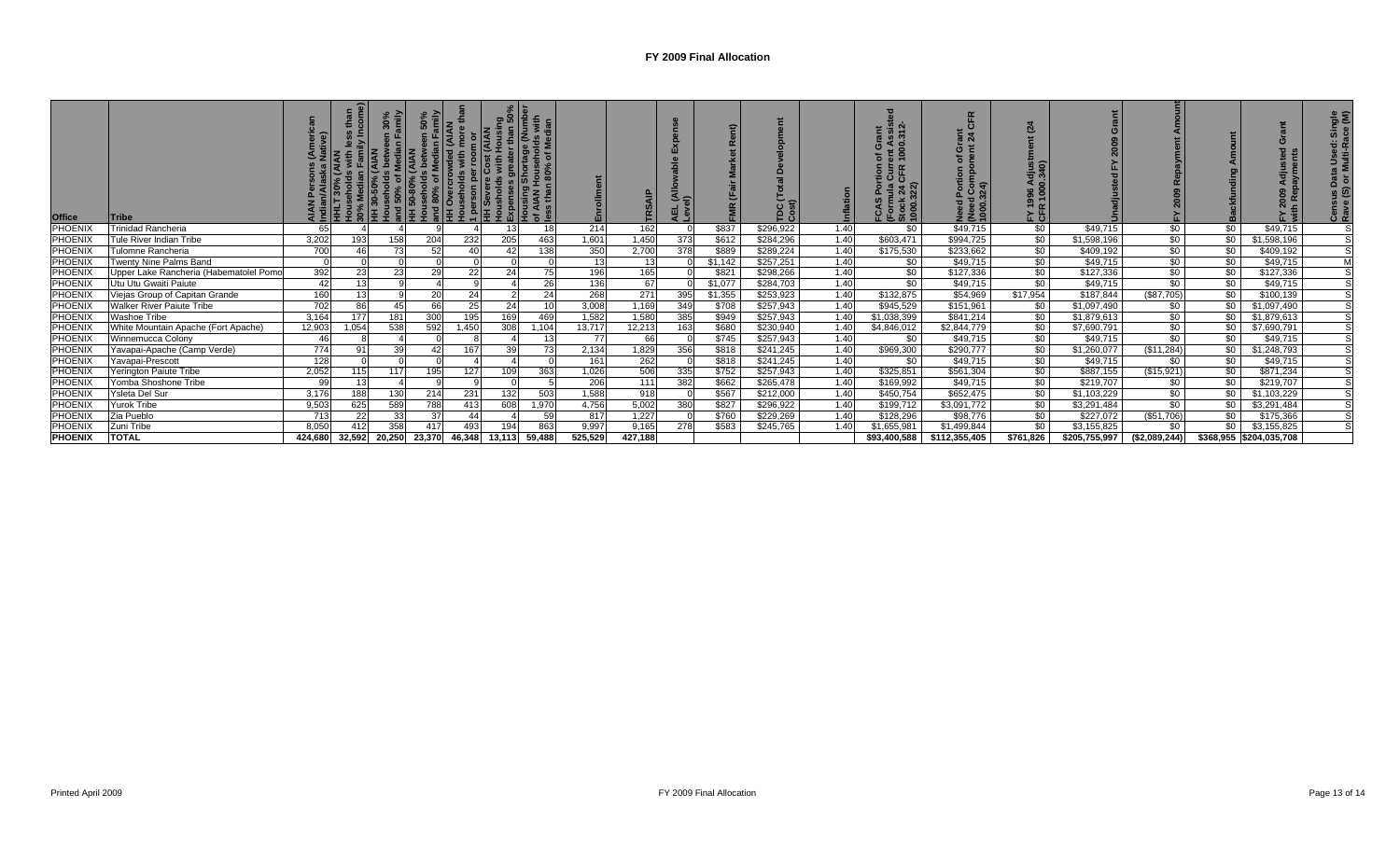| <b>Office</b>  | <b>Tribe</b>                           |         |           | 들      | $rac{60}{20}$<br>na<br>H 50-80%<br>ouseholds be .<br>nd 80% of Mediar<br>vercrowded (<br>vercrowded ( | on per rooi<br>$\begin{array}{r} \hline \text{13.4}\ \text{14.5}\ \text{15.6}\ \text{16.7}\ \text{17.8}\ \text{18.8}\ \text{18.8}\ \text{19.8}\ \text{19.8}\ \text{19.8}\ \text{19.8}\ \text{19.8}\ \text{19.8}\ \text{19.8}\ \text{19.8}\ \text{19.8}\ \text{19.8}\ \text{19.8}\ \text{19.8}\ \text{19.8}\ \text{19.8}\ \text{19.8}\ \text{19.8}\ \text{19.8}\ \text{19.8}\ \text{19.8}\ \text$ | ក្ខុ ក្នុ | 로 히            | 밑       |         | {   |         | TDC (1<br>Cost) |      | $= 00$<br>(For<br>Stoc<br>1000 | ಹ ನ<br>k 8<br>まき合 | న ౦<br>í⊾ ō          |               |               |                |                         | ت مت           |
|----------------|----------------------------------------|---------|-----------|--------|-------------------------------------------------------------------------------------------------------|--------------------------------------------------------------------------------------------------------------------------------------------------------------------------------------------------------------------------------------------------------------------------------------------------------------------------------------------------------------------------------------------------|-----------|----------------|---------|---------|-----|---------|-----------------|------|--------------------------------|-------------------|----------------------|---------------|---------------|----------------|-------------------------|----------------|
| PHOENI>        | <b>Trinidad Rancheria</b>              | 65      |           |        |                                                                                                       |                                                                                                                                                                                                                                                                                                                                                                                                  |           | 18             | 214     | 162     |     | \$837   | \$296,922       | 1.40 | \$0                            | \$49,715          | $\sqrt{50}$          | \$49,715      | \$0           | $\frac{1}{2}$  | \$49,715                |                |
| PHOENIX        | Tule River Indian Tribe                | 3,202   | 193       | 158    | 204                                                                                                   | 232                                                                                                                                                                                                                                                                                                                                                                                              | 205       | 463            | 1,601   | 1,450   | 373 | \$612   | \$284,296       | 1.40 | \$603,471                      | \$994,725         | \$0                  | \$1,598,196   | \$0           | $\frac{1}{20}$ | \$1,598,196             |                |
| <b>PHOENIX</b> | Tulomne Rancheria                      | 700     |           | 73     | 52                                                                                                    | 40                                                                                                                                                                                                                                                                                                                                                                                               | 42        | 138            | 350     | 2,700   | 378 | \$889   | \$289,224       | 1.40 | \$175,530                      | \$233,662         | $\frac{1}{20}$       | \$409,192     | \$0           | $\frac{1}{20}$ | \$409,192               | S              |
| PHOENIX        | Twenty Nine Palms Band                 |         |           |        |                                                                                                       |                                                                                                                                                                                                                                                                                                                                                                                                  |           |                | 13      | 13      |     | \$1,142 | \$257,251       | 1.40 | \$0                            | \$49,715          | \$0                  | \$49,715      | \$0           | \$0            | \$49,715                | M              |
| <b>PHOENIX</b> | Upper Lake Rancheria (Habematolel Pomo | 392     |           | 23     | 29                                                                                                    | 22                                                                                                                                                                                                                                                                                                                                                                                               | 24        | 75             | 196     | 165     |     | \$821   | \$298,266       | 1.40 | \$0                            | \$127,336         | \$0                  | \$127,336     | \$0           | $\frac{1}{20}$ | \$127,336               | $\overline{s}$ |
| <b>PHOENIX</b> | Utu Utu Gwaiti Paiute                  | 42      | 13        |        |                                                                                                       | $\Omega$                                                                                                                                                                                                                                                                                                                                                                                         |           | 26             | 136     | 67      |     | \$1,077 | \$284,703       | 1.40 | \$0                            | \$49,715          | \$0                  | \$49,715      | \$0           | \$0            | \$49,715                |                |
| PHOENIX        | Viejas Group of Capitan Grande         | 160     | 12        |        | <b>20</b>                                                                                             | 24                                                                                                                                                                                                                                                                                                                                                                                               |           | 24             | 268     | 271     | 395 | \$1,355 | \$253,923       | 1.40 | \$132,875                      | \$54,969          | $\overline{$17,954}$ | \$187,844     | (\$87,705)    | \$0            | \$100,139               |                |
| PHOENIX        | <b>Walker River Paiute Tribe</b>       | 702     | 86        | 45     | 66                                                                                                    | 25                                                                                                                                                                                                                                                                                                                                                                                               | 24        |                | 3,008   | .169    | 349 | \$708   | \$257,943       | 1.40 | \$945,529                      | \$151,961         | \$0                  | \$1,097,490   | \$0           | \$0            | \$1,097,490             |                |
| PHOENIX        | Washoe Tribe                           | 3,164   |           | 181    | 300                                                                                                   | 195                                                                                                                                                                                                                                                                                                                                                                                              | 169       | 469            | 1,582   | 1,580   | 385 | \$949   | \$257,943       | 1.40 | \$1,038,399                    | \$841,214         | \$0                  | \$1,879,613   | \$0           | \$0            | \$1,879,613             |                |
| <b>PHOENIX</b> | White Mountain Apache (Fort Apache)    | 12,903  | 1,054     | 538    | 592                                                                                                   | 1,450                                                                                                                                                                                                                                                                                                                                                                                            | 308       | 1,104          | 13,717  | 12,213  | 163 | \$680   | \$230,940       | 1.40 | \$4,846,012                    | \$2,844,779       | $\frac{1}{20}$       | \$7,690,791   | \$0           | \$0            | \$7,690,791             |                |
| PHOENIX        | Winnemucca Colony                      | -46     |           |        |                                                                                                       |                                                                                                                                                                                                                                                                                                                                                                                                  |           | 1 <sup>1</sup> | 77      | 66      |     | \$745   | \$257,943       | 1.40 | \$0                            | \$49,715          | \$0                  | \$49,715      | \$0           | \$0            | \$49,715                |                |
| <b>PHOENIX</b> | Yavapai-Apache (Camp Verde)            | 774     | <u>ດ-</u> | 39     | 42                                                                                                    | 167                                                                                                                                                                                                                                                                                                                                                                                              | 39        | 73             | 2,134   | 1,829   | 356 | \$818   | \$241,245       | 1.40 | \$969,300                      | \$290,777         | $\frac{1}{20}$       | \$1,260,077   | (\$11,284)    | \$0            | \$1,248,793             |                |
| PHOENIX        | Yavapai-Prescott                       | 128     |           |        |                                                                                                       |                                                                                                                                                                                                                                                                                                                                                                                                  |           |                | 161     | 262     |     | \$818   | \$241,245       | 1.40 | \$0                            | \$49,715          | \$0                  | \$49,715      | \$0           | $\frac{1}{2}$  | \$49,715                |                |
| PHOENIX        | Yerington Paiute Tribe                 | 2,052   |           | 117    | 195                                                                                                   | 127                                                                                                                                                                                                                                                                                                                                                                                              | 109       | 363            | 1,026   | 506     | 335 | \$752   | \$257,943       | 1.40 | \$325,851                      | \$561,304         | \$0                  | \$887,155     | (\$15,921)    | \$0            | \$871,234               |                |
| <b>PHOENIX</b> | Yomba Shoshone Tribe                   | -99     |           |        |                                                                                                       |                                                                                                                                                                                                                                                                                                                                                                                                  |           |                | 206     | 111     | 382 | \$662   | \$265,478       | 1.40 | \$169,992                      | \$49,715          | \$0                  | \$219,707     | \$0           | $\frac{1}{6}$  | \$219,707               |                |
| <b>PHOENIX</b> | Ysleta Del Sur                         | 3,176   | 188       | 130    | 214                                                                                                   | 231                                                                                                                                                                                                                                                                                                                                                                                              | 132       | 503            | 1,588   | 918     |     | \$567   | \$212,000       | 1.40 | \$450,754                      | \$652,475         | \$0                  | \$1,103,229   | \$0           | \$0            | \$1,103,229             |                |
| <b>PHOENIX</b> | <b>Yurok Tribe</b>                     | 9,503   | 625       | 589    | 788                                                                                                   | 413                                                                                                                                                                                                                                                                                                                                                                                              | 608       | 1,970          | 4,756   | 5,002   | 380 | \$827   | \$296,922       | 1.40 | \$199,712                      | \$3,091,772       | \$0                  | \$3,291,484   | \$0           | \$0            | \$3,291,484             | S              |
| <b>PHOENIX</b> | Zia Pueblo                             | 713     | つつ        | 33     | 37 <sup>l</sup>                                                                                       | 44                                                                                                                                                                                                                                                                                                                                                                                               |           | 59             | 817     | 1,227   |     | \$760   | \$229,269       | 1.40 | \$128,296                      | \$98,776          | \$0                  | \$227,072     | (\$51,706)    | \$0            | \$175,366               |                |
| PHOENIX        | Zuni Tribe                             | 8,050   | 412       | 358    | 417                                                                                                   | 493                                                                                                                                                                                                                                                                                                                                                                                              | 194       | 863            | 9,997   | 9.165   | 278 | \$583   | \$245,765       | 1.40 | \$1,655,981                    | \$1,499,844       | \$0                  | \$3,155,825   | \$0           | \$0            | \$3,155,825             |                |
| <b>PHOENIX</b> | <b>TOTAL</b>                           | 424,680 | 32,592    | 20,250 | 23,370                                                                                                | 46,348                                                                                                                                                                                                                                                                                                                                                                                           | 13.113    | 59,488         | 525.529 | 427.188 |     |         |                 |      | \$93,400,588                   | \$112,355,405     | \$761.826            | \$205,755,997 | (\$2,089,244) |                | \$368.955 \$204.035.708 |                |